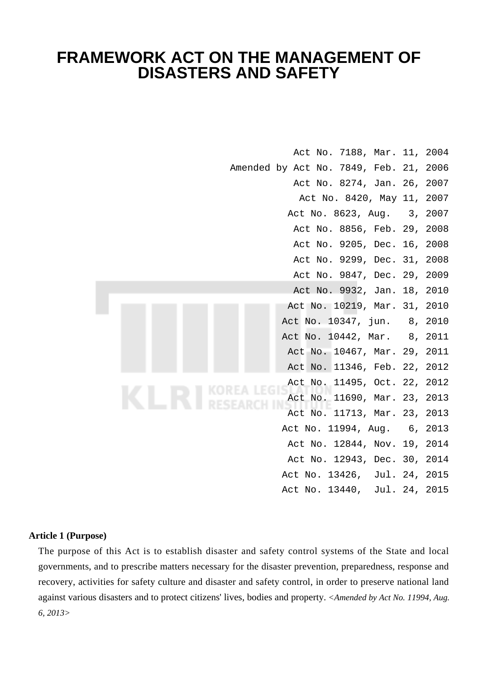# **FRAMEWORK ACT ON THE MANAGEMENT OF DISASTERS AND SAFETY**

|  | Act No. 7188, Mar. 11, 2004            |  |
|--|----------------------------------------|--|
|  | Amended by Act No. 7849, Feb. 21, 2006 |  |
|  | Act No. 8274, Jan. 26, 2007            |  |
|  | Act No. 8420, May 11, 2007             |  |
|  | Act No. 8623, Aug. 3, 2007             |  |
|  | Act No. 8856, Feb. 29, 2008            |  |
|  | Act No. 9205, Dec. 16, 2008            |  |
|  | Act No. 9299, Dec. 31, 2008            |  |
|  | Act No. 9847, Dec. 29, 2009            |  |
|  | Act No. 9932, Jan. 18, 2010            |  |
|  | Act No. 10219, Mar. 31, 2010           |  |
|  | Act No. 10347, jun. 8, 2010            |  |
|  | Act No. 10442, Mar. 8, 2011            |  |
|  | Act No. 10467, Mar. 29, 2011           |  |
|  | Act No. 11346, Feb. 22, 2012           |  |
|  | Act No. 11495, Oct. 22, 2012           |  |
|  | Act No. 11690, Mar. 23, 2013           |  |
|  | Act No. 11713, Mar. 23, 2013           |  |
|  | Act No. 11994, Aug. 6, 2013            |  |
|  | Act No. 12844, Nov. 19, 2014           |  |
|  | Act No. 12943, Dec. 30, 2014           |  |
|  | Act No. 13426, Jul. 24, 2015           |  |
|  | Act No. 13440, Jul. 24, 2015           |  |
|  |                                        |  |

# **Article 1 (Purpose)**

The purpose of this Act is to establish disaster and safety control systems of the State and local governments, and to prescribe matters necessary for the disaster prevention, preparedness, response and recovery, activities for safety culture and disaster and safety control, in order to preserve national land against various disasters and to protect citizens' lives, bodies and property. *<Amended by Act No. 11994, Aug. 6, 2013>*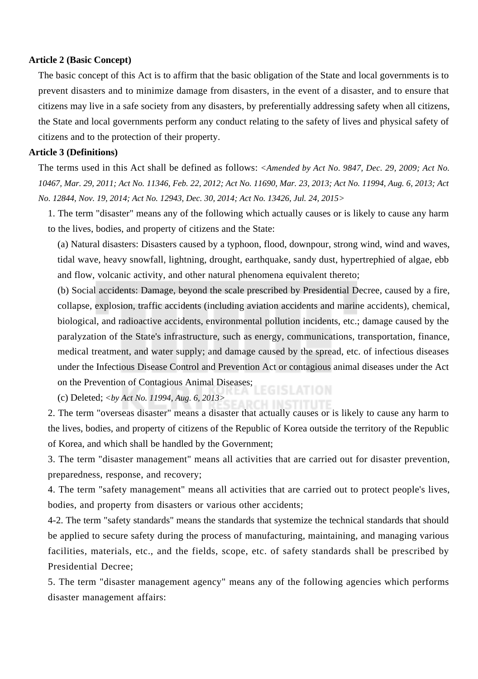#### **Article 2 (Basic Concept)**

The basic concept of this Act is to affirm that the basic obligation of the State and local governments is to prevent disasters and to minimize damage from disasters, in the event of a disaster, and to ensure that citizens may live in a safe society from any disasters, by preferentially addressing safety when all citizens, the State and local governments perform any conduct relating to the safety of lives and physical safety of citizens and to the protection of their property.

#### **Article 3 (Definitions)**

The terms used in this Act shall be defined as follows: *<Amended by Act No. 9847, Dec. 29, 2009; Act No. 10467, Mar. 29, 2011; Act No. 11346, Feb. 22, 2012; Act No. 11690, Mar. 23, 2013; Act No. 11994, Aug. 6, 2013; Act No. 12844, Nov. 19, 2014; Act No. 12943, Dec. 30, 2014; Act No. 13426, Jul. 24, 2015>*

1. The term "disaster" means any of the following which actually causes or is likely to cause any harm to the lives, bodies, and property of citizens and the State:

(a) Natural disasters: Disasters caused by a typhoon, flood, downpour, strong wind, wind and waves, tidal wave, heavy snowfall, lightning, drought, earthquake, sandy dust, hypertrephied of algae, ebb and flow, volcanic activity, and other natural phenomena equivalent thereto;

(b) Social accidents: Damage, beyond the scale prescribed by Presidential Decree, caused by a fire, collapse, explosion, traffic accidents (including aviation accidents and marine accidents), chemical, biological, and radioactive accidents, environmental pollution incidents, etc.; damage caused by the paralyzation of the State's infrastructure, such as energy, communications, transportation, finance, medical treatment, and water supply; and damage caused by the spread, etc. of infectious diseases under the Infectious Disease Control and Prevention Act or contagious animal diseases under the Act on the Prevention of Contagious Animal Diseases;

(c) Deleted; *<by Act No. 11994, Aug. 6, 2013>*

2. The term "overseas disaster" means a disaster that actually causes or is likely to cause any harm to the lives, bodies, and property of citizens of the Republic of Korea outside the territory of the Republic of Korea, and which shall be handled by the Government;

3. The term "disaster management" means all activities that are carried out for disaster prevention, preparedness, response, and recovery;

4. The term "safety management" means all activities that are carried out to protect people's lives, bodies, and property from disasters or various other accidents;

4-2. The term "safety standards" means the standards that systemize the technical standards that should be applied to secure safety during the process of manufacturing, maintaining, and managing various facilities, materials, etc., and the fields, scope, etc. of safety standards shall be prescribed by Presidential Decree;

5. The term "disaster management agency" means any of the following agencies which performs disaster management affairs: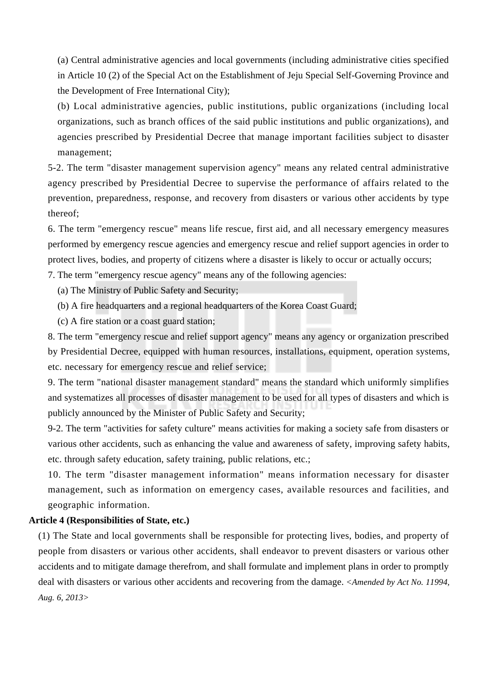(a) Central administrative agencies and local governments (including administrative cities specified in Article 10 (2) of the Special Act on the Establishment of Jeju Special Self-Governing Province and the Development of Free International City);

(b) Local administrative agencies, public institutions, public organizations (including local organizations, such as branch offices of the said public institutions and public organizations), and agencies prescribed by Presidential Decree that manage important facilities subject to disaster management;

5-2. The term "disaster management supervision agency" means any related central administrative agency prescribed by Presidential Decree to supervise the performance of affairs related to the prevention, preparedness, response, and recovery from disasters or various other accidents by type thereof;

6. The term "emergency rescue" means life rescue, first aid, and all necessary emergency measures performed by emergency rescue agencies and emergency rescue and relief support agencies in order to protect lives, bodies, and property of citizens where a disaster is likely to occur or actually occurs;

7. The term "emergency rescue agency" means any of the following agencies:

(a) The Ministry of Public Safety and Security;

- (b) A fire headquarters and a regional headquarters of the Korea Coast Guard;
- (c) A fire station or a coast guard station;

8. The term "emergency rescue and relief support agency" means any agency or organization prescribed by Presidential Decree, equipped with human resources, installations, equipment, operation systems, etc. necessary for emergency rescue and relief service;

9. The term "national disaster management standard" means the standard which uniformly simplifies and systematizes all processes of disaster management to be used for all types of disasters and which is publicly announced by the Minister of Public Safety and Security;

9-2. The term "activities for safety culture" means activities for making a society safe from disasters or various other accidents, such as enhancing the value and awareness of safety, improving safety habits, etc. through safety education, safety training, public relations, etc.;

10. The term "disaster management information" means information necessary for disaster management, such as information on emergency cases, available resources and facilities, and geographic information.

# **Article 4 (Responsibilities of State, etc.)**

(1) The State and local governments shall be responsible for protecting lives, bodies, and property of people from disasters or various other accidents, shall endeavor to prevent disasters or various other accidents and to mitigate damage therefrom, and shall formulate and implement plans in order to promptly deal with disasters or various other accidents and recovering from the damage. *<Amended by Act No. 11994, Aug. 6, 2013>*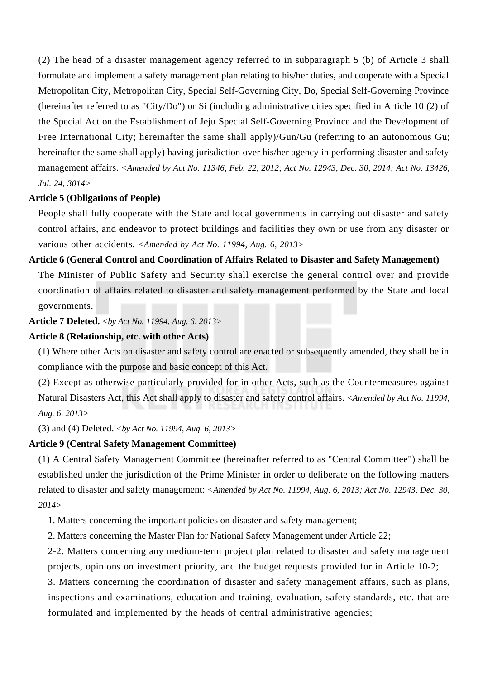(2) The head of a disaster management agency referred to in subparagraph 5 (b) of Article 3 shall formulate and implement a safety management plan relating to his/her duties, and cooperate with a Special Metropolitan City, Metropolitan City, Special Self-Governing City, Do, Special Self-Governing Province (hereinafter referred to as "City/Do") or Si (including administrative cities specified in Article 10 (2) of the Special Act on the Establishment of Jeju Special Self-Governing Province and the Development of Free International City; hereinafter the same shall apply)/Gun/Gu (referring to an autonomous Gu; hereinafter the same shall apply) having jurisdiction over his/her agency in performing disaster and safety management affairs. *<Amended by Act No. 11346, Feb. 22, 2012; Act No. 12943, Dec. 30, 2014; Act No. 13426, Jul. 24, 3014>*

# **Article 5 (Obligations of People)**

People shall fully cooperate with the State and local governments in carrying out disaster and safety control affairs, and endeavor to protect buildings and facilities they own or use from any disaster or various other accidents. *<Amended by Act No. 11994, Aug. 6, 2013>*

#### **Article 6 (General Control and Coordination of Affairs Related to Disaster and Safety Management)**

The Minister of Public Safety and Security shall exercise the general control over and provide coordination of affairs related to disaster and safety management performed by the State and local governments.

#### **Article 7 Deleted.** *<by Act No. 11994, Aug. 6, 2013>*

# **Article 8 (Relationship, etc. with other Acts)**

(1) Where other Acts on disaster and safety control are enacted or subsequently amended, they shall be in compliance with the purpose and basic concept of this Act.

(2) Except as otherwise particularly provided for in other Acts, such as the Countermeasures against Natural Disasters Act, this Act shall apply to disaster and safety control affairs. *<Amended by Act No. 11994, Aug. 6, 2013>*

(3) and (4) Deleted. *<by Act No. 11994, Aug. 6, 2013>*

#### **Article 9 (Central Safety Management Committee)**

(1) A Central Safety Management Committee (hereinafter referred to as "Central Committee") shall be established under the jurisdiction of the Prime Minister in order to deliberate on the following matters related to disaster and safety management: *<Amended by Act No. 11994, Aug. 6, 2013; Act No. 12943, Dec. 30, 2014>*

1. Matters concerning the important policies on disaster and safety management;

2. Matters concerning the Master Plan for National Safety Management under Article 22;

2-2. Matters concerning any medium-term project plan related to disaster and safety management projects, opinions on investment priority, and the budget requests provided for in Article 10-2;

3. Matters concerning the coordination of disaster and safety management affairs, such as plans, inspections and examinations, education and training, evaluation, safety standards, etc. that are formulated and implemented by the heads of central administrative agencies;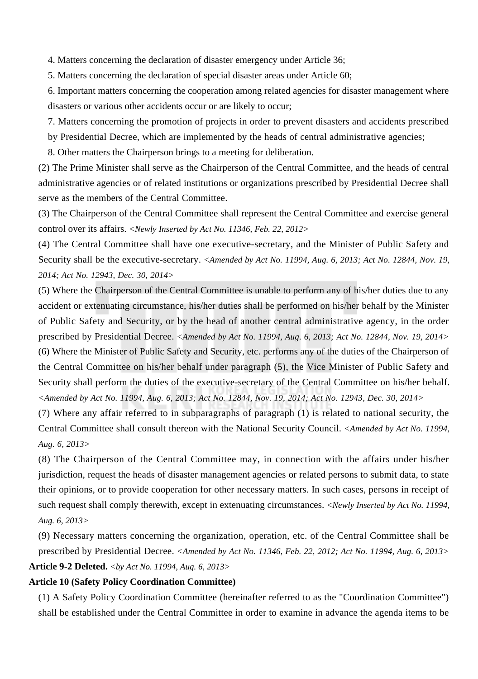4. Matters concerning the declaration of disaster emergency under Article 36;

5. Matters concerning the declaration of special disaster areas under Article 60;

6. Important matters concerning the cooperation among related agencies for disaster management where disasters or various other accidents occur or are likely to occur;

7. Matters concerning the promotion of projects in order to prevent disasters and accidents prescribed by Presidential Decree, which are implemented by the heads of central administrative agencies;

8. Other matters the Chairperson brings to a meeting for deliberation.

(2) The Prime Minister shall serve as the Chairperson of the Central Committee, and the heads of central administrative agencies or of related institutions or organizations prescribed by Presidential Decree shall serve as the members of the Central Committee.

(3) The Chairperson of the Central Committee shall represent the Central Committee and exercise general control over its affairs. *<Newly Inserted by Act No. 11346, Feb. 22, 2012>*

(4) The Central Committee shall have one executive-secretary, and the Minister of Public Safety and Security shall be the executive-secretary. *<Amended by Act No. 11994, Aug. 6, 2013; Act No. 12844, Nov. 19, 2014; Act No. 12943, Dec. 30, 2014>*

(5) Where the Chairperson of the Central Committee is unable to perform any of his/her duties due to any accident or extenuating circumstance, his/her duties shall be performed on his/her behalf by the Minister of Public Safety and Security, or by the head of another central administrative agency, in the order prescribed by Presidential Decree. *<Amended by Act No. 11994, Aug. 6, 2013; Act No. 12844, Nov. 19, 2014>* (6) Where the Minister of Public Safety and Security, etc. performs any of the duties of the Chairperson of the Central Committee on his/her behalf under paragraph (5), the Vice Minister of Public Safety and Security shall perform the duties of the executive-secretary of the Central Committee on his/her behalf. *<Amended by Act No. 11994, Aug. 6, 2013; Act No. 12844, Nov. 19, 2014; Act No. 12943, Dec. 30, 2014>*

(7) Where any affair referred to in subparagraphs of paragraph (1) is related to national security, the Central Committee shall consult thereon with the National Security Council. *<Amended by Act No. 11994, Aug. 6, 2013>*

(8) The Chairperson of the Central Committee may, in connection with the affairs under his/her jurisdiction, request the heads of disaster management agencies or related persons to submit data, to state their opinions, or to provide cooperation for other necessary matters. In such cases, persons in receipt of such request shall comply therewith, except in extenuating circumstances. *<Newly Inserted by Act No. 11994, Aug. 6, 2013>*

(9) Necessary matters concerning the organization, operation, etc. of the Central Committee shall be prescribed by Presidential Decree. *<Amended by Act No. 11346, Feb. 22, 2012; Act No. 11994, Aug. 6, 2013>* **Article 9-2 Deleted.** *<by Act No. 11994, Aug. 6, 2013>*

## **Article 10 (Safety Policy Coordination Committee)**

(1) A Safety Policy Coordination Committee (hereinafter referred to as the "Coordination Committee") shall be established under the Central Committee in order to examine in advance the agenda items to be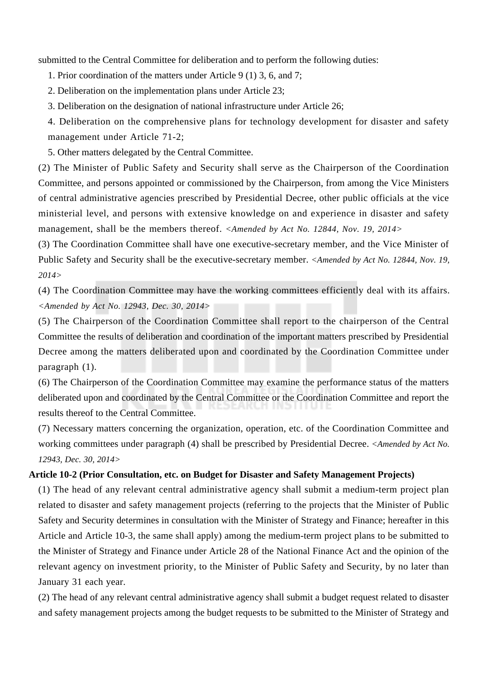submitted to the Central Committee for deliberation and to perform the following duties:

1. Prior coordination of the matters under Article 9 (1) 3, 6, and 7;

2. Deliberation on the implementation plans under Article 23;

3. Deliberation on the designation of national infrastructure under Article 26;

4. Deliberation on the comprehensive plans for technology development for disaster and safety management under Article 71-2;

5. Other matters delegated by the Central Committee.

(2) The Minister of Public Safety and Security shall serve as the Chairperson of the Coordination Committee, and persons appointed or commissioned by the Chairperson, from among the Vice Ministers of central administrative agencies prescribed by Presidential Decree, other public officials at the vice ministerial level, and persons with extensive knowledge on and experience in disaster and safety management, shall be the members thereof. *<Amended by Act No. 12844, Nov. 19, 2014>*

(3) The Coordination Committee shall have one executive-secretary member, and the Vice Minister of Public Safety and Security shall be the executive-secretary member. *<Amended by Act No. 12844, Nov. 19, 2014>*

(4) The Coordination Committee may have the working committees efficiently deal with its affairs. *<Amended by Act No. 12943, Dec. 30, 2014>*

(5) The Chairperson of the Coordination Committee shall report to the chairperson of the Central Committee the results of deliberation and coordination of the important matters prescribed by Presidential Decree among the matters deliberated upon and coordinated by the Coordination Committee under paragraph (1).

(6) The Chairperson of the Coordination Committee may examine the performance status of the matters deliberated upon and coordinated by the Central Committee or the Coordination Committee and report the results thereof to the Central Committee.

(7) Necessary matters concerning the organization, operation, etc. of the Coordination Committee and working committees under paragraph (4) shall be prescribed by Presidential Decree. *<Amended by Act No. 12943, Dec. 30, 2014>*

#### **Article 10-2 (Prior Consultation, etc. on Budget for Disaster and Safety Management Projects)**

(1) The head of any relevant central administrative agency shall submit a medium-term project plan related to disaster and safety management projects (referring to the projects that the Minister of Public Safety and Security determines in consultation with the Minister of Strategy and Finance; hereafter in this Article and Article 10-3, the same shall apply) among the medium-term project plans to be submitted to the Minister of Strategy and Finance under Article 28 of the National Finance Act and the opinion of the relevant agency on investment priority, to the Minister of Public Safety and Security, by no later than January 31 each year.

(2) The head of any relevant central administrative agency shall submit a budget request related to disaster and safety management projects among the budget requests to be submitted to the Minister of Strategy and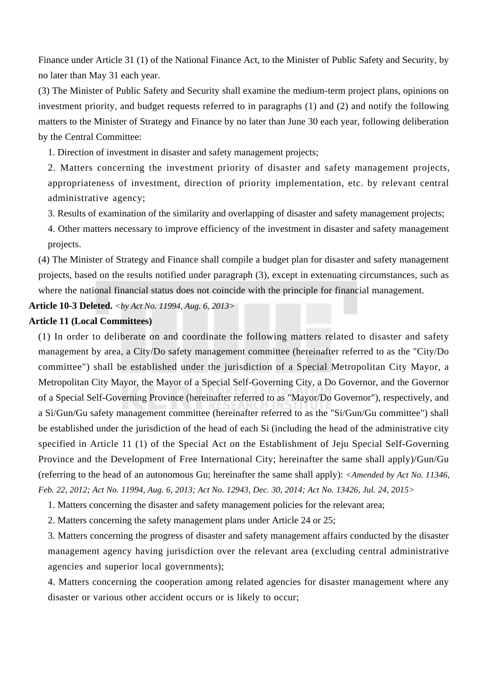Finance under Article 31 (1) of the National Finance Act, to the Minister of Public Safety and Security, by no later than May 31 each year.

(3) The Minister of Public Safety and Security shall examine the medium-term project plans, opinions on investment priority, and budget requests referred to in paragraphs (1) and (2) and notify the following matters to the Minister of Strategy and Finance by no later than June 30 each year, following deliberation by the Central Committee:

1. Direction of investment in disaster and safety management projects;

2. Matters concerning the investment priority of disaster and safety management projects, appropriateness of investment, direction of priority implementation, etc. by relevant central administrative agency;

3. Results of examination of the similarity and overlapping of disaster and safety management projects;

4. Other matters necessary to improve efficiency of the investment in disaster and safety management projects.

(4) The Minister of Strategy and Finance shall compile a budget plan for disaster and safety management projects, based on the results notified under paragraph (3), except in extenuating circumstances, such as where the national financial status does not coincide with the principle for financial management.

**Article 10-3 Deleted.** *<by Act No. 11994, Aug. 6, 2013>*

#### **Article 11 (Local Committees)**

(1) In order to deliberate on and coordinate the following matters related to disaster and safety management by area, a City/Do safety management committee (hereinafter referred to as the "City/Do committee") shall be established under the jurisdiction of a Special Metropolitan City Mayor, a Metropolitan City Mayor, the Mayor of a Special Self-Governing City, a Do Governor, and the Governor of a Special Self-Governing Province (hereinafter referred to as "Mayor/Do Governor"), respectively, and a Si/Gun/Gu safety management committee (hereinafter referred to as the "Si/Gun/Gu committee") shall be established under the jurisdiction of the head of each Si (including the head of the administrative city specified in Article 11 (1) of the Special Act on the Establishment of Jeju Special Self-Governing Province and the Development of Free International City; hereinafter the same shall apply)/Gun/Gu (referring to the head of an autonomous Gu; hereinafter the same shall apply): *<Amended by Act No. 11346, Feb. 22, 2012; Act No. 11994, Aug. 6, 2013; Act No. 12943, Dec. 30, 2014; Act No. 13426, Jul. 24, 2015>*

1. Matters concerning the disaster and safety management policies for the relevant area;

2. Matters concerning the safety management plans under Article 24 or 25;

3. Matters concerning the progress of disaster and safety management affairs conducted by the disaster management agency having jurisdiction over the relevant area (excluding central administrative agencies and superior local governments);

4. Matters concerning the cooperation among related agencies for disaster management where any disaster or various other accident occurs or is likely to occur;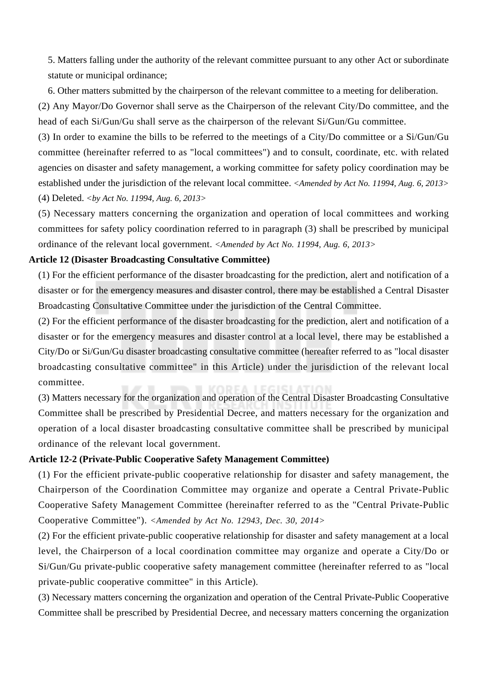5. Matters falling under the authority of the relevant committee pursuant to any other Act or subordinate statute or municipal ordinance;

6. Other matters submitted by the chairperson of the relevant committee to a meeting for deliberation.

(2) Any Mayor/Do Governor shall serve as the Chairperson of the relevant City/Do committee, and the head of each Si/Gun/Gu shall serve as the chairperson of the relevant Si/Gun/Gu committee.

(3) In order to examine the bills to be referred to the meetings of a City/Do committee or a Si/Gun/Gu committee (hereinafter referred to as "local committees") and to consult, coordinate, etc. with related agencies on disaster and safety management, a working committee for safety policy coordination may be established under the jurisdiction of the relevant local committee. *<Amended by Act No. 11994, Aug. 6, 2013>* (4) Deleted. *<by Act No. 11994, Aug. 6, 2013>*

(5) Necessary matters concerning the organization and operation of local committees and working committees for safety policy coordination referred to in paragraph (3) shall be prescribed by municipal ordinance of the relevant local government. *<Amended by Act No. 11994, Aug. 6, 2013>*

# **Article 12 (Disaster Broadcasting Consultative Committee)**

(1) For the efficient performance of the disaster broadcasting for the prediction, alert and notification of a disaster or for the emergency measures and disaster control, there may be established a Central Disaster Broadcasting Consultative Committee under the jurisdiction of the Central Committee.

(2) For the efficient performance of the disaster broadcasting for the prediction, alert and notification of a disaster or for the emergency measures and disaster control at a local level, there may be established a City/Do or Si/Gun/Gu disaster broadcasting consultative committee (hereafter referred to as "local disaster broadcasting consultative committee" in this Article) under the jurisdiction of the relevant local committee.

(3) Matters necessary for the organization and operation of the Central Disaster Broadcasting Consultative Committee shall be prescribed by Presidential Decree, and matters necessary for the organization and operation of a local disaster broadcasting consultative committee shall be prescribed by municipal ordinance of the relevant local government.

#### **Article 12-2 (Private-Public Cooperative Safety Management Committee)**

(1) For the efficient private-public cooperative relationship for disaster and safety management, the Chairperson of the Coordination Committee may organize and operate a Central Private-Public Cooperative Safety Management Committee (hereinafter referred to as the "Central Private-Public Cooperative Committee"). *<Amended by Act No. 12943, Dec. 30, 2014>*

(2) For the efficient private-public cooperative relationship for disaster and safety management at a local level, the Chairperson of a local coordination committee may organize and operate a City/Do or Si/Gun/Gu private-public cooperative safety management committee (hereinafter referred to as "local private-public cooperative committee" in this Article).

(3) Necessary matters concerning the organization and operation of the Central Private-Public Cooperative Committee shall be prescribed by Presidential Decree, and necessary matters concerning the organization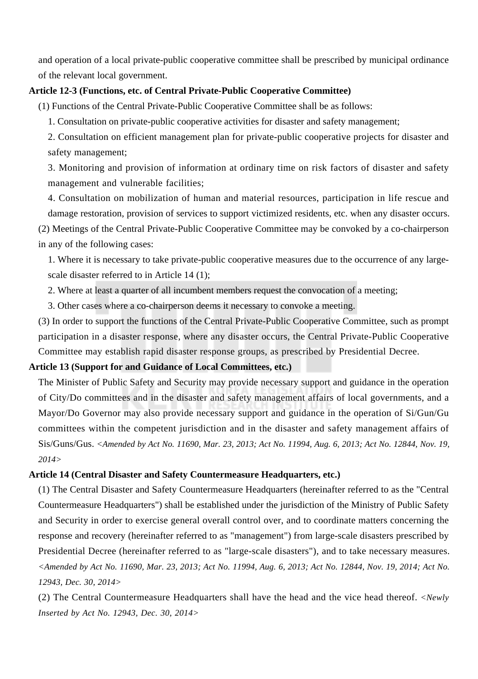and operation of a local private-public cooperative committee shall be prescribed by municipal ordinance of the relevant local government.

## **Article 12-3 (Functions, etc. of Central Private-Public Cooperative Committee)**

(1) Functions of the Central Private-Public Cooperative Committee shall be as follows:

1. Consultation on private-public cooperative activities for disaster and safety management;

2. Consultation on efficient management plan for private-public cooperative projects for disaster and safety management;

3. Monitoring and provision of information at ordinary time on risk factors of disaster and safety management and vulnerable facilities;

4. Consultation on mobilization of human and material resources, participation in life rescue and damage restoration, provision of services to support victimized residents, etc. when any disaster occurs. (2) Meetings of the Central Private-Public Cooperative Committee may be convoked by a co-chairperson

in any of the following cases:

1. Where it is necessary to take private-public cooperative measures due to the occurrence of any largescale disaster referred to in Article 14 (1);

2. Where at least a quarter of all incumbent members request the convocation of a meeting;

3. Other cases where a co-chairperson deems it necessary to convoke a meeting.

(3) In order to support the functions of the Central Private-Public Cooperative Committee, such as prompt participation in a disaster response, where any disaster occurs, the Central Private-Public Cooperative Committee may establish rapid disaster response groups, as prescribed by Presidential Decree.

#### **Article 13 (Support for and Guidance of Local Committees, etc.)**

The Minister of Public Safety and Security may provide necessary support and guidance in the operation of City/Do committees and in the disaster and safety management affairs of local governments, and a Mayor/Do Governor may also provide necessary support and guidance in the operation of Si/Gun/Gu committees within the competent jurisdiction and in the disaster and safety management affairs of Sis/Guns/Gus. *<Amended by Act No. 11690, Mar. 23, 2013; Act No. 11994, Aug. 6, 2013; Act No. 12844, Nov. 19, 2014>*

#### **Article 14 (Central Disaster and Safety Countermeasure Headquarters, etc.)**

(1) The Central Disaster and Safety Countermeasure Headquarters (hereinafter referred to as the "Central Countermeasure Headquarters") shall be established under the jurisdiction of the Ministry of Public Safety and Security in order to exercise general overall control over, and to coordinate matters concerning the response and recovery (hereinafter referred to as "management") from large-scale disasters prescribed by Presidential Decree (hereinafter referred to as "large-scale disasters"), and to take necessary measures. *<Amended by Act No. 11690, Mar. 23, 2013; Act No. 11994, Aug. 6, 2013; Act No. 12844, Nov. 19, 2014; Act No. 12943, Dec. 30, 2014>*

(2) The Central Countermeasure Headquarters shall have the head and the vice head thereof. *<Newly Inserted by Act No. 12943, Dec. 30, 2014>*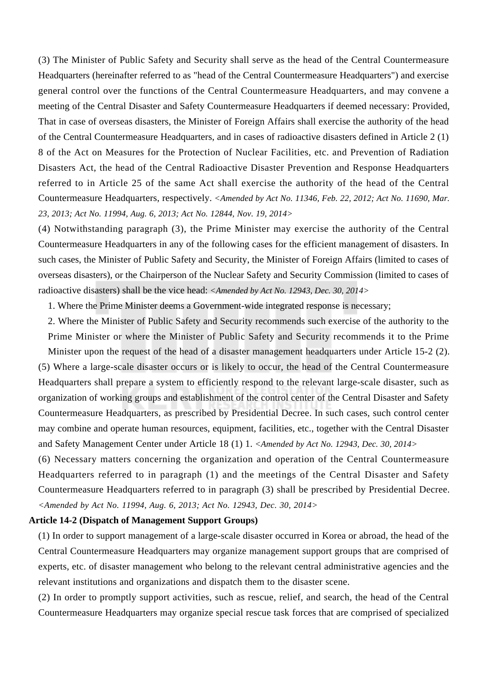(3) The Minister of Public Safety and Security shall serve as the head of the Central Countermeasure Headquarters (hereinafter referred to as "head of the Central Countermeasure Headquarters") and exercise general control over the functions of the Central Countermeasure Headquarters, and may convene a meeting of the Central Disaster and Safety Countermeasure Headquarters if deemed necessary: Provided, That in case of overseas disasters, the Minister of Foreign Affairs shall exercise the authority of the head of the Central Countermeasure Headquarters, and in cases of radioactive disasters defined in Article 2 (1) 8 of the Act on Measures for the Protection of Nuclear Facilities, etc. and Prevention of Radiation Disasters Act, the head of the Central Radioactive Disaster Prevention and Response Headquarters referred to in Article 25 of the same Act shall exercise the authority of the head of the Central Countermeasure Headquarters, respectively. *<Amended by Act No. 11346, Feb. 22, 2012; Act No. 11690, Mar. 23, 2013; Act No. 11994, Aug. 6, 2013; Act No. 12844, Nov. 19, 2014>*

(4) Notwithstanding paragraph (3), the Prime Minister may exercise the authority of the Central Countermeasure Headquarters in any of the following cases for the efficient management of disasters. In such cases, the Minister of Public Safety and Security, the Minister of Foreign Affairs (limited to cases of overseas disasters), or the Chairperson of the Nuclear Safety and Security Commission (limited to cases of radioactive disasters) shall be the vice head: *<Amended by Act No. 12943, Dec. 30, 2014>*

1. Where the Prime Minister deems a Government-wide integrated response is necessary;

2. Where the Minister of Public Safety and Security recommends such exercise of the authority to the Prime Minister or where the Minister of Public Safety and Security recommends it to the Prime Minister upon the request of the head of a disaster management headquarters under Article 15-2 (2). (5) Where a large-scale disaster occurs or is likely to occur, the head of the Central Countermeasure Headquarters shall prepare a system to efficiently respond to the relevant large-scale disaster, such as organization of working groups and establishment of the control center of the Central Disaster and Safety Countermeasure Headquarters, as prescribed by Presidential Decree. In such cases, such control center may combine and operate human resources, equipment, facilities, etc., together with the Central Disaster and Safety Management Center under Article 18 (1) 1. *<Amended by Act No. 12943, Dec. 30, 2014>*

(6) Necessary matters concerning the organization and operation of the Central Countermeasure Headquarters referred to in paragraph (1) and the meetings of the Central Disaster and Safety Countermeasure Headquarters referred to in paragraph (3) shall be prescribed by Presidential Decree. *<Amended by Act No. 11994, Aug. 6, 2013; Act No. 12943, Dec. 30, 2014>*

#### **Article 14-2 (Dispatch of Management Support Groups)**

(1) In order to support management of a large-scale disaster occurred in Korea or abroad, the head of the Central Countermeasure Headquarters may organize management support groups that are comprised of experts, etc. of disaster management who belong to the relevant central administrative agencies and the relevant institutions and organizations and dispatch them to the disaster scene.

(2) In order to promptly support activities, such as rescue, relief, and search, the head of the Central Countermeasure Headquarters may organize special rescue task forces that are comprised of specialized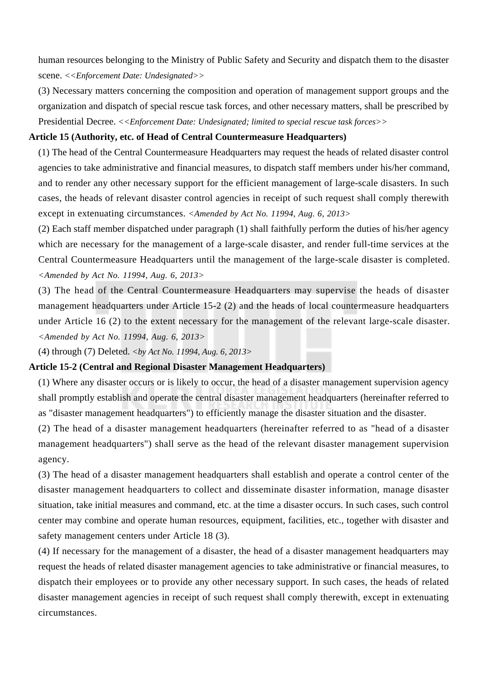human resources belonging to the Ministry of Public Safety and Security and dispatch them to the disaster scene. *<<Enforcement Date: Undesignated>>*

(3) Necessary matters concerning the composition and operation of management support groups and the organization and dispatch of special rescue task forces, and other necessary matters, shall be prescribed by Presidential Decree. *<<Enforcement Date: Undesignated; limited to special rescue task forces>>*

# **Article 15 (Authority, etc. of Head of Central Countermeasure Headquarters)**

(1) The head of the Central Countermeasure Headquarters may request the heads of related disaster control agencies to take administrative and financial measures, to dispatch staff members under his/her command, and to render any other necessary support for the efficient management of large-scale disasters. In such cases, the heads of relevant disaster control agencies in receipt of such request shall comply therewith except in extenuating circumstances. *<Amended by Act No. 11994, Aug. 6, 2013>*

(2) Each staff member dispatched under paragraph (1) shall faithfully perform the duties of his/her agency which are necessary for the management of a large-scale disaster, and render full-time services at the Central Countermeasure Headquarters until the management of the large-scale disaster is completed. *<Amended by Act No. 11994, Aug. 6, 2013>*

(3) The head of the Central Countermeasure Headquarters may supervise the heads of disaster management headquarters under Article 15-2 (2) and the heads of local countermeasure headquarters under Article 16 (2) to the extent necessary for the management of the relevant large-scale disaster. *<Amended by Act No. 11994, Aug. 6, 2013>*

(4) through (7) Deleted. *<by Act No. 11994, Aug. 6, 2013>*

#### **Article 15-2 (Central and Regional Disaster Management Headquarters)**

(1) Where any disaster occurs or is likely to occur, the head of a disaster management supervision agency shall promptly establish and operate the central disaster management headquarters (hereinafter referred to as "disaster management headquarters") to efficiently manage the disaster situation and the disaster.

(2) The head of a disaster management headquarters (hereinafter referred to as "head of a disaster management headquarters") shall serve as the head of the relevant disaster management supervision agency.

(3) The head of a disaster management headquarters shall establish and operate a control center of the disaster management headquarters to collect and disseminate disaster information, manage disaster situation, take initial measures and command, etc. at the time a disaster occurs. In such cases, such control center may combine and operate human resources, equipment, facilities, etc., together with disaster and safety management centers under Article 18 (3).

(4) If necessary for the management of a disaster, the head of a disaster management headquarters may request the heads of related disaster management agencies to take administrative or financial measures, to dispatch their employees or to provide any other necessary support. In such cases, the heads of related disaster management agencies in receipt of such request shall comply therewith, except in extenuating circumstances.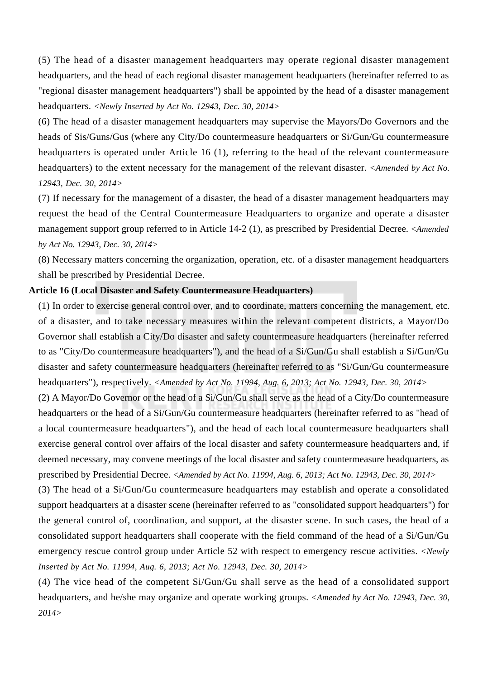(5) The head of a disaster management headquarters may operate regional disaster management headquarters, and the head of each regional disaster management headquarters (hereinafter referred to as "regional disaster management headquarters") shall be appointed by the head of a disaster management headquarters. *<Newly Inserted by Act No. 12943, Dec. 30, 2014>*

(6) The head of a disaster management headquarters may supervise the Mayors/Do Governors and the heads of Sis/Guns/Gus (where any City/Do countermeasure headquarters or Si/Gun/Gu countermeasure headquarters is operated under Article 16 (1), referring to the head of the relevant countermeasure headquarters) to the extent necessary for the management of the relevant disaster. *<Amended by Act No. 12943, Dec. 30, 2014>*

(7) If necessary for the management of a disaster, the head of a disaster management headquarters may request the head of the Central Countermeasure Headquarters to organize and operate a disaster management support group referred to in Article 14-2 (1), as prescribed by Presidential Decree. *<Amended by Act No. 12943, Dec. 30, 2014>*

(8) Necessary matters concerning the organization, operation, etc. of a disaster management headquarters shall be prescribed by Presidential Decree.

#### **Article 16 (Local Disaster and Safety Countermeasure Headquarters)**

(1) In order to exercise general control over, and to coordinate, matters concerning the management, etc. of a disaster, and to take necessary measures within the relevant competent districts, a Mayor/Do Governor shall establish a City/Do disaster and safety countermeasure headquarters (hereinafter referred to as "City/Do countermeasure headquarters"), and the head of a Si/Gun/Gu shall establish a Si/Gun/Gu disaster and safety countermeasure headquarters (hereinafter referred to as "Si/Gun/Gu countermeasure headquarters"), respectively. *<Amended by Act No. 11994, Aug. 6, 2013; Act No. 12943, Dec. 30, 2014>*

(2) A Mayor/Do Governor or the head of a Si/Gun/Gu shall serve as the head of a City/Do countermeasure headquarters or the head of a Si/Gun/Gu countermeasure headquarters (hereinafter referred to as "head of a local countermeasure headquarters"), and the head of each local countermeasure headquarters shall exercise general control over affairs of the local disaster and safety countermeasure headquarters and, if deemed necessary, may convene meetings of the local disaster and safety countermeasure headquarters, as prescribed by Presidential Decree. *<Amended by Act No. 11994, Aug. 6, 2013; Act No. 12943, Dec. 30, 2014>*

(3) The head of a Si/Gun/Gu countermeasure headquarters may establish and operate a consolidated support headquarters at a disaster scene (hereinafter referred to as "consolidated support headquarters") for the general control of, coordination, and support, at the disaster scene. In such cases, the head of a consolidated support headquarters shall cooperate with the field command of the head of a Si/Gun/Gu emergency rescue control group under Article 52 with respect to emergency rescue activities. *<Newly Inserted by Act No. 11994, Aug. 6, 2013; Act No. 12943, Dec. 30, 2014>*

(4) The vice head of the competent Si/Gun/Gu shall serve as the head of a consolidated support headquarters, and he/she may organize and operate working groups. *<Amended by Act No. 12943, Dec. 30, 2014>*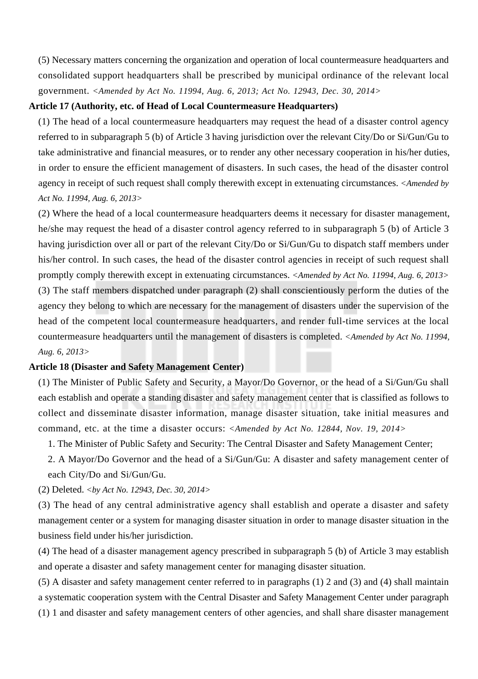(5) Necessary matters concerning the organization and operation of local countermeasure headquarters and consolidated support headquarters shall be prescribed by municipal ordinance of the relevant local government. *<Amended by Act No. 11994, Aug. 6, 2013; Act No. 12943, Dec. 30, 2014>*

#### **Article 17 (Authority, etc. of Head of Local Countermeasure Headquarters)**

(1) The head of a local countermeasure headquarters may request the head of a disaster control agency referred to in subparagraph 5 (b) of Article 3 having jurisdiction over the relevant City/Do or Si/Gun/Gu to take administrative and financial measures, or to render any other necessary cooperation in his/her duties, in order to ensure the efficient management of disasters. In such cases, the head of the disaster control agency in receipt of such request shall comply therewith except in extenuating circumstances. *<Amended by Act No. 11994, Aug. 6, 2013>*

(2) Where the head of a local countermeasure headquarters deems it necessary for disaster management, he/she may request the head of a disaster control agency referred to in subparagraph 5 (b) of Article 3 having jurisdiction over all or part of the relevant City/Do or Si/Gun/Gu to dispatch staff members under his/her control. In such cases, the head of the disaster control agencies in receipt of such request shall promptly comply therewith except in extenuating circumstances. *<Amended by Act No. 11994, Aug. 6, 2013>* (3) The staff members dispatched under paragraph (2) shall conscientiously perform the duties of the agency they belong to which are necessary for the management of disasters under the supervision of the head of the competent local countermeasure headquarters, and render full-time services at the local countermeasure headquarters until the management of disasters is completed. *<Amended by Act No. 11994, Aug. 6, 2013>*

#### **Article 18 (Disaster and Safety Management Center)**

(1) The Minister of Public Safety and Security, a Mayor/Do Governor, or the head of a Si/Gun/Gu shall each establish and operate a standing disaster and safety management center that is classified as follows to collect and disseminate disaster information, manage disaster situation, take initial measures and command, etc. at the time a disaster occurs: *<Amended by Act No. 12844, Nov. 19, 2014>*

- 1. The Minister of Public Safety and Security: The Central Disaster and Safety Management Center;
- 2. A Mayor/Do Governor and the head of a Si/Gun/Gu: A disaster and safety management center of each City/Do and Si/Gun/Gu.

(2) Deleted. *<by Act No. 12943, Dec. 30, 2014>*

(3) The head of any central administrative agency shall establish and operate a disaster and safety management center or a system for managing disaster situation in order to manage disaster situation in the business field under his/her jurisdiction.

(4) The head of a disaster management agency prescribed in subparagraph 5 (b) of Article 3 may establish and operate a disaster and safety management center for managing disaster situation.

(5) A disaster and safety management center referred to in paragraphs (1) 2 and (3) and (4) shall maintain a systematic cooperation system with the Central Disaster and Safety Management Center under paragraph (1) 1 and disaster and safety management centers of other agencies, and shall share disaster management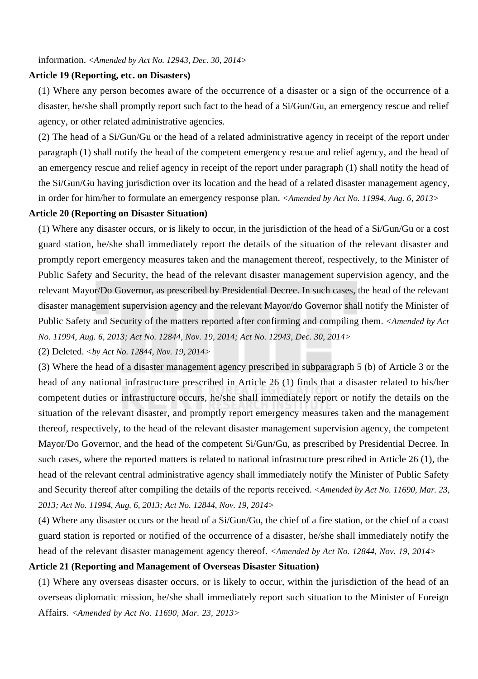information. *<Amended by Act No. 12943, Dec. 30, 2014>*

## **Article 19 (Reporting, etc. on Disasters)**

(1) Where any person becomes aware of the occurrence of a disaster or a sign of the occurrence of a disaster, he/she shall promptly report such fact to the head of a Si/Gun/Gu, an emergency rescue and relief agency, or other related administrative agencies.

(2) The head of a Si/Gun/Gu or the head of a related administrative agency in receipt of the report under paragraph (1) shall notify the head of the competent emergency rescue and relief agency, and the head of an emergency rescue and relief agency in receipt of the report under paragraph (1) shall notify the head of the Si/Gun/Gu having jurisdiction over its location and the head of a related disaster management agency, in order for him/her to formulate an emergency response plan. *<Amended by Act No. 11994, Aug. 6, 2013>*

#### **Article 20 (Reporting on Disaster Situation)**

(1) Where any disaster occurs, or is likely to occur, in the jurisdiction of the head of a Si/Gun/Gu or a cost guard station, he/she shall immediately report the details of the situation of the relevant disaster and promptly report emergency measures taken and the management thereof, respectively, to the Minister of Public Safety and Security, the head of the relevant disaster management supervision agency, and the relevant Mayor/Do Governor, as prescribed by Presidential Decree. In such cases, the head of the relevant disaster management supervision agency and the relevant Mayor/do Governor shall notify the Minister of Public Safety and Security of the matters reported after confirming and compiling them. *<Amended by Act No. 11994, Aug. 6, 2013; Act No. 12844, Nov. 19, 2014; Act No. 12943, Dec. 30, 2014>*

(2) Deleted. *<by Act No. 12844, Nov. 19, 2014>*

(3) Where the head of a disaster management agency prescribed in subparagraph 5 (b) of Article 3 or the head of any national infrastructure prescribed in Article 26 (1) finds that a disaster related to his/her competent duties or infrastructure occurs, he/she shall immediately report or notify the details on the situation of the relevant disaster, and promptly report emergency measures taken and the management thereof, respectively, to the head of the relevant disaster management supervision agency, the competent Mayor/Do Governor, and the head of the competent Si/Gun/Gu, as prescribed by Presidential Decree. In such cases, where the reported matters is related to national infrastructure prescribed in Article 26 (1), the head of the relevant central administrative agency shall immediately notify the Minister of Public Safety and Security thereof after compiling the details of the reports received. *<Amended by Act No. 11690, Mar. 23, 2013; Act No. 11994, Aug. 6, 2013; Act No. 12844, Nov. 19, 2014>*

(4) Where any disaster occurs or the head of a Si/Gun/Gu, the chief of a fire station, or the chief of a coast guard station is reported or notified of the occurrence of a disaster, he/she shall immediately notify the head of the relevant disaster management agency thereof. *<Amended by Act No. 12844, Nov. 19, 2014>*

# **Article 21 (Reporting and Management of Overseas Disaster Situation)**

(1) Where any overseas disaster occurs, or is likely to occur, within the jurisdiction of the head of an overseas diplomatic mission, he/she shall immediately report such situation to the Minister of Foreign Affairs. *<Amended by Act No. 11690, Mar. 23, 2013>*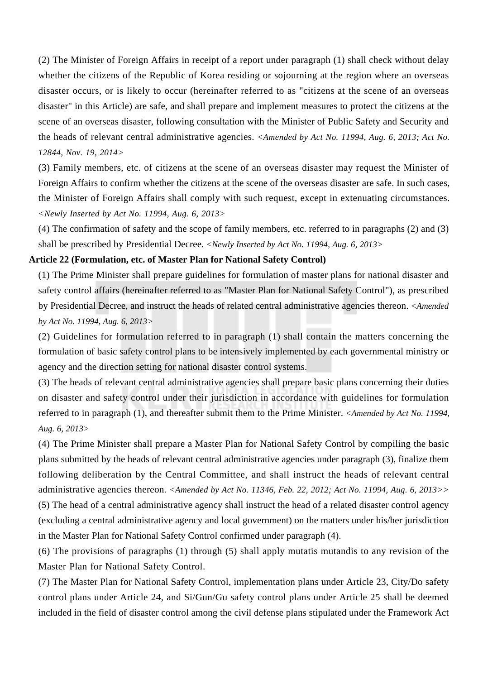(2) The Minister of Foreign Affairs in receipt of a report under paragraph (1) shall check without delay whether the citizens of the Republic of Korea residing or sojourning at the region where an overseas disaster occurs, or is likely to occur (hereinafter referred to as "citizens at the scene of an overseas disaster" in this Article) are safe, and shall prepare and implement measures to protect the citizens at the scene of an overseas disaster, following consultation with the Minister of Public Safety and Security and the heads of relevant central administrative agencies. *<Amended by Act No. 11994, Aug. 6, 2013; Act No. 12844, Nov. 19, 2014>*

(3) Family members, etc. of citizens at the scene of an overseas disaster may request the Minister of Foreign Affairs to confirm whether the citizens at the scene of the overseas disaster are safe. In such cases, the Minister of Foreign Affairs shall comply with such request, except in extenuating circumstances. *<Newly Inserted by Act No. 11994, Aug. 6, 2013>*

(4) The confirmation of safety and the scope of family members, etc. referred to in paragraphs (2) and (3) shall be prescribed by Presidential Decree. *<Newly Inserted by Act No. 11994, Aug. 6, 2013>*

### **Article 22 (Formulation, etc. of Master Plan for National Safety Control)**

(1) The Prime Minister shall prepare guidelines for formulation of master plans for national disaster and safety control affairs (hereinafter referred to as "Master Plan for National Safety Control"), as prescribed by Presidential Decree, and instruct the heads of related central administrative agencies thereon. *<Amended by Act No. 11994, Aug. 6, 2013>*

(2) Guidelines for formulation referred to in paragraph (1) shall contain the matters concerning the formulation of basic safety control plans to be intensively implemented by each governmental ministry or agency and the direction setting for national disaster control systems.

(3) The heads of relevant central administrative agencies shall prepare basic plans concerning their duties on disaster and safety control under their jurisdiction in accordance with guidelines for formulation referred to in paragraph (1), and thereafter submit them to the Prime Minister. *<Amended by Act No. 11994, Aug. 6, 2013>*

(4) The Prime Minister shall prepare a Master Plan for National Safety Control by compiling the basic plans submitted by the heads of relevant central administrative agencies under paragraph (3), finalize them following deliberation by the Central Committee, and shall instruct the heads of relevant central administrative agencies thereon. *<Amended by Act No. 11346, Feb. 22, 2012; Act No. 11994, Aug. 6, 2013>>* (5) The head of a central administrative agency shall instruct the head of a related disaster control agency (excluding a central administrative agency and local government) on the matters under his/her jurisdiction in the Master Plan for National Safety Control confirmed under paragraph (4).

(6) The provisions of paragraphs (1) through (5) shall apply mutatis mutandis to any revision of the Master Plan for National Safety Control.

(7) The Master Plan for National Safety Control, implementation plans under Article 23, City/Do safety control plans under Article 24, and Si/Gun/Gu safety control plans under Article 25 shall be deemed included in the field of disaster control among the civil defense plans stipulated under the Framework Act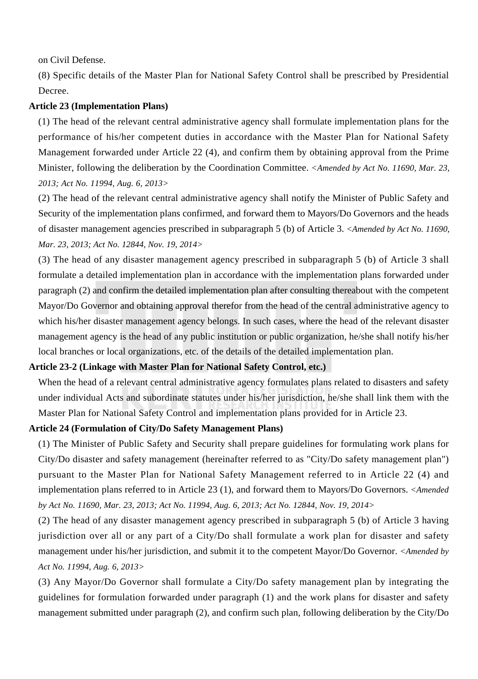on Civil Defense.

(8) Specific details of the Master Plan for National Safety Control shall be prescribed by Presidential Decree.

# **Article 23 (Implementation Plans)**

(1) The head of the relevant central administrative agency shall formulate implementation plans for the performance of his/her competent duties in accordance with the Master Plan for National Safety Management forwarded under Article 22 (4), and confirm them by obtaining approval from the Prime Minister, following the deliberation by the Coordination Committee. *<Amended by Act No. 11690, Mar. 23, 2013; Act No. 11994, Aug. 6, 2013>*

(2) The head of the relevant central administrative agency shall notify the Minister of Public Safety and Security of the implementation plans confirmed, and forward them to Mayors/Do Governors and the heads of disaster management agencies prescribed in subparagraph 5 (b) of Article 3. *<Amended by Act No. 11690, Mar. 23, 2013; Act No. 12844, Nov. 19, 2014>*

(3) The head of any disaster management agency prescribed in subparagraph 5 (b) of Article 3 shall formulate a detailed implementation plan in accordance with the implementation plans forwarded under paragraph (2) and confirm the detailed implementation plan after consulting thereabout with the competent Mayor/Do Governor and obtaining approval therefor from the head of the central administrative agency to which his/her disaster management agency belongs. In such cases, where the head of the relevant disaster management agency is the head of any public institution or public organization, he/she shall notify his/her local branches or local organizations, etc. of the details of the detailed implementation plan.

# **Article 23-2 (Linkage with Master Plan for National Safety Control, etc.)**

When the head of a relevant central administrative agency formulates plans related to disasters and safety under individual Acts and subordinate statutes under his/her jurisdiction, he/she shall link them with the Master Plan for National Safety Control and implementation plans provided for in Article 23.

# **Article 24 (Formulation of City/Do Safety Management Plans)**

(1) The Minister of Public Safety and Security shall prepare guidelines for formulating work plans for City/Do disaster and safety management (hereinafter referred to as "City/Do safety management plan") pursuant to the Master Plan for National Safety Management referred to in Article 22 (4) and implementation plans referred to in Article 23 (1), and forward them to Mayors/Do Governors. *<Amended by Act No. 11690, Mar. 23, 2013; Act No. 11994, Aug. 6, 2013; Act No. 12844, Nov. 19, 2014>*

(2) The head of any disaster management agency prescribed in subparagraph 5 (b) of Article 3 having jurisdiction over all or any part of a City/Do shall formulate a work plan for disaster and safety management under his/her jurisdiction, and submit it to the competent Mayor/Do Governor. *<Amended by Act No. 11994, Aug. 6, 2013>*

(3) Any Mayor/Do Governor shall formulate a City/Do safety management plan by integrating the guidelines for formulation forwarded under paragraph (1) and the work plans for disaster and safety management submitted under paragraph (2), and confirm such plan, following deliberation by the City/Do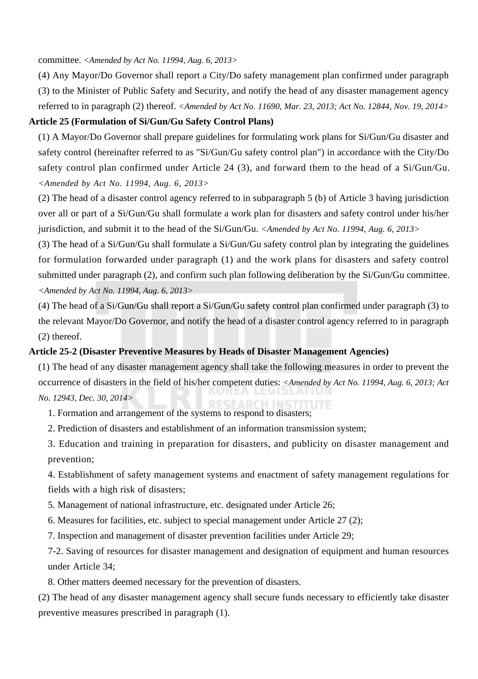committee. *<Amended by Act No. 11994, Aug. 6, 2013>*

(4) Any Mayor/Do Governor shall report a City/Do safety management plan confirmed under paragraph (3) to the Minister of Public Safety and Security, and notify the head of any disaster management agency referred to in paragraph (2) thereof. *<Amended by Act No. 11690, Mar. 23, 2013; Act No. 12844, Nov. 19, 2014>*

# **Article 25 (Formulation of Si/Gun/Gu Safety Control Plans)**

(1) A Mayor/Do Governor shall prepare guidelines for formulating work plans for Si/Gun/Gu disaster and safety control (hereinafter referred to as "Si/Gun/Gu safety control plan") in accordance with the City/Do safety control plan confirmed under Article 24 (3), and forward them to the head of a Si/Gun/Gu. *<Amended by Act No. 11994, Aug. 6, 2013>*

(2) The head of a disaster control agency referred to in subparagraph 5 (b) of Article 3 having jurisdiction over all or part of a Si/Gun/Gu shall formulate a work plan for disasters and safety control under his/her jurisdiction, and submit it to the head of the Si/Gun/Gu. *<Amended by Act No. 11994, Aug. 6, 2013>*

(3) The head of a Si/Gun/Gu shall formulate a Si/Gun/Gu safety control plan by integrating the guidelines for formulation forwarded under paragraph (1) and the work plans for disasters and safety control submitted under paragraph (2), and confirm such plan following deliberation by the Si/Gun/Gu committee. *<Amended by Act No. 11994, Aug. 6, 2013>*

(4) The head of a Si/Gun/Gu shall report a Si/Gun/Gu safety control plan confirmed under paragraph (3) to the relevant Mayor/Do Governor, and notify the head of a disaster control agency referred to in paragraph (2) thereof.

# **Article 25-2 (Disaster Preventive Measures by Heads of Disaster Management Agencies)**

(1) The head of any disaster management agency shall take the following measures in order to prevent the occurrence of disasters in the field of his/her competent duties: *<Amended by Act No. 11994, Aug. 6, 2013; Act No. 12943, Dec. 30, 2014>*

1. Formation and arrangement of the systems to respond to disasters;

2. Prediction of disasters and establishment of an information transmission system;

3. Education and training in preparation for disasters, and publicity on disaster management and prevention;

4. Establishment of safety management systems and enactment of safety management regulations for fields with a high risk of disasters;

5. Management of national infrastructure, etc. designated under Article 26;

6. Measures for facilities, etc. subject to special management under Article 27 (2);

7. Inspection and management of disaster prevention facilities under Article 29;

7-2. Saving of resources for disaster management and designation of equipment and human resources under Article 34;

8. Other matters deemed necessary for the prevention of disasters.

(2) The head of any disaster management agency shall secure funds necessary to efficiently take disaster preventive measures prescribed in paragraph (1).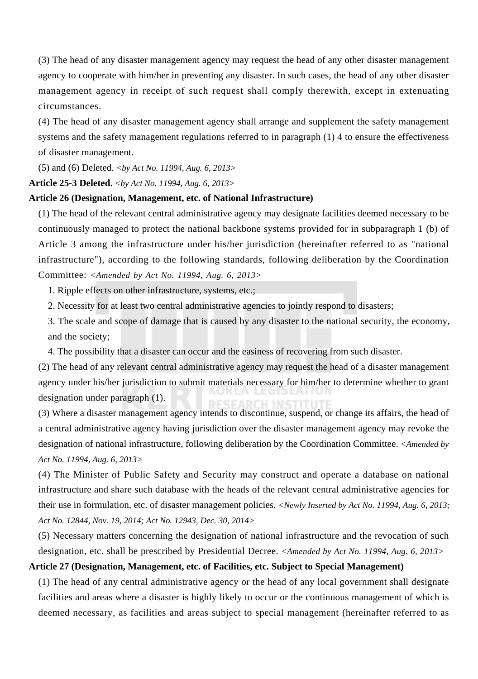(3) The head of any disaster management agency may request the head of any other disaster management agency to cooperate with him/her in preventing any disaster. In such cases, the head of any other disaster management agency in receipt of such request shall comply therewith, except in extenuating circumstances.

(4) The head of any disaster management agency shall arrange and supplement the safety management systems and the safety management regulations referred to in paragraph (1) 4 to ensure the effectiveness of disaster management.

(5) and (6) Deleted. *<by Act No. 11994, Aug. 6, 2013>*

#### **Article 25-3 Deleted.** *<by Act No. 11994, Aug. 6, 2013>*

#### **Article 26 (Designation, Management, etc. of National Infrastructure)**

(1) The head of the relevant central administrative agency may designate facilities deemed necessary to be continuously managed to protect the national backbone systems provided for in subparagraph 1 (b) of Article 3 among the infrastructure under his/her jurisdiction (hereinafter referred to as "national infrastructure"), according to the following standards, following deliberation by the Coordination Committee: *<Amended by Act No. 11994, Aug. 6, 2013>*

1. Ripple effects on other infrastructure, systems, etc.;

2. Necessity for at least two central administrative agencies to jointly respond to disasters;

3. The scale and scope of damage that is caused by any disaster to the national security, the economy, and the society;

4. The possibility that a disaster can occur and the easiness of recovering from such disaster.

(2) The head of any relevant central administrative agency may request the head of a disaster management agency under his/her jurisdiction to submit materials necessary for him/her to determine whether to grant designation under paragraph (1).

(3) Where a disaster management agency intends to discontinue, suspend, or change its affairs, the head of a central administrative agency having jurisdiction over the disaster management agency may revoke the designation of national infrastructure, following deliberation by the Coordination Committee. *<Amended by Act No. 11994, Aug. 6, 2013>*

(4) The Minister of Public Safety and Security may construct and operate a database on national infrastructure and share such database with the heads of the relevant central administrative agencies for their use in formulation, etc. of disaster management policies. *<Newly Inserted by Act No. 11994, Aug. 6, 2013; Act No. 12844, Nov. 19, 2014; Act No. 12943, Dec. 30, 2014>*

(5) Necessary matters concerning the designation of national infrastructure and the revocation of such designation, etc. shall be prescribed by Presidential Decree. *<Amended by Act No. 11994, Aug. 6, 2013>*

# **Article 27 (Designation, Management, etc. of Facilities, etc. Subject to Special Management)**

(1) The head of any central administrative agency or the head of any local government shall designate facilities and areas where a disaster is highly likely to occur or the continuous management of which is deemed necessary, as facilities and areas subject to special management (hereinafter referred to as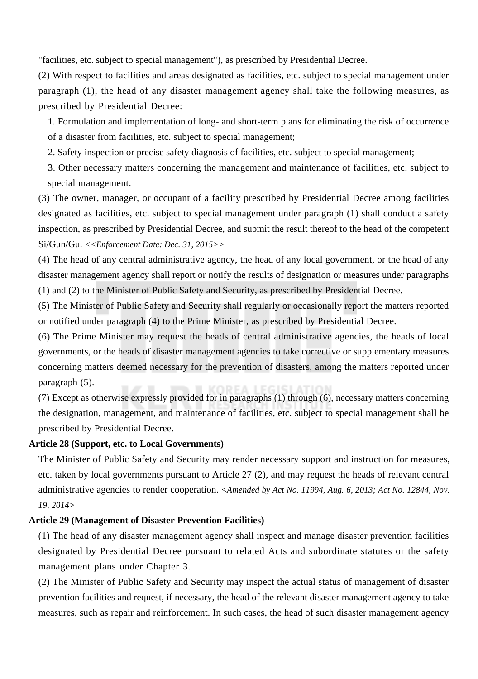"facilities, etc. subject to special management"), as prescribed by Presidential Decree.

(2) With respect to facilities and areas designated as facilities, etc. subject to special management under paragraph (1), the head of any disaster management agency shall take the following measures, as prescribed by Presidential Decree:

1. Formulation and implementation of long- and short-term plans for eliminating the risk of occurrence of a disaster from facilities, etc. subject to special management;

2. Safety inspection or precise safety diagnosis of facilities, etc. subject to special management;

3. Other necessary matters concerning the management and maintenance of facilities, etc. subject to special management.

(3) The owner, manager, or occupant of a facility prescribed by Presidential Decree among facilities designated as facilities, etc. subject to special management under paragraph (1) shall conduct a safety inspection, as prescribed by Presidential Decree, and submit the result thereof to the head of the competent Si/Gun/Gu. *<<Enforcement Date: Dec. 31, 2015>>*

(4) The head of any central administrative agency, the head of any local government, or the head of any disaster management agency shall report or notify the results of designation or measures under paragraphs (1) and (2) to the Minister of Public Safety and Security, as prescribed by Presidential Decree.

(5) The Minister of Public Safety and Security shall regularly or occasionally report the matters reported or notified under paragraph (4) to the Prime Minister, as prescribed by Presidential Decree.

(6) The Prime Minister may request the heads of central administrative agencies, the heads of local governments, or the heads of disaster management agencies to take corrective or supplementary measures concerning matters deemed necessary for the prevention of disasters, among the matters reported under paragraph (5).

(7) Except as otherwise expressly provided for in paragraphs (1) through (6), necessary matters concerning the designation, management, and maintenance of facilities, etc. subject to special management shall be prescribed by Presidential Decree.

# **Article 28 (Support, etc. to Local Governments)**

The Minister of Public Safety and Security may render necessary support and instruction for measures, etc. taken by local governments pursuant to Article 27 (2), and may request the heads of relevant central administrative agencies to render cooperation. *<Amended by Act No. 11994, Aug. 6, 2013; Act No. 12844, Nov. 19, 2014>*

# **Article 29 (Management of Disaster Prevention Facilities)**

(1) The head of any disaster management agency shall inspect and manage disaster prevention facilities designated by Presidential Decree pursuant to related Acts and subordinate statutes or the safety management plans under Chapter 3.

(2) The Minister of Public Safety and Security may inspect the actual status of management of disaster prevention facilities and request, if necessary, the head of the relevant disaster management agency to take measures, such as repair and reinforcement. In such cases, the head of such disaster management agency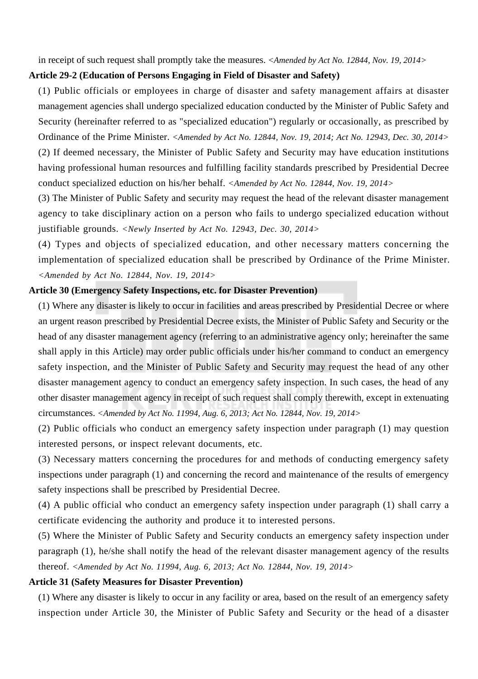in receipt of such request shall promptly take the measures. *<Amended by Act No. 12844, Nov. 19, 2014>*

# **Article 29-2 (Education of Persons Engaging in Field of Disaster and Safety)**

(1) Public officials or employees in charge of disaster and safety management affairs at disaster management agencies shall undergo specialized education conducted by the Minister of Public Safety and Security (hereinafter referred to as "specialized education") regularly or occasionally, as prescribed by Ordinance of the Prime Minister. *<Amended by Act No. 12844, Nov. 19, 2014; Act No. 12943, Dec. 30, 2014>* (2) If deemed necessary, the Minister of Public Safety and Security may have education institutions having professional human resources and fulfilling facility standards prescribed by Presidential Decree conduct specialized eduction on his/her behalf. *<Amended by Act No. 12844, Nov. 19, 2014>*

(3) The Minister of Public Safety and security may request the head of the relevant disaster management agency to take disciplinary action on a person who fails to undergo specialized education without justifiable grounds. *<Newly Inserted by Act No. 12943, Dec. 30, 2014>*

(4) Types and objects of specialized education, and other necessary matters concerning the implementation of specialized education shall be prescribed by Ordinance of the Prime Minister. *<Amended by Act No. 12844, Nov. 19, 2014>*

#### **Article 30 (Emergency Safety Inspections, etc. for Disaster Prevention)**

(1) Where any disaster is likely to occur in facilities and areas prescribed by Presidential Decree or where an urgent reason prescribed by Presidential Decree exists, the Minister of Public Safety and Security or the head of any disaster management agency (referring to an administrative agency only; hereinafter the same shall apply in this Article) may order public officials under his/her command to conduct an emergency safety inspection, and the Minister of Public Safety and Security may request the head of any other disaster management agency to conduct an emergency safety inspection. In such cases, the head of any other disaster management agency in receipt of such request shall comply therewith, except in extenuating circumstances. *<Amended by Act No. 11994, Aug. 6, 2013; Act No. 12844, Nov. 19, 2014>*

(2) Public officials who conduct an emergency safety inspection under paragraph (1) may question interested persons, or inspect relevant documents, etc.

(3) Necessary matters concerning the procedures for and methods of conducting emergency safety inspections under paragraph (1) and concerning the record and maintenance of the results of emergency safety inspections shall be prescribed by Presidential Decree.

(4) A public official who conduct an emergency safety inspection under paragraph (1) shall carry a certificate evidencing the authority and produce it to interested persons.

(5) Where the Minister of Public Safety and Security conducts an emergency safety inspection under paragraph (1), he/she shall notify the head of the relevant disaster management agency of the results thereof. *<Amended by Act No. 11994, Aug. 6, 2013; Act No. 12844, Nov. 19, 2014>*

#### **Article 31 (Safety Measures for Disaster Prevention)**

(1) Where any disaster is likely to occur in any facility or area, based on the result of an emergency safety inspection under Article 30, the Minister of Public Safety and Security or the head of a disaster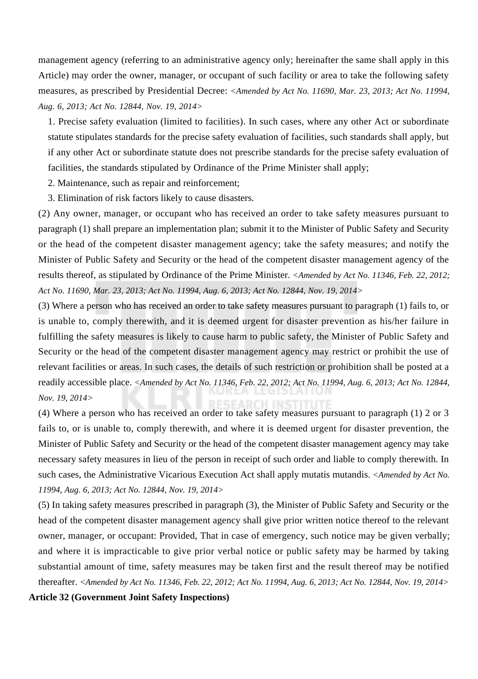management agency (referring to an administrative agency only; hereinafter the same shall apply in this Article) may order the owner, manager, or occupant of such facility or area to take the following safety measures, as prescribed by Presidential Decree: *<Amended by Act No. 11690, Mar. 23, 2013; Act No. 11994, Aug. 6, 2013; Act No. 12844, Nov. 19, 2014>*

1. Precise safety evaluation (limited to facilities). In such cases, where any other Act or subordinate statute stipulates standards for the precise safety evaluation of facilities, such standards shall apply, but if any other Act or subordinate statute does not prescribe standards for the precise safety evaluation of facilities, the standards stipulated by Ordinance of the Prime Minister shall apply;

2. Maintenance, such as repair and reinforcement;

3. Elimination of risk factors likely to cause disasters.

(2) Any owner, manager, or occupant who has received an order to take safety measures pursuant to paragraph (1) shall prepare an implementation plan; submit it to the Minister of Public Safety and Security or the head of the competent disaster management agency; take the safety measures; and notify the Minister of Public Safety and Security or the head of the competent disaster management agency of the results thereof, as stipulated by Ordinance of the Prime Minister. *<Amended by Act No. 11346, Feb. 22, 2012; Act No. 11690, Mar. 23, 2013; Act No. 11994, Aug. 6, 2013; Act No. 12844, Nov. 19, 2014>*

(3) Where a person who has received an order to take safety measures pursuant to paragraph (1) fails to, or is unable to, comply therewith, and it is deemed urgent for disaster prevention as his/her failure in fulfilling the safety measures is likely to cause harm to public safety, the Minister of Public Safety and Security or the head of the competent disaster management agency may restrict or prohibit the use of relevant facilities or areas. In such cases, the details of such restriction or prohibition shall be posted at a readily accessible place. *<Amended by Act No. 11346, Feb. 22, 2012; Act No. 11994, Aug. 6, 2013; Act No. 12844, Nov. 19, 2014>*

(4) Where a person who has received an order to take safety measures pursuant to paragraph (1) 2 or 3 fails to, or is unable to, comply therewith, and where it is deemed urgent for disaster prevention, the Minister of Public Safety and Security or the head of the competent disaster management agency may take necessary safety measures in lieu of the person in receipt of such order and liable to comply therewith. In such cases, the Administrative Vicarious Execution Act shall apply mutatis mutandis. *<Amended by Act No. 11994, Aug. 6, 2013; Act No. 12844, Nov. 19, 2014>*

(5) In taking safety measures prescribed in paragraph (3), the Minister of Public Safety and Security or the head of the competent disaster management agency shall give prior written notice thereof to the relevant owner, manager, or occupant: Provided, That in case of emergency, such notice may be given verbally; and where it is impracticable to give prior verbal notice or public safety may be harmed by taking substantial amount of time, safety measures may be taken first and the result thereof may be notified thereafter. *<Amended by Act No. 11346, Feb. 22, 2012; Act No. 11994, Aug. 6, 2013; Act No. 12844, Nov. 19, 2014>*

**Article 32 (Government Joint Safety Inspections)**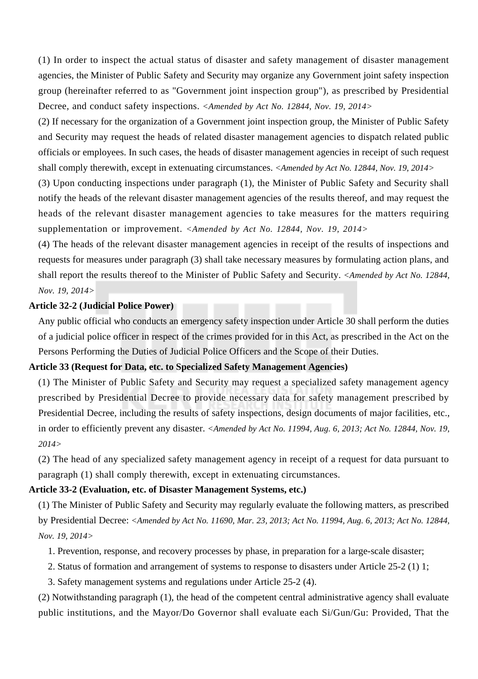(1) In order to inspect the actual status of disaster and safety management of disaster management agencies, the Minister of Public Safety and Security may organize any Government joint safety inspection group (hereinafter referred to as "Government joint inspection group"), as prescribed by Presidential Decree, and conduct safety inspections. *<Amended by Act No. 12844, Nov. 19, 2014>*

(2) If necessary for the organization of a Government joint inspection group, the Minister of Public Safety and Security may request the heads of related disaster management agencies to dispatch related public officials or employees. In such cases, the heads of disaster management agencies in receipt of such request shall comply therewith, except in extenuating circumstances. *<Amended by Act No. 12844, Nov. 19, 2014>*

(3) Upon conducting inspections under paragraph (1), the Minister of Public Safety and Security shall notify the heads of the relevant disaster management agencies of the results thereof, and may request the heads of the relevant disaster management agencies to take measures for the matters requiring supplementation or improvement. *<Amended by Act No. 12844, Nov. 19, 2014>*

(4) The heads of the relevant disaster management agencies in receipt of the results of inspections and requests for measures under paragraph (3) shall take necessary measures by formulating action plans, and shall report the results thereof to the Minister of Public Safety and Security. *<Amended by Act No. 12844, Nov. 19, 2014>*

# **Article 32-2 (Judicial Police Power)**

Any public official who conducts an emergency safety inspection under Article 30 shall perform the duties of a judicial police officer in respect of the crimes provided for in this Act, as prescribed in the Act on the Persons Performing the Duties of Judicial Police Officers and the Scope of their Duties.

# **Article 33 (Request for Data, etc. to Specialized Safety Management Agencies)**

(1) The Minister of Public Safety and Security may request a specialized safety management agency prescribed by Presidential Decree to provide necessary data for safety management prescribed by Presidential Decree, including the results of safety inspections, design documents of major facilities, etc., in order to efficiently prevent any disaster. *<Amended by Act No. 11994, Aug. 6, 2013; Act No. 12844, Nov. 19, 2014>*

(2) The head of any specialized safety management agency in receipt of a request for data pursuant to paragraph (1) shall comply therewith, except in extenuating circumstances.

#### **Article 33-2 (Evaluation, etc. of Disaster Management Systems, etc.)**

(1) The Minister of Public Safety and Security may regularly evaluate the following matters, as prescribed by Presidential Decree: *<Amended by Act No. 11690, Mar. 23, 2013; Act No. 11994, Aug. 6, 2013; Act No. 12844, Nov. 19, 2014>*

- 1. Prevention, response, and recovery processes by phase, in preparation for a large-scale disaster;
- 2. Status of formation and arrangement of systems to response to disasters under Article 25-2 (1) 1;
- 3. Safety management systems and regulations under Article 25-2 (4).

(2) Notwithstanding paragraph (1), the head of the competent central administrative agency shall evaluate public institutions, and the Mayor/Do Governor shall evaluate each Si/Gun/Gu: Provided, That the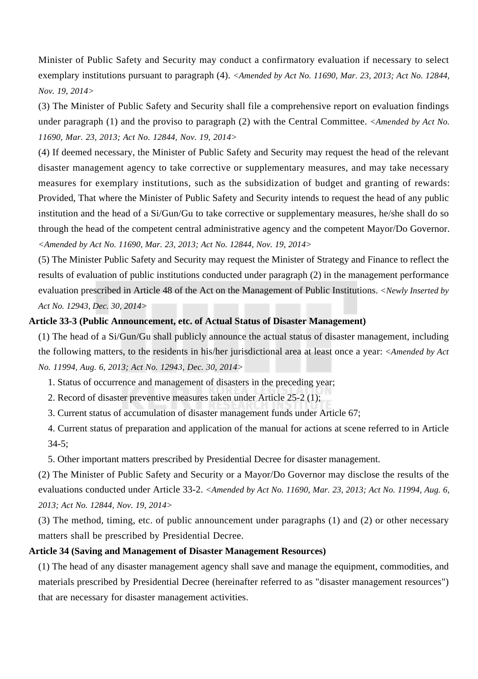Minister of Public Safety and Security may conduct a confirmatory evaluation if necessary to select exemplary institutions pursuant to paragraph (4). *<Amended by Act No. 11690, Mar. 23, 2013; Act No. 12844, Nov. 19, 2014>*

(3) The Minister of Public Safety and Security shall file a comprehensive report on evaluation findings under paragraph (1) and the proviso to paragraph (2) with the Central Committee. *<Amended by Act No. 11690, Mar. 23, 2013; Act No. 12844, Nov. 19, 2014>*

(4) If deemed necessary, the Minister of Public Safety and Security may request the head of the relevant disaster management agency to take corrective or supplementary measures, and may take necessary measures for exemplary institutions, such as the subsidization of budget and granting of rewards: Provided, That where the Minister of Public Safety and Security intends to request the head of any public institution and the head of a Si/Gun/Gu to take corrective or supplementary measures, he/she shall do so through the head of the competent central administrative agency and the competent Mayor/Do Governor. *<Amended by Act No. 11690, Mar. 23, 2013; Act No. 12844, Nov. 19, 2014>*

(5) The Minister Public Safety and Security may request the Minister of Strategy and Finance to reflect the results of evaluation of public institutions conducted under paragraph (2) in the management performance evaluation prescribed in Article 48 of the Act on the Management of Public Institutions. *<Newly Inserted by Act No. 12943, Dec. 30, 2014>*

# **Article 33-3 (Public Announcement, etc. of Actual Status of Disaster Management)**

(1) The head of a Si/Gun/Gu shall publicly announce the actual status of disaster management, including the following matters, to the residents in his/her jurisdictional area at least once a year: *<Amended by Act No. 11994, Aug. 6, 2013; Act No. 12943, Dec. 30, 2014>*

1. Status of occurrence and management of disasters in the preceding year;

2. Record of disaster preventive measures taken under Article 25-2 (1);

3. Current status of accumulation of disaster management funds under Article 67;

4. Current status of preparation and application of the manual for actions at scene referred to in Article 34-5;

5. Other important matters prescribed by Presidential Decree for disaster management.

(2) The Minister of Public Safety and Security or a Mayor/Do Governor may disclose the results of the evaluations conducted under Article 33-2. *<Amended by Act No. 11690, Mar. 23, 2013; Act No. 11994, Aug. 6, 2013; Act No. 12844, Nov. 19, 2014>*

(3) The method, timing, etc. of public announcement under paragraphs (1) and (2) or other necessary matters shall be prescribed by Presidential Decree.

# **Article 34 (Saving and Management of Disaster Management Resources)**

(1) The head of any disaster management agency shall save and manage the equipment, commodities, and materials prescribed by Presidential Decree (hereinafter referred to as "disaster management resources") that are necessary for disaster management activities.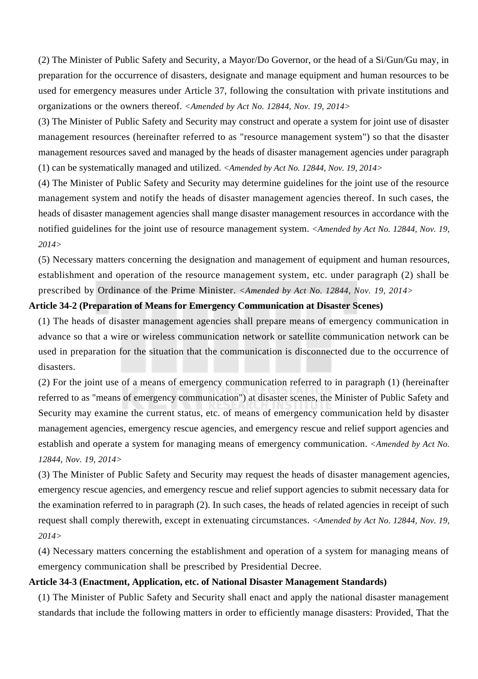(2) The Minister of Public Safety and Security, a Mayor/Do Governor, or the head of a Si/Gun/Gu may, in preparation for the occurrence of disasters, designate and manage equipment and human resources to be used for emergency measures under Article 37, following the consultation with private institutions and organizations or the owners thereof. *<Amended by Act No. 12844, Nov. 19, 2014>*

(3) The Minister of Public Safety and Security may construct and operate a system for joint use of disaster management resources (hereinafter referred to as "resource management system") so that the disaster management resources saved and managed by the heads of disaster management agencies under paragraph (1) can be systematically managed and utilized. *<Amended by Act No. 12844, Nov. 19, 2014>*

(4) The Minister of Public Safety and Security may determine guidelines for the joint use of the resource management system and notify the heads of disaster management agencies thereof. In such cases, the heads of disaster management agencies shall mange disaster management resources in accordance with the notified guidelines for the joint use of resource management system. *<Amended by Act No. 12844, Nov. 19, 2014>*

(5) Necessary matters concerning the designation and management of equipment and human resources, establishment and operation of the resource management system, etc. under paragraph (2) shall be prescribed by Ordinance of the Prime Minister. *<Amended by Act No. 12844, Nov. 19, 2014>*

#### **Article 34-2 (Preparation of Means for Emergency Communication at Disaster Scenes)**

(1) The heads of disaster management agencies shall prepare means of emergency communication in advance so that a wire or wireless communication network or satellite communication network can be used in preparation for the situation that the communication is disconnected due to the occurrence of disasters.

(2) For the joint use of a means of emergency communication referred to in paragraph (1) (hereinafter referred to as "means of emergency communication") at disaster scenes, the Minister of Public Safety and Security may examine the current status, etc. of means of emergency communication held by disaster management agencies, emergency rescue agencies, and emergency rescue and relief support agencies and establish and operate a system for managing means of emergency communication. *<Amended by Act No. 12844, Nov. 19, 2014>*

(3) The Minister of Public Safety and Security may request the heads of disaster management agencies, emergency rescue agencies, and emergency rescue and relief support agencies to submit necessary data for the examination referred to in paragraph (2). In such cases, the heads of related agencies in receipt of such request shall comply therewith, except in extenuating circumstances. *<Amended by Act No. 12844, Nov. 19, 2014>*

(4) Necessary matters concerning the establishment and operation of a system for managing means of emergency communication shall be prescribed by Presidential Decree.

## **Article 34-3 (Enactment, Application, etc. of National Disaster Management Standards)**

(1) The Minister of Public Safety and Security shall enact and apply the national disaster management standards that include the following matters in order to efficiently manage disasters: Provided, That the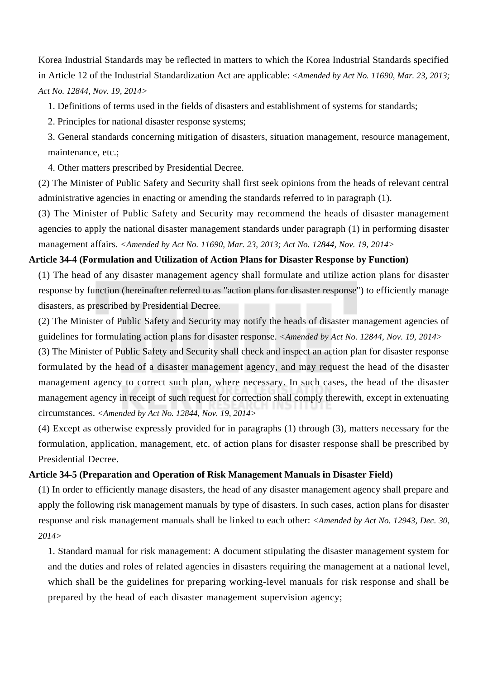Korea Industrial Standards may be reflected in matters to which the Korea Industrial Standards specified in Article 12 of the Industrial Standardization Act are applicable: *<Amended by Act No. 11690, Mar. 23, 2013; Act No. 12844, Nov. 19, 2014>*

1. Definitions of terms used in the fields of disasters and establishment of systems for standards;

2. Principles for national disaster response systems;

3. General standards concerning mitigation of disasters, situation management, resource management, maintenance, etc.;

4. Other matters prescribed by Presidential Decree.

(2) The Minister of Public Safety and Security shall first seek opinions from the heads of relevant central administrative agencies in enacting or amending the standards referred to in paragraph (1).

(3) The Minister of Public Safety and Security may recommend the heads of disaster management agencies to apply the national disaster management standards under paragraph (1) in performing disaster management affairs. *<Amended by Act No. 11690, Mar. 23, 2013; Act No. 12844, Nov. 19, 2014>*

#### **Article 34-4 (Formulation and Utilization of Action Plans for Disaster Response by Function)**

(1) The head of any disaster management agency shall formulate and utilize action plans for disaster response by function (hereinafter referred to as "action plans for disaster response") to efficiently manage disasters, as prescribed by Presidential Decree.

(2) The Minister of Public Safety and Security may notify the heads of disaster management agencies of guidelines for formulating action plans for disaster response. *<Amended by Act No. 12844, Nov. 19, 2014>*

(3) The Minister of Public Safety and Security shall check and inspect an action plan for disaster response formulated by the head of a disaster management agency, and may request the head of the disaster management agency to correct such plan, where necessary. In such cases, the head of the disaster management agency in receipt of such request for correction shall comply therewith, except in extenuating circumstances. *<Amended by Act No. 12844, Nov. 19, 2014>*

(4) Except as otherwise expressly provided for in paragraphs (1) through (3), matters necessary for the formulation, application, management, etc. of action plans for disaster response shall be prescribed by Presidential Decree.

#### **Article 34-5 (Preparation and Operation of Risk Management Manuals in Disaster Field)**

(1) In order to efficiently manage disasters, the head of any disaster management agency shall prepare and apply the following risk management manuals by type of disasters. In such cases, action plans for disaster response and risk management manuals shall be linked to each other: *<Amended by Act No. 12943, Dec. 30, 2014>*

1. Standard manual for risk management: A document stipulating the disaster management system for and the duties and roles of related agencies in disasters requiring the management at a national level, which shall be the guidelines for preparing working-level manuals for risk response and shall be prepared by the head of each disaster management supervision agency;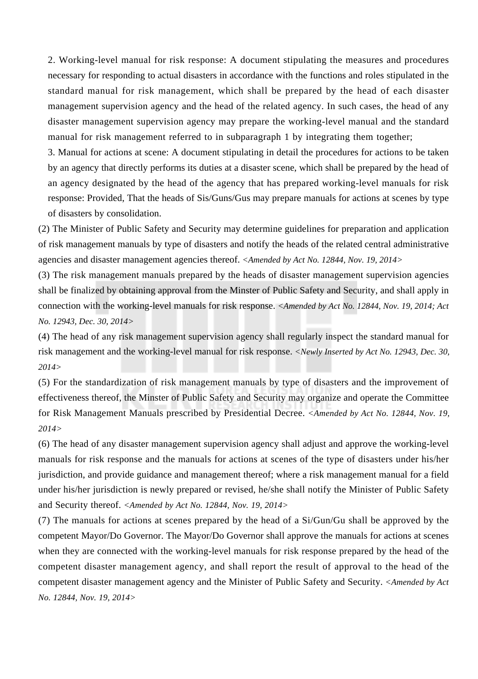2. Working-level manual for risk response: A document stipulating the measures and procedures necessary for responding to actual disasters in accordance with the functions and roles stipulated in the standard manual for risk management, which shall be prepared by the head of each disaster management supervision agency and the head of the related agency. In such cases, the head of any disaster management supervision agency may prepare the working-level manual and the standard manual for risk management referred to in subparagraph 1 by integrating them together;

3. Manual for actions at scene: A document stipulating in detail the procedures for actions to be taken by an agency that directly performs its duties at a disaster scene, which shall be prepared by the head of an agency designated by the head of the agency that has prepared working-level manuals for risk response: Provided, That the heads of Sis/Guns/Gus may prepare manuals for actions at scenes by type of disasters by consolidation.

(2) The Minister of Public Safety and Security may determine guidelines for preparation and application of risk management manuals by type of disasters and notify the heads of the related central administrative agencies and disaster management agencies thereof. *<Amended by Act No. 12844, Nov. 19, 2014>*

(3) The risk management manuals prepared by the heads of disaster management supervision agencies shall be finalized by obtaining approval from the Minster of Public Safety and Security, and shall apply in connection with the working-level manuals for risk response. *<Amended by Act No. 12844, Nov. 19, 2014; Act No. 12943, Dec. 30, 2014>*

(4) The head of any risk management supervision agency shall regularly inspect the standard manual for risk management and the working-level manual for risk response. *<Newly Inserted by Act No. 12943, Dec. 30, 2014>*

(5) For the standardization of risk management manuals by type of disasters and the improvement of effectiveness thereof, the Minster of Public Safety and Security may organize and operate the Committee for Risk Management Manuals prescribed by Presidential Decree. *<Amended by Act No. 12844, Nov. 19, 2014>*

(6) The head of any disaster management supervision agency shall adjust and approve the working-level manuals for risk response and the manuals for actions at scenes of the type of disasters under his/her jurisdiction, and provide guidance and management thereof; where a risk management manual for a field under his/her jurisdiction is newly prepared or revised, he/she shall notify the Minister of Public Safety and Security thereof. *<Amended by Act No. 12844, Nov. 19, 2014>*

(7) The manuals for actions at scenes prepared by the head of a Si/Gun/Gu shall be approved by the competent Mayor/Do Governor. The Mayor/Do Governor shall approve the manuals for actions at scenes when they are connected with the working-level manuals for risk response prepared by the head of the competent disaster management agency, and shall report the result of approval to the head of the competent disaster management agency and the Minister of Public Safety and Security. *<Amended by Act No. 12844, Nov. 19, 2014>*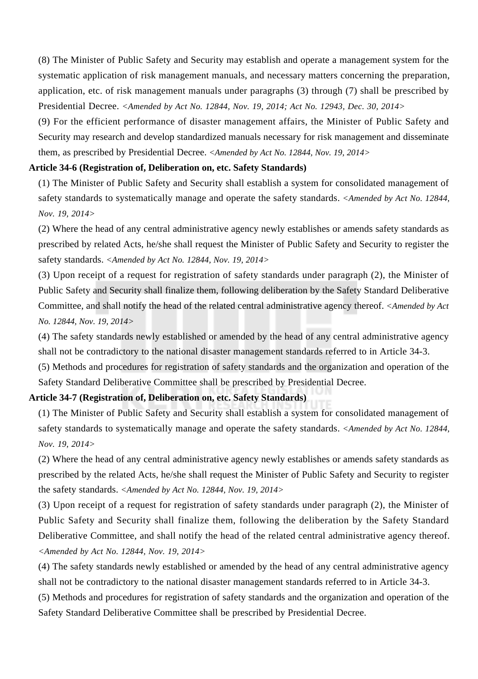(8) The Minister of Public Safety and Security may establish and operate a management system for the systematic application of risk management manuals, and necessary matters concerning the preparation, application, etc. of risk management manuals under paragraphs (3) through (7) shall be prescribed by Presidential Decree. *<Amended by Act No. 12844, Nov. 19, 2014; Act No. 12943, Dec. 30, 2014>*

(9) For the efficient performance of disaster management affairs, the Minister of Public Safety and Security may research and develop standardized manuals necessary for risk management and disseminate them, as prescribed by Presidential Decree. *<Amended by Act No. 12844, Nov. 19, 2014>*

# **Article 34-6 (Registration of, Deliberation on, etc. Safety Standards)**

(1) The Minister of Public Safety and Security shall establish a system for consolidated management of safety standards to systematically manage and operate the safety standards. *<Amended by Act No. 12844, Nov. 19, 2014>*

(2) Where the head of any central administrative agency newly establishes or amends safety standards as prescribed by related Acts, he/she shall request the Minister of Public Safety and Security to register the safety standards. *<Amended by Act No. 12844, Nov. 19, 2014>*

(3) Upon receipt of a request for registration of safety standards under paragraph (2), the Minister of Public Safety and Security shall finalize them, following deliberation by the Safety Standard Deliberative Committee, and shall notify the head of the related central administrative agency thereof. *<Amended by Act No. 12844, Nov. 19, 2014>*

(4) The safety standards newly established or amended by the head of any central administrative agency shall not be contradictory to the national disaster management standards referred to in Article 34-3.

(5) Methods and procedures for registration of safety standards and the organization and operation of the Safety Standard Deliberative Committee shall be prescribed by Presidential Decree.

# **Article 34-7 (Registration of, Deliberation on, etc. Safety Standards)**

(1) The Minister of Public Safety and Security shall establish a system for consolidated management of safety standards to systematically manage and operate the safety standards. *<Amended by Act No. 12844, Nov. 19, 2014>*

(2) Where the head of any central administrative agency newly establishes or amends safety standards as prescribed by the related Acts, he/she shall request the Minister of Public Safety and Security to register the safety standards. *<Amended by Act No. 12844, Nov. 19, 2014>*

(3) Upon receipt of a request for registration of safety standards under paragraph (2), the Minister of Public Safety and Security shall finalize them, following the deliberation by the Safety Standard Deliberative Committee, and shall notify the head of the related central administrative agency thereof. *<Amended by Act No. 12844, Nov. 19, 2014>*

(4) The safety standards newly established or amended by the head of any central administrative agency shall not be contradictory to the national disaster management standards referred to in Article 34-3.

(5) Methods and procedures for registration of safety standards and the organization and operation of the Safety Standard Deliberative Committee shall be prescribed by Presidential Decree.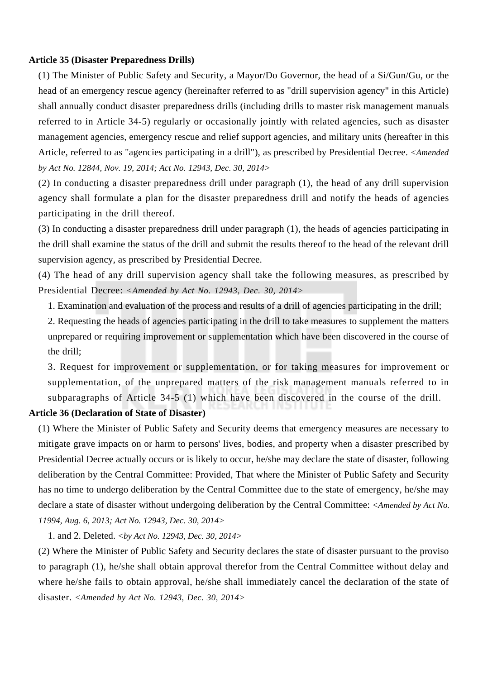#### **Article 35 (Disaster Preparedness Drills)**

(1) The Minister of Public Safety and Security, a Mayor/Do Governor, the head of a Si/Gun/Gu, or the head of an emergency rescue agency (hereinafter referred to as "drill supervision agency" in this Article) shall annually conduct disaster preparedness drills (including drills to master risk management manuals referred to in Article 34-5) regularly or occasionally jointly with related agencies, such as disaster management agencies, emergency rescue and relief support agencies, and military units (hereafter in this Article, referred to as "agencies participating in a drill"), as prescribed by Presidential Decree. *<Amended by Act No. 12844, Nov. 19, 2014; Act No. 12943, Dec. 30, 2014>*

(2) In conducting a disaster preparedness drill under paragraph (1), the head of any drill supervision agency shall formulate a plan for the disaster preparedness drill and notify the heads of agencies participating in the drill thereof.

(3) In conducting a disaster preparedness drill under paragraph (1), the heads of agencies participating in the drill shall examine the status of the drill and submit the results thereof to the head of the relevant drill supervision agency, as prescribed by Presidential Decree.

(4) The head of any drill supervision agency shall take the following measures, as prescribed by Presidential Decree: *<Amended by Act No. 12943, Dec. 30, 2014>*

1. Examination and evaluation of the process and results of a drill of agencies participating in the drill;

2. Requesting the heads of agencies participating in the drill to take measures to supplement the matters unprepared or requiring improvement or supplementation which have been discovered in the course of the drill;

3. Request for improvement or supplementation, or for taking measures for improvement or supplementation, of the unprepared matters of the risk management manuals referred to in subparagraphs of Article 34-5 (1) which have been discovered in the course of the drill.

# **Article 36 (Declaration of State of Disaster)**

(1) Where the Minister of Public Safety and Security deems that emergency measures are necessary to mitigate grave impacts on or harm to persons' lives, bodies, and property when a disaster prescribed by Presidential Decree actually occurs or is likely to occur, he/she may declare the state of disaster, following deliberation by the Central Committee: Provided, That where the Minister of Public Safety and Security has no time to undergo deliberation by the Central Committee due to the state of emergency, he/she may declare a state of disaster without undergoing deliberation by the Central Committee: *<Amended by Act No. 11994, Aug. 6, 2013; Act No. 12943, Dec. 30, 2014>*

1. and 2. Deleted. *<by Act No. 12943, Dec. 30, 2014>*

(2) Where the Minister of Public Safety and Security declares the state of disaster pursuant to the proviso to paragraph (1), he/she shall obtain approval therefor from the Central Committee without delay and where he/she fails to obtain approval, he/she shall immediately cancel the declaration of the state of disaster. *<Amended by Act No. 12943, Dec. 30, 2014>*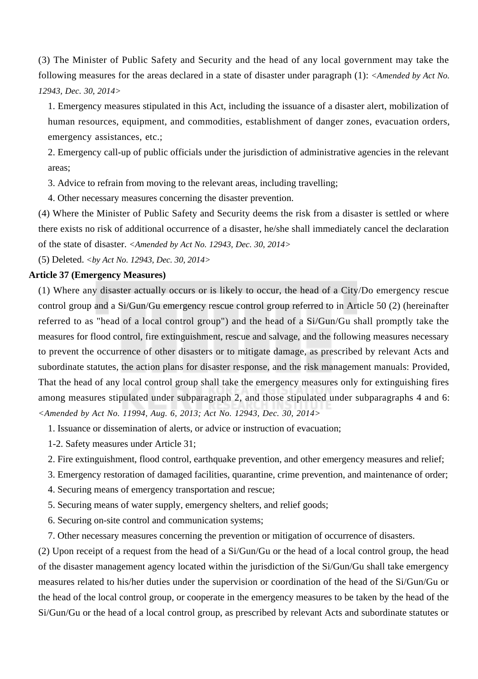(3) The Minister of Public Safety and Security and the head of any local government may take the following measures for the areas declared in a state of disaster under paragraph (1): *<Amended by Act No. 12943, Dec. 30, 2014>*

1. Emergency measures stipulated in this Act, including the issuance of a disaster alert, mobilization of human resources, equipment, and commodities, establishment of danger zones, evacuation orders, emergency assistances, etc.;

2. Emergency call-up of public officials under the jurisdiction of administrative agencies in the relevant areas;

3. Advice to refrain from moving to the relevant areas, including travelling;

4. Other necessary measures concerning the disaster prevention.

(4) Where the Minister of Public Safety and Security deems the risk from a disaster is settled or where there exists no risk of additional occurrence of a disaster, he/she shall immediately cancel the declaration of the state of disaster. *<Amended by Act No. 12943, Dec. 30, 2014>*

(5) Deleted. *<by Act No. 12943, Dec. 30, 2014>*

#### **Article 37 (Emergency Measures)**

(1) Where any disaster actually occurs or is likely to occur, the head of a City/Do emergency rescue control group and a Si/Gun/Gu emergency rescue control group referred to in Article 50 (2) (hereinafter referred to as "head of a local control group") and the head of a Si/Gun/Gu shall promptly take the measures for flood control, fire extinguishment, rescue and salvage, and the following measures necessary to prevent the occurrence of other disasters or to mitigate damage, as prescribed by relevant Acts and subordinate statutes, the action plans for disaster response, and the risk management manuals: Provided, That the head of any local control group shall take the emergency measures only for extinguishing fires among measures stipulated under subparagraph 2, and those stipulated under subparagraphs 4 and 6: *<Amended by Act No. 11994, Aug. 6, 2013; Act No. 12943, Dec. 30, 2014>*

1. Issuance or dissemination of alerts, or advice or instruction of evacuation;

- 1-2. Safety measures under Article 31;
- 2. Fire extinguishment, flood control, earthquake prevention, and other emergency measures and relief;
- 3. Emergency restoration of damaged facilities, quarantine, crime prevention, and maintenance of order;
- 4. Securing means of emergency transportation and rescue;
- 5. Securing means of water supply, emergency shelters, and relief goods;
- 6. Securing on-site control and communication systems;
- 7. Other necessary measures concerning the prevention or mitigation of occurrence of disasters.

(2) Upon receipt of a request from the head of a Si/Gun/Gu or the head of a local control group, the head of the disaster management agency located within the jurisdiction of the Si/Gun/Gu shall take emergency measures related to his/her duties under the supervision or coordination of the head of the Si/Gun/Gu or the head of the local control group, or cooperate in the emergency measures to be taken by the head of the Si/Gun/Gu or the head of a local control group, as prescribed by relevant Acts and subordinate statutes or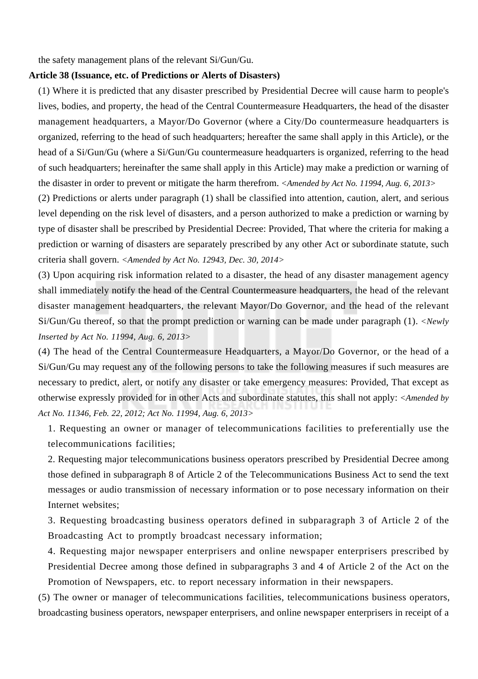the safety management plans of the relevant Si/Gun/Gu.

#### **Article 38 (Issuance, etc. of Predictions or Alerts of Disasters)**

(1) Where it is predicted that any disaster prescribed by Presidential Decree will cause harm to people's lives, bodies, and property, the head of the Central Countermeasure Headquarters, the head of the disaster management headquarters, a Mayor/Do Governor (where a City/Do countermeasure headquarters is organized, referring to the head of such headquarters; hereafter the same shall apply in this Article), or the head of a Si/Gun/Gu (where a Si/Gun/Gu countermeasure headquarters is organized, referring to the head of such headquarters; hereinafter the same shall apply in this Article) may make a prediction or warning of the disaster in order to prevent or mitigate the harm therefrom. *<Amended by Act No. 11994, Aug. 6, 2013>*

(2) Predictions or alerts under paragraph (1) shall be classified into attention, caution, alert, and serious level depending on the risk level of disasters, and a person authorized to make a prediction or warning by type of disaster shall be prescribed by Presidential Decree: Provided, That where the criteria for making a prediction or warning of disasters are separately prescribed by any other Act or subordinate statute, such criteria shall govern. *<Amended by Act No. 12943, Dec. 30, 2014>*

(3) Upon acquiring risk information related to a disaster, the head of any disaster management agency shall immediately notify the head of the Central Countermeasure headquarters, the head of the relevant disaster management headquarters, the relevant Mayor/Do Governor, and the head of the relevant Si/Gun/Gu thereof, so that the prompt prediction or warning can be made under paragraph (1). *<Newly Inserted by Act No. 11994, Aug. 6, 2013>*

(4) The head of the Central Countermeasure Headquarters, a Mayor/Do Governor, or the head of a Si/Gun/Gu may request any of the following persons to take the following measures if such measures are necessary to predict, alert, or notify any disaster or take emergency measures: Provided, That except as otherwise expressly provided for in other Acts and subordinate statutes, this shall not apply: *<Amended by Act No. 11346, Feb. 22, 2012; Act No. 11994, Aug. 6, 2013>*

1. Requesting an owner or manager of telecommunications facilities to preferentially use the telecommunications facilities;

2. Requesting major telecommunications business operators prescribed by Presidential Decree among those defined in subparagraph 8 of Article 2 of the Telecommunications Business Act to send the text messages or audio transmission of necessary information or to pose necessary information on their Internet websites;

3. Requesting broadcasting business operators defined in subparagraph 3 of Article 2 of the Broadcasting Act to promptly broadcast necessary information;

4. Requesting major newspaper enterprisers and online newspaper enterprisers prescribed by Presidential Decree among those defined in subparagraphs 3 and 4 of Article 2 of the Act on the Promotion of Newspapers, etc. to report necessary information in their newspapers.

(5) The owner or manager of telecommunications facilities, telecommunications business operators, broadcasting business operators, newspaper enterprisers, and online newspaper enterprisers in receipt of a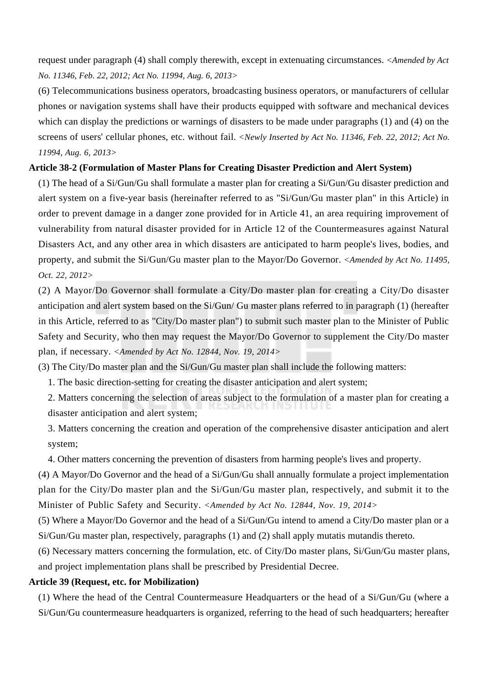request under paragraph (4) shall comply therewith, except in extenuating circumstances. *<Amended by Act No. 11346, Feb. 22, 2012; Act No. 11994, Aug. 6, 2013>*

(6) Telecommunications business operators, broadcasting business operators, or manufacturers of cellular phones or navigation systems shall have their products equipped with software and mechanical devices which can display the predictions or warnings of disasters to be made under paragraphs (1) and (4) on the screens of users' cellular phones, etc. without fail. *<Newly Inserted by Act No. 11346, Feb. 22, 2012; Act No. 11994, Aug. 6, 2013>*

# **Article 38-2 (Formulation of Master Plans for Creating Disaster Prediction and Alert System)**

(1) The head of a Si/Gun/Gu shall formulate a master plan for creating a Si/Gun/Gu disaster prediction and alert system on a five-year basis (hereinafter referred to as "Si/Gun/Gu master plan" in this Article) in order to prevent damage in a danger zone provided for in Article 41, an area requiring improvement of vulnerability from natural disaster provided for in Article 12 of the Countermeasures against Natural Disasters Act, and any other area in which disasters are anticipated to harm people's lives, bodies, and property, and submit the Si/Gun/Gu master plan to the Mayor/Do Governor. *<Amended by Act No. 11495, Oct. 22, 2012>*

(2) A Mayor/Do Governor shall formulate a City/Do master plan for creating a City/Do disaster anticipation and alert system based on the Si/Gun/ Gu master plans referred to in paragraph (1) (hereafter in this Article, referred to as "City/Do master plan") to submit such master plan to the Minister of Public Safety and Security, who then may request the Mayor/Do Governor to supplement the City/Do master plan, if necessary. *<Amended by Act No. 12844, Nov. 19, 2014>*

(3) The City/Do master plan and the Si/Gun/Gu master plan shall include the following matters:

1. The basic direction-setting for creating the disaster anticipation and alert system;

2. Matters concerning the selection of areas subject to the formulation of a master plan for creating a disaster anticipation and alert system;

3. Matters concerning the creation and operation of the comprehensive disaster anticipation and alert system;

4. Other matters concerning the prevention of disasters from harming people's lives and property.

(4) A Mayor/Do Governor and the head of a Si/Gun/Gu shall annually formulate a project implementation plan for the City/Do master plan and the Si/Gun/Gu master plan, respectively, and submit it to the Minister of Public Safety and Security. *<Amended by Act No. 12844, Nov. 19, 2014>*

(5) Where a Mayor/Do Governor and the head of a Si/Gun/Gu intend to amend a City/Do master plan or a Si/Gun/Gu master plan, respectively, paragraphs (1) and (2) shall apply mutatis mutandis thereto.

(6) Necessary matters concerning the formulation, etc. of City/Do master plans, Si/Gun/Gu master plans, and project implementation plans shall be prescribed by Presidential Decree.

## **Article 39 (Request, etc. for Mobilization)**

(1) Where the head of the Central Countermeasure Headquarters or the head of a Si/Gun/Gu (where a Si/Gun/Gu countermeasure headquarters is organized, referring to the head of such headquarters; hereafter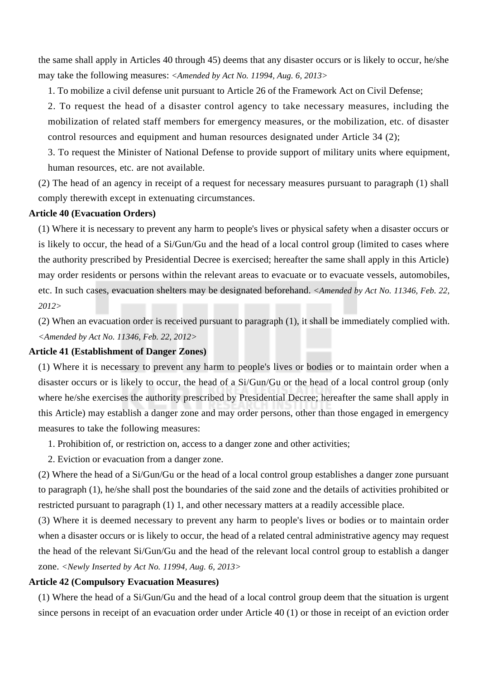the same shall apply in Articles 40 through 45) deems that any disaster occurs or is likely to occur, he/she may take the following measures: *<Amended by Act No. 11994, Aug. 6, 2013>*

1. To mobilize a civil defense unit pursuant to Article 26 of the Framework Act on Civil Defense;

2. To request the head of a disaster control agency to take necessary measures, including the mobilization of related staff members for emergency measures, or the mobilization, etc. of disaster control resources and equipment and human resources designated under Article 34 (2);

3. To request the Minister of National Defense to provide support of military units where equipment, human resources, etc. are not available.

(2) The head of an agency in receipt of a request for necessary measures pursuant to paragraph (1) shall comply therewith except in extenuating circumstances.

#### **Article 40 (Evacuation Orders)**

(1) Where it is necessary to prevent any harm to people's lives or physical safety when a disaster occurs or is likely to occur, the head of a Si/Gun/Gu and the head of a local control group (limited to cases where the authority prescribed by Presidential Decree is exercised; hereafter the same shall apply in this Article) may order residents or persons within the relevant areas to evacuate or to evacuate vessels, automobiles, etc. In such cases, evacuation shelters may be designated beforehand. *<Amended by Act No. 11346, Feb. 22, 2012>*

(2) When an evacuation order is received pursuant to paragraph (1), it shall be immediately complied with. *<Amended by Act No. 11346, Feb. 22, 2012>*

#### **Article 41 (Establishment of Danger Zones)**

(1) Where it is necessary to prevent any harm to people's lives or bodies or to maintain order when a disaster occurs or is likely to occur, the head of a Si/Gun/Gu or the head of a local control group (only where he/she exercises the authority prescribed by Presidential Decree; hereafter the same shall apply in this Article) may establish a danger zone and may order persons, other than those engaged in emergency measures to take the following measures:

- 1. Prohibition of, or restriction on, access to a danger zone and other activities;
- 2. Eviction or evacuation from a danger zone.

(2) Where the head of a Si/Gun/Gu or the head of a local control group establishes a danger zone pursuant to paragraph (1), he/she shall post the boundaries of the said zone and the details of activities prohibited or restricted pursuant to paragraph (1) 1, and other necessary matters at a readily accessible place.

(3) Where it is deemed necessary to prevent any harm to people's lives or bodies or to maintain order when a disaster occurs or is likely to occur, the head of a related central administrative agency may request the head of the relevant Si/Gun/Gu and the head of the relevant local control group to establish a danger zone. *<Newly Inserted by Act No. 11994, Aug. 6, 2013>*

#### **Article 42 (Compulsory Evacuation Measures)**

(1) Where the head of a Si/Gun/Gu and the head of a local control group deem that the situation is urgent since persons in receipt of an evacuation order under Article 40 (1) or those in receipt of an eviction order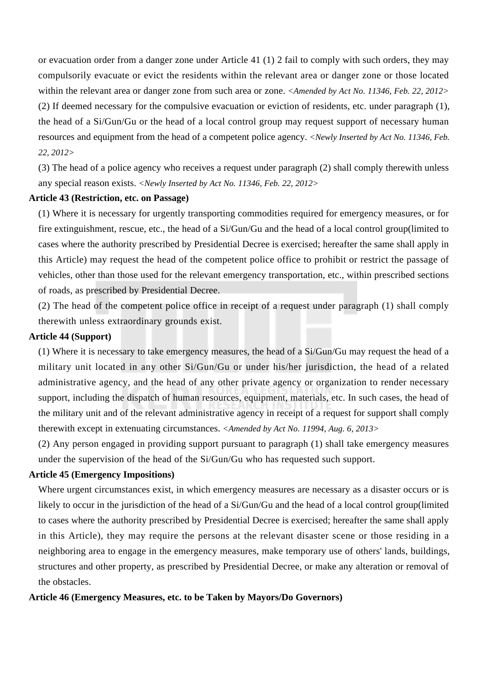or evacuation order from a danger zone under Article 41 (1) 2 fail to comply with such orders, they may compulsorily evacuate or evict the residents within the relevant area or danger zone or those located within the relevant area or danger zone from such area or zone. *<Amended by Act No. 11346, Feb. 22, 2012>* (2) If deemed necessary for the compulsive evacuation or eviction of residents, etc. under paragraph (1), the head of a Si/Gun/Gu or the head of a local control group may request support of necessary human resources and equipment from the head of a competent police agency. *<Newly Inserted by Act No. 11346, Feb. 22, 2012>*

(3) The head of a police agency who receives a request under paragraph (2) shall comply therewith unless any special reason exists. *<Newly Inserted by Act No. 11346, Feb. 22, 2012>*

# **Article 43 (Restriction, etc. on Passage)**

(1) Where it is necessary for urgently transporting commodities required for emergency measures, or for fire extinguishment, rescue, etc., the head of a Si/Gun/Gu and the head of a local control group(limited to cases where the authority prescribed by Presidential Decree is exercised; hereafter the same shall apply in this Article) may request the head of the competent police office to prohibit or restrict the passage of vehicles, other than those used for the relevant emergency transportation, etc., within prescribed sections of roads, as prescribed by Presidential Decree.

(2) The head of the competent police office in receipt of a request under paragraph (1) shall comply therewith unless extraordinary grounds exist.

#### **Article 44 (Support)**

(1) Where it is necessary to take emergency measures, the head of a Si/Gun/Gu may request the head of a military unit located in any other Si/Gun/Gu or under his/her jurisdiction, the head of a related administrative agency, and the head of any other private agency or organization to render necessary support, including the dispatch of human resources, equipment, materials, etc. In such cases, the head of the military unit and of the relevant administrative agency in receipt of a request for support shall comply therewith except in extenuating circumstances. *<Amended by Act No. 11994, Aug. 6, 2013>*

(2) Any person engaged in providing support pursuant to paragraph (1) shall take emergency measures under the supervision of the head of the Si/Gun/Gu who has requested such support.

#### **Article 45 (Emergency Impositions)**

Where urgent circumstances exist, in which emergency measures are necessary as a disaster occurs or is likely to occur in the jurisdiction of the head of a Si/Gun/Gu and the head of a local control group(limited to cases where the authority prescribed by Presidential Decree is exercised; hereafter the same shall apply in this Article), they may require the persons at the relevant disaster scene or those residing in a neighboring area to engage in the emergency measures, make temporary use of others' lands, buildings, structures and other property, as prescribed by Presidential Decree, or make any alteration or removal of the obstacles.

#### **Article 46 (Emergency Measures, etc. to be Taken by Mayors/Do Governors)**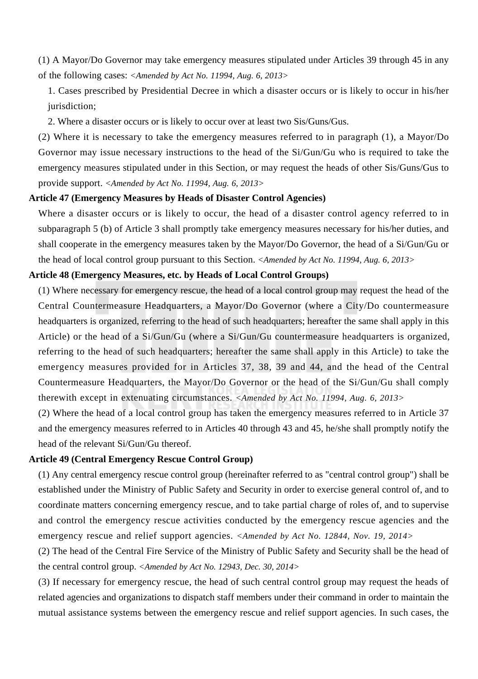(1) A Mayor/Do Governor may take emergency measures stipulated under Articles 39 through 45 in any of the following cases: *<Amended by Act No. 11994, Aug. 6, 2013>*

1. Cases prescribed by Presidential Decree in which a disaster occurs or is likely to occur in his/her jurisdiction;

2. Where a disaster occurs or is likely to occur over at least two Sis/Guns/Gus.

(2) Where it is necessary to take the emergency measures referred to in paragraph (1), a Mayor/Do Governor may issue necessary instructions to the head of the Si/Gun/Gu who is required to take the emergency measures stipulated under in this Section, or may request the heads of other Sis/Guns/Gus to provide support. *<Amended by Act No. 11994, Aug. 6, 2013>*

#### **Article 47 (Emergency Measures by Heads of Disaster Control Agencies)**

Where a disaster occurs or is likely to occur, the head of a disaster control agency referred to in subparagraph 5 (b) of Article 3 shall promptly take emergency measures necessary for his/her duties, and shall cooperate in the emergency measures taken by the Mayor/Do Governor, the head of a Si/Gun/Gu or the head of local control group pursuant to this Section. *<Amended by Act No. 11994, Aug. 6, 2013>*

# **Article 48 (Emergency Measures, etc. by Heads of Local Control Groups)**

(1) Where necessary for emergency rescue, the head of a local control group may request the head of the Central Countermeasure Headquarters, a Mayor/Do Governor (where a City/Do countermeasure headquarters is organized, referring to the head of such headquarters; hereafter the same shall apply in this Article) or the head of a Si/Gun/Gu (where a Si/Gun/Gu countermeasure headquarters is organized, referring to the head of such headquarters; hereafter the same shall apply in this Article) to take the emergency measures provided for in Articles 37, 38, 39 and 44, and the head of the Central Countermeasure Headquarters, the Mayor/Do Governor or the head of the Si/Gun/Gu shall comply therewith except in extenuating circumstances. *<Amended by Act No. 11994, Aug. 6, 2013>*

(2) Where the head of a local control group has taken the emergency measures referred to in Article 37 and the emergency measures referred to in Articles 40 through 43 and 45, he/she shall promptly notify the head of the relevant Si/Gun/Gu thereof.

#### **Article 49 (Central Emergency Rescue Control Group)**

(1) Any central emergency rescue control group (hereinafter referred to as "central control group") shall be established under the Ministry of Public Safety and Security in order to exercise general control of, and to coordinate matters concerning emergency rescue, and to take partial charge of roles of, and to supervise and control the emergency rescue activities conducted by the emergency rescue agencies and the emergency rescue and relief support agencies. *<Amended by Act No. 12844, Nov. 19, 2014>*

(2) The head of the Central Fire Service of the Ministry of Public Safety and Security shall be the head of the central control group. *<Amended by Act No. 12943, Dec. 30, 2014>*

(3) If necessary for emergency rescue, the head of such central control group may request the heads of related agencies and organizations to dispatch staff members under their command in order to maintain the mutual assistance systems between the emergency rescue and relief support agencies. In such cases, the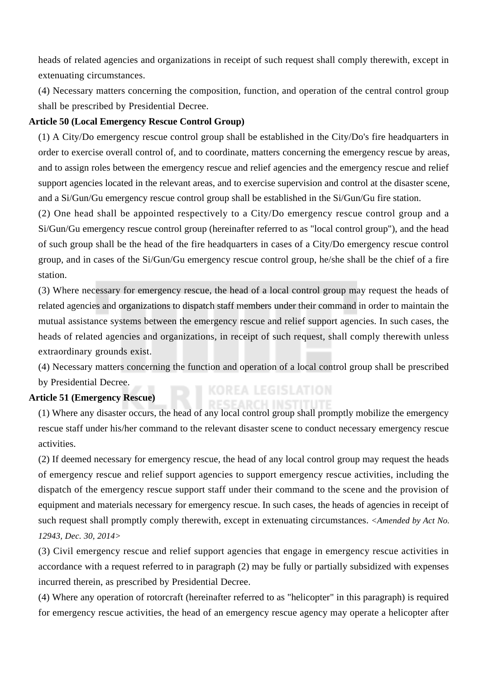heads of related agencies and organizations in receipt of such request shall comply therewith, except in extenuating circumstances.

(4) Necessary matters concerning the composition, function, and operation of the central control group shall be prescribed by Presidential Decree.

# **Article 50 (Local Emergency Rescue Control Group)**

(1) A City/Do emergency rescue control group shall be established in the City/Do's fire headquarters in order to exercise overall control of, and to coordinate, matters concerning the emergency rescue by areas, and to assign roles between the emergency rescue and relief agencies and the emergency rescue and relief support agencies located in the relevant areas, and to exercise supervision and control at the disaster scene, and a Si/Gun/Gu emergency rescue control group shall be established in the Si/Gun/Gu fire station.

(2) One head shall be appointed respectively to a City/Do emergency rescue control group and a Si/Gun/Gu emergency rescue control group (hereinafter referred to as "local control group"), and the head of such group shall be the head of the fire headquarters in cases of a City/Do emergency rescue control group, and in cases of the Si/Gun/Gu emergency rescue control group, he/she shall be the chief of a fire station.

(3) Where necessary for emergency rescue, the head of a local control group may request the heads of related agencies and organizations to dispatch staff members under their command in order to maintain the mutual assistance systems between the emergency rescue and relief support agencies. In such cases, the heads of related agencies and organizations, in receipt of such request, shall comply therewith unless extraordinary grounds exist.

(4) Necessary matters concerning the function and operation of a local control group shall be prescribed by Presidential Decree.

#### **Article 51 (Emergency Rescue)**

(1) Where any disaster occurs, the head of any local control group shall promptly mobilize the emergency rescue staff under his/her command to the relevant disaster scene to conduct necessary emergency rescue activities.

(2) If deemed necessary for emergency rescue, the head of any local control group may request the heads of emergency rescue and relief support agencies to support emergency rescue activities, including the dispatch of the emergency rescue support staff under their command to the scene and the provision of equipment and materials necessary for emergency rescue. In such cases, the heads of agencies in receipt of such request shall promptly comply therewith, except in extenuating circumstances. *<Amended by Act No. 12943, Dec. 30, 2014>*

(3) Civil emergency rescue and relief support agencies that engage in emergency rescue activities in accordance with a request referred to in paragraph (2) may be fully or partially subsidized with expenses incurred therein, as prescribed by Presidential Decree.

(4) Where any operation of rotorcraft (hereinafter referred to as "helicopter" in this paragraph) is required for emergency rescue activities, the head of an emergency rescue agency may operate a helicopter after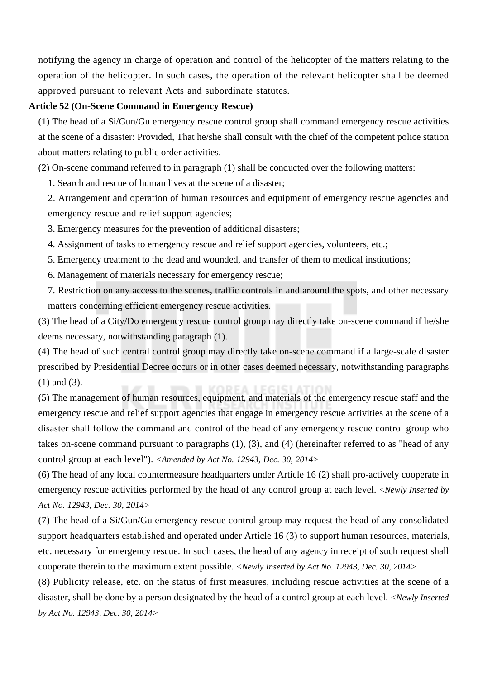notifying the agency in charge of operation and control of the helicopter of the matters relating to the operation of the helicopter. In such cases, the operation of the relevant helicopter shall be deemed approved pursuant to relevant Acts and subordinate statutes.

#### **Article 52 (On-Scene Command in Emergency Rescue)**

(1) The head of a Si/Gun/Gu emergency rescue control group shall command emergency rescue activities at the scene of a disaster: Provided, That he/she shall consult with the chief of the competent police station about matters relating to public order activities.

(2) On-scene command referred to in paragraph (1) shall be conducted over the following matters:

1. Search and rescue of human lives at the scene of a disaster;

2. Arrangement and operation of human resources and equipment of emergency rescue agencies and emergency rescue and relief support agencies;

3. Emergency measures for the prevention of additional disasters;

4. Assignment of tasks to emergency rescue and relief support agencies, volunteers, etc.;

5. Emergency treatment to the dead and wounded, and transfer of them to medical institutions;

6. Management of materials necessary for emergency rescue;

7. Restriction on any access to the scenes, traffic controls in and around the spots, and other necessary matters concerning efficient emergency rescue activities.

(3) The head of a City/Do emergency rescue control group may directly take on-scene command if he/she deems necessary, notwithstanding paragraph (1).

(4) The head of such central control group may directly take on-scene command if a large-scale disaster prescribed by Presidential Decree occurs or in other cases deemed necessary, notwithstanding paragraphs (1) and (3).

(5) The management of human resources, equipment, and materials of the emergency rescue staff and the emergency rescue and relief support agencies that engage in emergency rescue activities at the scene of a disaster shall follow the command and control of the head of any emergency rescue control group who takes on-scene command pursuant to paragraphs (1), (3), and (4) (hereinafter referred to as "head of any control group at each level"). *<Amended by Act No. 12943, Dec. 30, 2014>*

(6) The head of any local countermeasure headquarters under Article 16 (2) shall pro-actively cooperate in emergency rescue activities performed by the head of any control group at each level. *<Newly Inserted by Act No. 12943, Dec. 30, 2014>*

(7) The head of a Si/Gun/Gu emergency rescue control group may request the head of any consolidated support headquarters established and operated under Article 16 (3) to support human resources, materials, etc. necessary for emergency rescue. In such cases, the head of any agency in receipt of such request shall cooperate therein to the maximum extent possible. *<Newly Inserted by Act No. 12943, Dec. 30, 2014>*

(8) Publicity release, etc. on the status of first measures, including rescue activities at the scene of a disaster, shall be done by a person designated by the head of a control group at each level. *<Newly Inserted by Act No. 12943, Dec. 30, 2014>*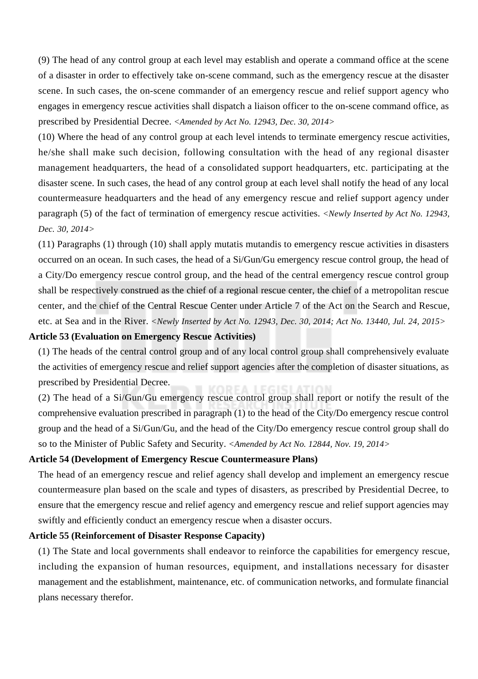(9) The head of any control group at each level may establish and operate a command office at the scene of a disaster in order to effectively take on-scene command, such as the emergency rescue at the disaster scene. In such cases, the on-scene commander of an emergency rescue and relief support agency who engages in emergency rescue activities shall dispatch a liaison officer to the on-scene command office, as prescribed by Presidential Decree. *<Amended by Act No. 12943, Dec. 30, 2014>*

(10) Where the head of any control group at each level intends to terminate emergency rescue activities, he/she shall make such decision, following consultation with the head of any regional disaster management headquarters, the head of a consolidated support headquarters, etc. participating at the disaster scene. In such cases, the head of any control group at each level shall notify the head of any local countermeasure headquarters and the head of any emergency rescue and relief support agency under paragraph (5) of the fact of termination of emergency rescue activities. *<Newly Inserted by Act No. 12943, Dec. 30, 2014>*

(11) Paragraphs (1) through (10) shall apply mutatis mutandis to emergency rescue activities in disasters occurred on an ocean. In such cases, the head of a Si/Gun/Gu emergency rescue control group, the head of a City/Do emergency rescue control group, and the head of the central emergency rescue control group shall be respectively construed as the chief of a regional rescue center, the chief of a metropolitan rescue center, and the chief of the Central Rescue Center under Article 7 of the Act on the Search and Rescue, etc. at Sea and in the River. *<Newly Inserted by Act No. 12943, Dec. 30, 2014; Act No. 13440, Jul. 24, 2015>*

#### **Article 53 (Evaluation on Emergency Rescue Activities)**

(1) The heads of the central control group and of any local control group shall comprehensively evaluate the activities of emergency rescue and relief support agencies after the completion of disaster situations, as prescribed by Presidential Decree.

(2) The head of a Si/Gun/Gu emergency rescue control group shall report or notify the result of the comprehensive evaluation prescribed in paragraph (1) to the head of the City/Do emergency rescue control group and the head of a Si/Gun/Gu, and the head of the City/Do emergency rescue control group shall do so to the Minister of Public Safety and Security. *<Amended by Act No. 12844, Nov. 19, 2014>*

#### **Article 54 (Development of Emergency Rescue Countermeasure Plans)**

The head of an emergency rescue and relief agency shall develop and implement an emergency rescue countermeasure plan based on the scale and types of disasters, as prescribed by Presidential Decree, to ensure that the emergency rescue and relief agency and emergency rescue and relief support agencies may swiftly and efficiently conduct an emergency rescue when a disaster occurs.

# **Article 55 (Reinforcement of Disaster Response Capacity)**

(1) The State and local governments shall endeavor to reinforce the capabilities for emergency rescue, including the expansion of human resources, equipment, and installations necessary for disaster management and the establishment, maintenance, etc. of communication networks, and formulate financial plans necessary therefor.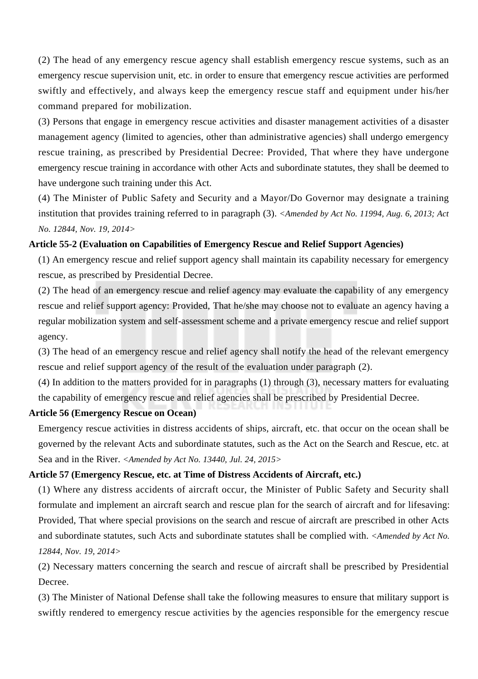(2) The head of any emergency rescue agency shall establish emergency rescue systems, such as an emergency rescue supervision unit, etc. in order to ensure that emergency rescue activities are performed swiftly and effectively, and always keep the emergency rescue staff and equipment under his/her command prepared for mobilization.

(3) Persons that engage in emergency rescue activities and disaster management activities of a disaster management agency (limited to agencies, other than administrative agencies) shall undergo emergency rescue training, as prescribed by Presidential Decree: Provided, That where they have undergone emergency rescue training in accordance with other Acts and subordinate statutes, they shall be deemed to have undergone such training under this Act.

(4) The Minister of Public Safety and Security and a Mayor/Do Governor may designate a training institution that provides training referred to in paragraph (3). *<Amended by Act No. 11994, Aug. 6, 2013; Act No. 12844, Nov. 19, 2014>*

# **Article 55-2 (Evaluation on Capabilities of Emergency Rescue and Relief Support Agencies)**

(1) An emergency rescue and relief support agency shall maintain its capability necessary for emergency rescue, as prescribed by Presidential Decree.

(2) The head of an emergency rescue and relief agency may evaluate the capability of any emergency rescue and relief support agency: Provided, That he/she may choose not to evaluate an agency having a regular mobilization system and self-assessment scheme and a private emergency rescue and relief support agency.

(3) The head of an emergency rescue and relief agency shall notify the head of the relevant emergency rescue and relief support agency of the result of the evaluation under paragraph (2).

(4) In addition to the matters provided for in paragraphs (1) through (3), necessary matters for evaluating the capability of emergency rescue and relief agencies shall be prescribed by Presidential Decree.

# **Article 56 (Emergency Rescue on Ocean)**

Emergency rescue activities in distress accidents of ships, aircraft, etc. that occur on the ocean shall be governed by the relevant Acts and subordinate statutes, such as the Act on the Search and Rescue, etc. at Sea and in the River. *<Amended by Act No. 13440, Jul. 24, 2015>*

#### **Article 57 (Emergency Rescue, etc. at Time of Distress Accidents of Aircraft, etc.)**

(1) Where any distress accidents of aircraft occur, the Minister of Public Safety and Security shall formulate and implement an aircraft search and rescue plan for the search of aircraft and for lifesaving: Provided, That where special provisions on the search and rescue of aircraft are prescribed in other Acts and subordinate statutes, such Acts and subordinate statutes shall be complied with. *<Amended by Act No. 12844, Nov. 19, 2014>*

(2) Necessary matters concerning the search and rescue of aircraft shall be prescribed by Presidential Decree.

(3) The Minister of National Defense shall take the following measures to ensure that military support is swiftly rendered to emergency rescue activities by the agencies responsible for the emergency rescue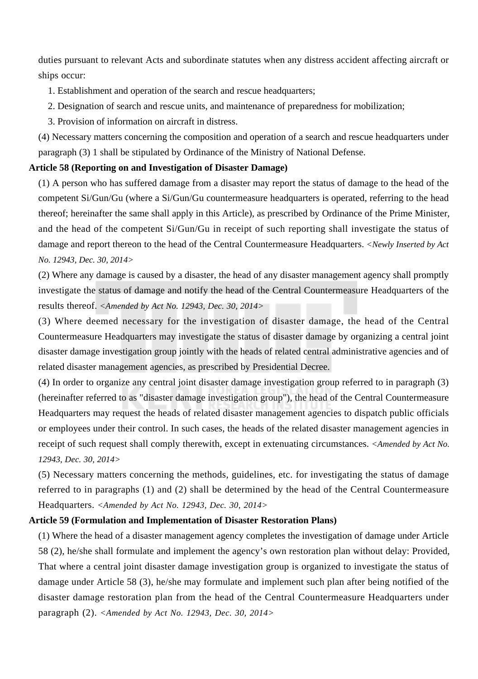duties pursuant to relevant Acts and subordinate statutes when any distress accident affecting aircraft or ships occur:

1. Establishment and operation of the search and rescue headquarters;

- 2. Designation of search and rescue units, and maintenance of preparedness for mobilization;
- 3. Provision of information on aircraft in distress.

(4) Necessary matters concerning the composition and operation of a search and rescue headquarters under paragraph (3) 1 shall be stipulated by Ordinance of the Ministry of National Defense.

# **Article 58 (Reporting on and Investigation of Disaster Damage)**

(1) A person who has suffered damage from a disaster may report the status of damage to the head of the competent Si/Gun/Gu (where a Si/Gun/Gu countermeasure headquarters is operated, referring to the head thereof; hereinafter the same shall apply in this Article), as prescribed by Ordinance of the Prime Minister, and the head of the competent Si/Gun/Gu in receipt of such reporting shall investigate the status of damage and report thereon to the head of the Central Countermeasure Headquarters. *<Newly Inserted by Act No. 12943, Dec. 30, 2014>*

(2) Where any damage is caused by a disaster, the head of any disaster management agency shall promptly investigate the status of damage and notify the head of the Central Countermeasure Headquarters of the results thereof. *<Amended by Act No. 12943, Dec. 30, 2014>*

(3) Where deemed necessary for the investigation of disaster damage, the head of the Central Countermeasure Headquarters may investigate the status of disaster damage by organizing a central joint disaster damage investigation group jointly with the heads of related central administrative agencies and of related disaster management agencies, as prescribed by Presidential Decree.

(4) In order to organize any central joint disaster damage investigation group referred to in paragraph (3) (hereinafter referred to as "disaster damage investigation group"), the head of the Central Countermeasure Headquarters may request the heads of related disaster management agencies to dispatch public officials or employees under their control. In such cases, the heads of the related disaster management agencies in receipt of such request shall comply therewith, except in extenuating circumstances. *<Amended by Act No. 12943, Dec. 30, 2014>*

(5) Necessary matters concerning the methods, guidelines, etc. for investigating the status of damage referred to in paragraphs (1) and (2) shall be determined by the head of the Central Countermeasure Headquarters. *<Amended by Act No. 12943, Dec. 30, 2014>*

# **Article 59 (Formulation and Implementation of Disaster Restoration Plans)**

(1) Where the head of a disaster management agency completes the investigation of damage under Article 58 (2), he/she shall formulate and implement the agency's own restoration plan without delay: Provided, That where a central joint disaster damage investigation group is organized to investigate the status of damage under Article 58 (3), he/she may formulate and implement such plan after being notified of the disaster damage restoration plan from the head of the Central Countermeasure Headquarters under paragraph (2). *<Amended by Act No. 12943, Dec. 30, 2014>*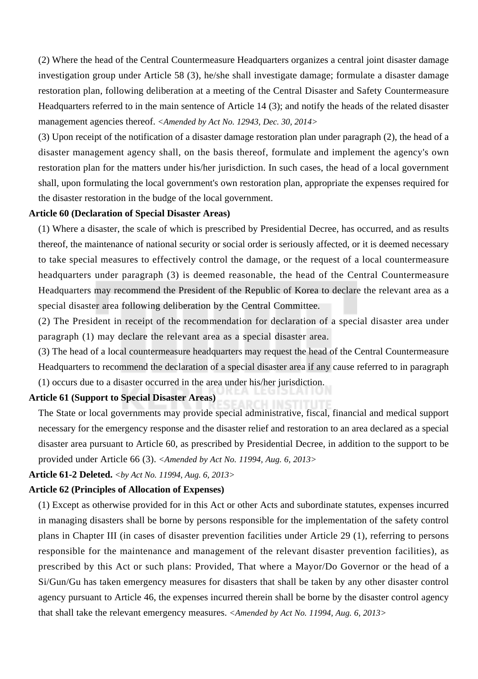(2) Where the head of the Central Countermeasure Headquarters organizes a central joint disaster damage investigation group under Article 58 (3), he/she shall investigate damage; formulate a disaster damage restoration plan, following deliberation at a meeting of the Central Disaster and Safety Countermeasure Headquarters referred to in the main sentence of Article 14 (3); and notify the heads of the related disaster management agencies thereof. *<Amended by Act No. 12943, Dec. 30, 2014>*

(3) Upon receipt of the notification of a disaster damage restoration plan under paragraph (2), the head of a disaster management agency shall, on the basis thereof, formulate and implement the agency's own restoration plan for the matters under his/her jurisdiction. In such cases, the head of a local government shall, upon formulating the local government's own restoration plan, appropriate the expenses required for the disaster restoration in the budge of the local government.

#### **Article 60 (Declaration of Special Disaster Areas)**

(1) Where a disaster, the scale of which is prescribed by Presidential Decree, has occurred, and as results thereof, the maintenance of national security or social order is seriously affected, or it is deemed necessary to take special measures to effectively control the damage, or the request of a local countermeasure headquarters under paragraph (3) is deemed reasonable, the head of the Central Countermeasure Headquarters may recommend the President of the Republic of Korea to declare the relevant area as a special disaster area following deliberation by the Central Committee.

(2) The President in receipt of the recommendation for declaration of a special disaster area under paragraph (1) may declare the relevant area as a special disaster area.

(3) The head of a local countermeasure headquarters may request the head of the Central Countermeasure Headquarters to recommend the declaration of a special disaster area if any cause referred to in paragraph (1) occurs due to a disaster occurred in the area under his/her jurisdiction.

# **Article 61 (Support to Special Disaster Areas)**

The State or local governments may provide special administrative, fiscal, financial and medical support necessary for the emergency response and the disaster relief and restoration to an area declared as a special disaster area pursuant to Article 60, as prescribed by Presidential Decree, in addition to the support to be provided under Article 66 (3). *<Amended by Act No. 11994, Aug. 6, 2013>*

# **Article 61-2 Deleted.** *<by Act No. 11994, Aug. 6, 2013>*

#### **Article 62 (Principles of Allocation of Expenses)**

(1) Except as otherwise provided for in this Act or other Acts and subordinate statutes, expenses incurred in managing disasters shall be borne by persons responsible for the implementation of the safety control plans in Chapter III (in cases of disaster prevention facilities under Article 29 (1), referring to persons responsible for the maintenance and management of the relevant disaster prevention facilities), as prescribed by this Act or such plans: Provided, That where a Mayor/Do Governor or the head of a Si/Gun/Gu has taken emergency measures for disasters that shall be taken by any other disaster control agency pursuant to Article 46, the expenses incurred therein shall be borne by the disaster control agency that shall take the relevant emergency measures. *<Amended by Act No. 11994, Aug. 6, 2013>*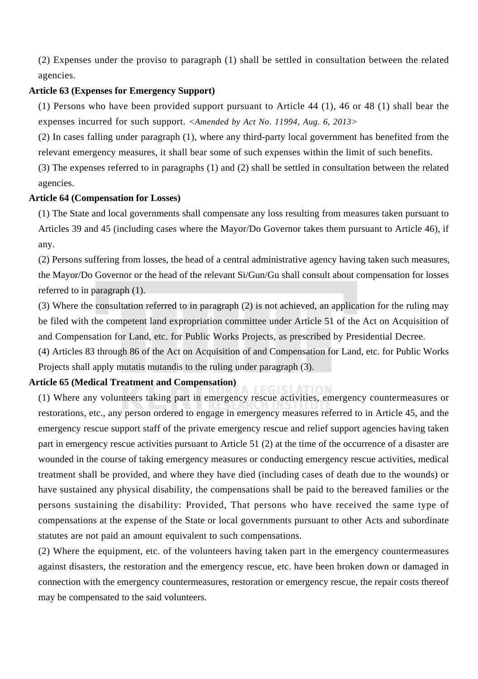(2) Expenses under the proviso to paragraph (1) shall be settled in consultation between the related agencies.

### **Article 63 (Expenses for Emergency Support)**

(1) Persons who have been provided support pursuant to Article 44 (1), 46 or 48 (1) shall bear the expenses incurred for such support. *<Amended by Act No. 11994, Aug. 6, 2013>*

(2) In cases falling under paragraph (1), where any third-party local government has benefited from the relevant emergency measures, it shall bear some of such expenses within the limit of such benefits.

(3) The expenses referred to in paragraphs (1) and (2) shall be settled in consultation between the related agencies.

#### **Article 64 (Compensation for Losses)**

(1) The State and local governments shall compensate any loss resulting from measures taken pursuant to Articles 39 and 45 (including cases where the Mayor/Do Governor takes them pursuant to Article 46), if any.

(2) Persons suffering from losses, the head of a central administrative agency having taken such measures, the Mayor/Do Governor or the head of the relevant Si/Gun/Gu shall consult about compensation for losses referred to in paragraph (1).

(3) Where the consultation referred to in paragraph (2) is not achieved, an application for the ruling may be filed with the competent land expropriation committee under Article 51 of the Act on Acquisition of and Compensation for Land, etc. for Public Works Projects, as prescribed by Presidential Decree.

(4) Articles 83 through 86 of the Act on Acquisition of and Compensation for Land, etc. for Public Works Projects shall apply mutatis mutandis to the ruling under paragraph (3).

### **Article 65 (Medical Treatment and Compensation)**

(1) Where any volunteers taking part in emergency rescue activities, emergency countermeasures or restorations, etc., any person ordered to engage in emergency measures referred to in Article 45, and the emergency rescue support staff of the private emergency rescue and relief support agencies having taken part in emergency rescue activities pursuant to Article 51 (2) at the time of the occurrence of a disaster are wounded in the course of taking emergency measures or conducting emergency rescue activities, medical treatment shall be provided, and where they have died (including cases of death due to the wounds) or have sustained any physical disability, the compensations shall be paid to the bereaved families or the persons sustaining the disability: Provided, That persons who have received the same type of compensations at the expense of the State or local governments pursuant to other Acts and subordinate statutes are not paid an amount equivalent to such compensations.

(2) Where the equipment, etc. of the volunteers having taken part in the emergency countermeasures against disasters, the restoration and the emergency rescue, etc. have been broken down or damaged in connection with the emergency countermeasures, restoration or emergency rescue, the repair costs thereof may be compensated to the said volunteers.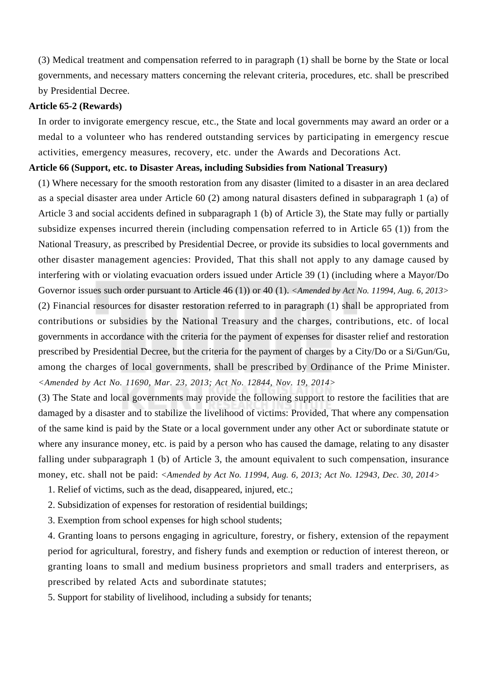(3) Medical treatment and compensation referred to in paragraph (1) shall be borne by the State or local governments, and necessary matters concerning the relevant criteria, procedures, etc. shall be prescribed by Presidential Decree.

# **Article 65-2 (Rewards)**

In order to invigorate emergency rescue, etc., the State and local governments may award an order or a medal to a volunteer who has rendered outstanding services by participating in emergency rescue activities, emergency measures, recovery, etc. under the Awards and Decorations Act.

# **Article 66 (Support, etc. to Disaster Areas, including Subsidies from National Treasury)**

(1) Where necessary for the smooth restoration from any disaster (limited to a disaster in an area declared as a special disaster area under Article 60 (2) among natural disasters defined in subparagraph 1 (a) of Article 3 and social accidents defined in subparagraph 1 (b) of Article 3), the State may fully or partially subsidize expenses incurred therein (including compensation referred to in Article 65 (1)) from the National Treasury, as prescribed by Presidential Decree, or provide its subsidies to local governments and other disaster management agencies: Provided, That this shall not apply to any damage caused by interfering with or violating evacuation orders issued under Article 39 (1) (including where a Mayor/Do Governor issues such order pursuant to Article 46 (1)) or 40 (1). *<Amended by Act No. 11994, Aug. 6, 2013>* (2) Financial resources for disaster restoration referred to in paragraph (1) shall be appropriated from contributions or subsidies by the National Treasury and the charges, contributions, etc. of local governments in accordance with the criteria for the payment of expenses for disaster relief and restoration prescribed by Presidential Decree, but the criteria for the payment of charges by a City/Do or a Si/Gun/Gu, among the charges of local governments, shall be prescribed by Ordinance of the Prime Minister. *<Amended by Act No. 11690, Mar. 23, 2013; Act No. 12844, Nov. 19, 2014>*

(3) The State and local governments may provide the following support to restore the facilities that are damaged by a disaster and to stabilize the livelihood of victims: Provided, That where any compensation of the same kind is paid by the State or a local government under any other Act or subordinate statute or where any insurance money, etc. is paid by a person who has caused the damage, relating to any disaster falling under subparagraph 1 (b) of Article 3, the amount equivalent to such compensation, insurance money, etc. shall not be paid: *<Amended by Act No. 11994, Aug. 6, 2013; Act No. 12943, Dec. 30, 2014>*

- 1. Relief of victims, such as the dead, disappeared, injured, etc.;
- 2. Subsidization of expenses for restoration of residential buildings;
- 3. Exemption from school expenses for high school students;

4. Granting loans to persons engaging in agriculture, forestry, or fishery, extension of the repayment period for agricultural, forestry, and fishery funds and exemption or reduction of interest thereon, or granting loans to small and medium business proprietors and small traders and enterprisers, as prescribed by related Acts and subordinate statutes;

5. Support for stability of livelihood, including a subsidy for tenants;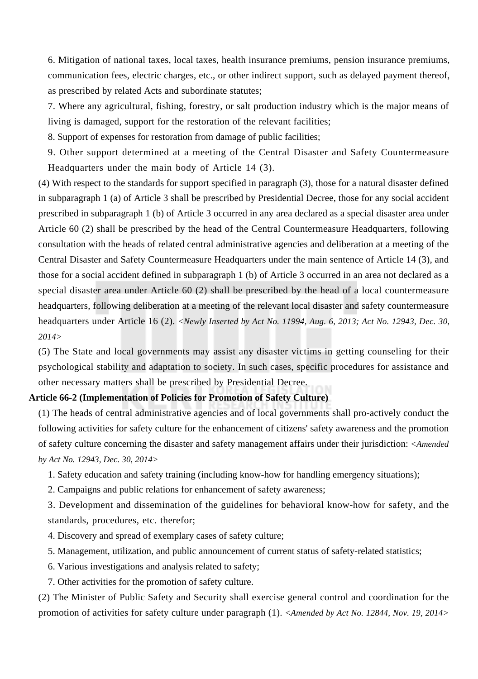6. Mitigation of national taxes, local taxes, health insurance premiums, pension insurance premiums, communication fees, electric charges, etc., or other indirect support, such as delayed payment thereof, as prescribed by related Acts and subordinate statutes;

7. Where any agricultural, fishing, forestry, or salt production industry which is the major means of living is damaged, support for the restoration of the relevant facilities;

8. Support of expenses for restoration from damage of public facilities;

9. Other support determined at a meeting of the Central Disaster and Safety Countermeasure Headquarters under the main body of Article 14 (3).

(4) With respect to the standards for support specified in paragraph (3), those for a natural disaster defined in subparagraph 1 (a) of Article 3 shall be prescribed by Presidential Decree, those for any social accident prescribed in subparagraph 1 (b) of Article 3 occurred in any area declared as a special disaster area under Article 60 (2) shall be prescribed by the head of the Central Countermeasure Headquarters, following consultation with the heads of related central administrative agencies and deliberation at a meeting of the Central Disaster and Safety Countermeasure Headquarters under the main sentence of Article 14 (3), and those for a social accident defined in subparagraph 1 (b) of Article 3 occurred in an area not declared as a special disaster area under Article 60 (2) shall be prescribed by the head of a local countermeasure headquarters, following deliberation at a meeting of the relevant local disaster and safety countermeasure headquarters under Article 16 (2). *<Newly Inserted by Act No. 11994, Aug. 6, 2013; Act No. 12943, Dec. 30, 2014>*

(5) The State and local governments may assist any disaster victims in getting counseling for their psychological stability and adaptation to society. In such cases, specific procedures for assistance and other necessary matters shall be prescribed by Presidential Decree.

# **Article 66-2 (Implementation of Policies for Promotion of Safety Culture)**

(1) The heads of central administrative agencies and of local governments shall pro-actively conduct the following activities for safety culture for the enhancement of citizens' safety awareness and the promotion of safety culture concerning the disaster and safety management affairs under their jurisdiction: *<Amended by Act No. 12943, Dec. 30, 2014>*

1. Safety education and safety training (including know-how for handling emergency situations);

2. Campaigns and public relations for enhancement of safety awareness;

3. Development and dissemination of the guidelines for behavioral know-how for safety, and the standards, procedures, etc. therefor;

4. Discovery and spread of exemplary cases of safety culture;

- 5. Management, utilization, and public announcement of current status of safety-related statistics;
- 6. Various investigations and analysis related to safety;
- 7. Other activities for the promotion of safety culture.

(2) The Minister of Public Safety and Security shall exercise general control and coordination for the promotion of activities for safety culture under paragraph (1). *<Amended by Act No. 12844, Nov. 19, 2014>*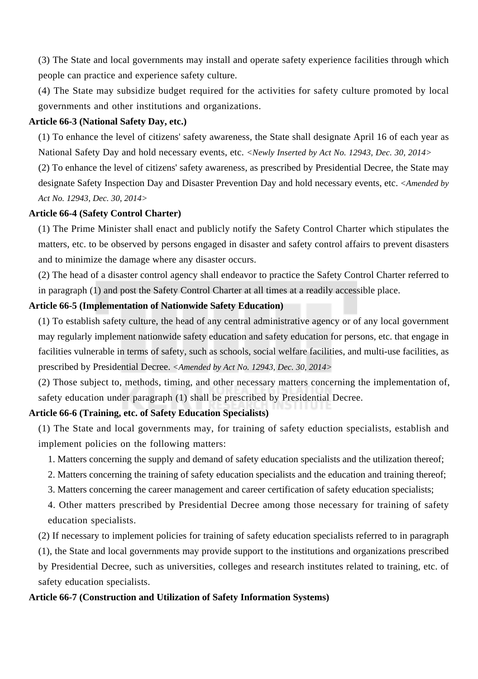(3) The State and local governments may install and operate safety experience facilities through which people can practice and experience safety culture.

(4) The State may subsidize budget required for the activities for safety culture promoted by local governments and other institutions and organizations.

### **Article 66-3 (National Safety Day, etc.)**

(1) To enhance the level of citizens' safety awareness, the State shall designate April 16 of each year as National Safety Day and hold necessary events, etc. *<Newly Inserted by Act No. 12943, Dec. 30, 2014>*

(2) To enhance the level of citizens' safety awareness, as prescribed by Presidential Decree, the State may designate Safety Inspection Day and Disaster Prevention Day and hold necessary events, etc. *<Amended by Act No. 12943, Dec. 30, 2014>*

# **Article 66-4 (Safety Control Charter)**

(1) The Prime Minister shall enact and publicly notify the Safety Control Charter which stipulates the matters, etc. to be observed by persons engaged in disaster and safety control affairs to prevent disasters and to minimize the damage where any disaster occurs.

(2) The head of a disaster control agency shall endeavor to practice the Safety Control Charter referred to in paragraph (1) and post the Safety Control Charter at all times at a readily accessible place.

## **Article 66-5 (Implementation of Nationwide Safety Education)**

(1) To establish safety culture, the head of any central administrative agency or of any local government may regularly implement nationwide safety education and safety education for persons, etc. that engage in facilities vulnerable in terms of safety, such as schools, social welfare facilities, and multi-use facilities, as prescribed by Presidential Decree. *<Amended by Act No. 12943, Dec. 30, 2014>*

(2) Those subject to, methods, timing, and other necessary matters concerning the implementation of, safety education under paragraph (1) shall be prescribed by Presidential Decree.

# **Article 66-6 (Training, etc. of Safety Education Specialists)**

(1) The State and local governments may, for training of safety eduction specialists, establish and implement policies on the following matters:

- 1. Matters concerning the supply and demand of safety education specialists and the utilization thereof;
- 2. Matters concerning the training of safety education specialists and the education and training thereof;
- 3. Matters concerning the career management and career certification of safety education specialists;

4. Other matters prescribed by Presidential Decree among those necessary for training of safety education specialists.

(2) If necessary to implement policies for training of safety education specialists referred to in paragraph

(1), the State and local governments may provide support to the institutions and organizations prescribed by Presidential Decree, such as universities, colleges and research institutes related to training, etc. of safety education specialists.

#### **Article 66-7 (Construction and Utilization of Safety Information Systems)**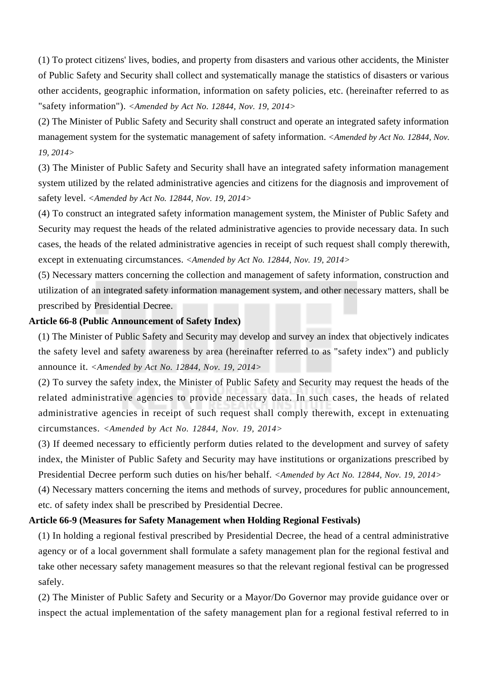(1) To protect citizens' lives, bodies, and property from disasters and various other accidents, the Minister of Public Safety and Security shall collect and systematically manage the statistics of disasters or various other accidents, geographic information, information on safety policies, etc. (hereinafter referred to as "safety information"). *<Amended by Act No. 12844, Nov. 19, 2014>*

(2) The Minister of Public Safety and Security shall construct and operate an integrated safety information management system for the systematic management of safety information. *<Amended by Act No. 12844, Nov. 19, 2014>*

(3) The Minister of Public Safety and Security shall have an integrated safety information management system utilized by the related administrative agencies and citizens for the diagnosis and improvement of safety level. *<Amended by Act No. 12844, Nov. 19, 2014>*

(4) To construct an integrated safety information management system, the Minister of Public Safety and Security may request the heads of the related administrative agencies to provide necessary data. In such cases, the heads of the related administrative agencies in receipt of such request shall comply therewith, except in extenuating circumstances. *<Amended by Act No. 12844, Nov. 19, 2014>*

(5) Necessary matters concerning the collection and management of safety information, construction and utilization of an integrated safety information management system, and other necessary matters, shall be prescribed by Presidential Decree.

#### **Article 66-8 (Public Announcement of Safety Index)**

(1) The Minister of Public Safety and Security may develop and survey an index that objectively indicates the safety level and safety awareness by area (hereinafter referred to as "safety index") and publicly announce it. *<Amended by Act No. 12844, Nov. 19, 2014>*

(2) To survey the safety index, the Minister of Public Safety and Security may request the heads of the related administrative agencies to provide necessary data. In such cases, the heads of related administrative agencies in receipt of such request shall comply therewith, except in extenuating circumstances. *<Amended by Act No. 12844, Nov. 19, 2014>*

(3) If deemed necessary to efficiently perform duties related to the development and survey of safety index, the Minister of Public Safety and Security may have institutions or organizations prescribed by Presidential Decree perform such duties on his/her behalf. *<Amended by Act No. 12844, Nov. 19, 2014>*

(4) Necessary matters concerning the items and methods of survey, procedures for public announcement, etc. of safety index shall be prescribed by Presidential Decree.

#### **Article 66-9 (Measures for Safety Management when Holding Regional Festivals)**

(1) In holding a regional festival prescribed by Presidential Decree, the head of a central administrative agency or of a local government shall formulate a safety management plan for the regional festival and take other necessary safety management measures so that the relevant regional festival can be progressed safely.

(2) The Minister of Public Safety and Security or a Mayor/Do Governor may provide guidance over or inspect the actual implementation of the safety management plan for a regional festival referred to in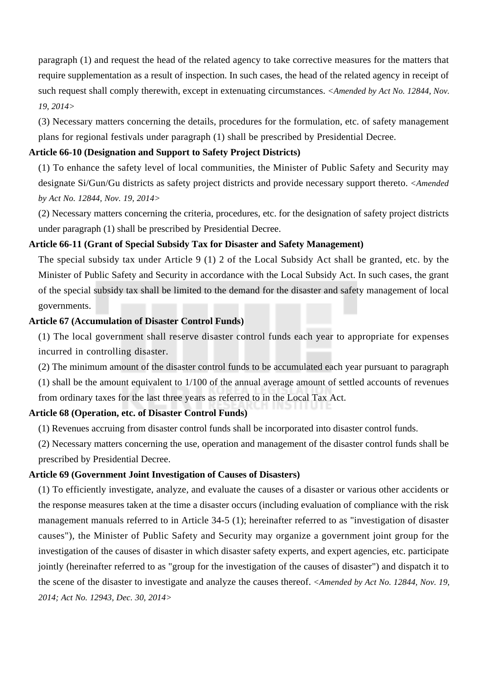paragraph (1) and request the head of the related agency to take corrective measures for the matters that require supplementation as a result of inspection. In such cases, the head of the related agency in receipt of such request shall comply therewith, except in extenuating circumstances. *<Amended by Act No. 12844, Nov. 19, 2014>*

(3) Necessary matters concerning the details, procedures for the formulation, etc. of safety management plans for regional festivals under paragraph (1) shall be prescribed by Presidential Decree.

#### **Article 66-10 (Designation and Support to Safety Project Districts)**

(1) To enhance the safety level of local communities, the Minister of Public Safety and Security may designate Si/Gun/Gu districts as safety project districts and provide necessary support thereto. *<Amended by Act No. 12844, Nov. 19, 2014>*

(2) Necessary matters concerning the criteria, procedures, etc. for the designation of safety project districts under paragraph (1) shall be prescribed by Presidential Decree.

# **Article 66-11 (Grant of Special Subsidy Tax for Disaster and Safety Management)**

The special subsidy tax under Article 9 (1) 2 of the Local Subsidy Act shall be granted, etc. by the Minister of Public Safety and Security in accordance with the Local Subsidy Act. In such cases, the grant of the special subsidy tax shall be limited to the demand for the disaster and safety management of local governments.

#### **Article 67 (Accumulation of Disaster Control Funds)**

(1) The local government shall reserve disaster control funds each year to appropriate for expenses incurred in controlling disaster.

(2) The minimum amount of the disaster control funds to be accumulated each year pursuant to paragraph

(1) shall be the amount equivalent to 1/100 of the annual average amount of settled accounts of revenues from ordinary taxes for the last three years as referred to in the Local Tax Act.

# **Article 68 (Operation, etc. of Disaster Control Funds)**

(1) Revenues accruing from disaster control funds shall be incorporated into disaster control funds.

(2) Necessary matters concerning the use, operation and management of the disaster control funds shall be prescribed by Presidential Decree.

#### **Article 69 (Government Joint Investigation of Causes of Disasters)**

(1) To efficiently investigate, analyze, and evaluate the causes of a disaster or various other accidents or the response measures taken at the time a disaster occurs (including evaluation of compliance with the risk management manuals referred to in Article 34-5 (1); hereinafter referred to as "investigation of disaster causes"), the Minister of Public Safety and Security may organize a government joint group for the investigation of the causes of disaster in which disaster safety experts, and expert agencies, etc. participate jointly (hereinafter referred to as "group for the investigation of the causes of disaster") and dispatch it to the scene of the disaster to investigate and analyze the causes thereof. *<Amended by Act No. 12844, Nov. 19, 2014; Act No. 12943, Dec. 30, 2014>*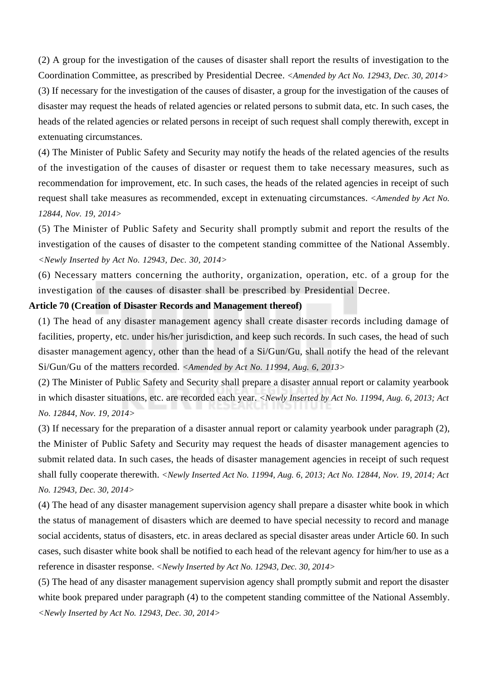(2) A group for the investigation of the causes of disaster shall report the results of investigation to the Coordination Committee, as prescribed by Presidential Decree. *<Amended by Act No. 12943, Dec. 30, 2014>* (3) If necessary for the investigation of the causes of disaster, a group for the investigation of the causes of disaster may request the heads of related agencies or related persons to submit data, etc. In such cases, the heads of the related agencies or related persons in receipt of such request shall comply therewith, except in extenuating circumstances.

(4) The Minister of Public Safety and Security may notify the heads of the related agencies of the results of the investigation of the causes of disaster or request them to take necessary measures, such as recommendation for improvement, etc. In such cases, the heads of the related agencies in receipt of such request shall take measures as recommended, except in extenuating circumstances. *<Amended by Act No. 12844, Nov. 19, 2014>*

(5) The Minister of Public Safety and Security shall promptly submit and report the results of the investigation of the causes of disaster to the competent standing committee of the National Assembly. *<Newly Inserted by Act No. 12943, Dec. 30, 2014>*

(6) Necessary matters concerning the authority, organization, operation, etc. of a group for the investigation of the causes of disaster shall be prescribed by Presidential Decree.

#### **Article 70 (Creation of Disaster Records and Management thereof)**

(1) The head of any disaster management agency shall create disaster records including damage of facilities, property, etc. under his/her jurisdiction, and keep such records. In such cases, the head of such disaster management agency, other than the head of a Si/Gun/Gu, shall notify the head of the relevant Si/Gun/Gu of the matters recorded. *<Amended by Act No. 11994, Aug. 6, 2013>*

(2) The Minister of Public Safety and Security shall prepare a disaster annual report or calamity yearbook in which disaster situations, etc. are recorded each year. *<Newly Inserted by Act No. 11994, Aug. 6, 2013; Act No. 12844, Nov. 19, 2014>*

(3) If necessary for the preparation of a disaster annual report or calamity yearbook under paragraph (2), the Minister of Public Safety and Security may request the heads of disaster management agencies to submit related data. In such cases, the heads of disaster management agencies in receipt of such request shall fully cooperate therewith. *<Newly Inserted Act No. 11994, Aug. 6, 2013; Act No. 12844, Nov. 19, 2014; Act No. 12943, Dec. 30, 2014>*

(4) The head of any disaster management supervision agency shall prepare a disaster white book in which the status of management of disasters which are deemed to have special necessity to record and manage social accidents, status of disasters, etc. in areas declared as special disaster areas under Article 60. In such cases, such disaster white book shall be notified to each head of the relevant agency for him/her to use as a reference in disaster response. *<Newly Inserted by Act No. 12943, Dec. 30, 2014>*

(5) The head of any disaster management supervision agency shall promptly submit and report the disaster white book prepared under paragraph (4) to the competent standing committee of the National Assembly. *<Newly Inserted by Act No. 12943, Dec. 30, 2014>*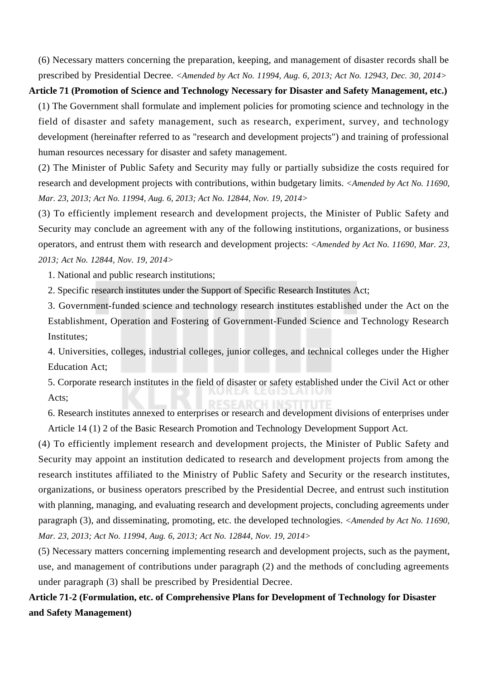(6) Necessary matters concerning the preparation, keeping, and management of disaster records shall be prescribed by Presidential Decree. *<Amended by Act No. 11994, Aug. 6, 2013; Act No. 12943, Dec. 30, 2014>*

# **Article 71 (Promotion of Science and Technology Necessary for Disaster and Safety Management, etc.)**

(1) The Government shall formulate and implement policies for promoting science and technology in the field of disaster and safety management, such as research, experiment, survey, and technology development (hereinafter referred to as "research and development projects") and training of professional human resources necessary for disaster and safety management.

(2) The Minister of Public Safety and Security may fully or partially subsidize the costs required for research and development projects with contributions, within budgetary limits. *<Amended by Act No. 11690, Mar. 23, 2013; Act No. 11994, Aug. 6, 2013; Act No. 12844, Nov. 19, 2014>*

(3) To efficiently implement research and development projects, the Minister of Public Safety and Security may conclude an agreement with any of the following institutions, organizations, or business operators, and entrust them with research and development projects: *<Amended by Act No. 11690, Mar. 23, 2013; Act No. 12844, Nov. 19, 2014>*

1. National and public research institutions;

2. Specific research institutes under the Support of Specific Research Institutes Act;

3. Government-funded science and technology research institutes established under the Act on the Establishment, Operation and Fostering of Government-Funded Science and Technology Research Institutes;

4. Universities, colleges, industrial colleges, junior colleges, and technical colleges under the Higher Education Act;

5. Corporate research institutes in the field of disaster or safety established under the Civil Act or other Acts;

6. Research institutes annexed to enterprises or research and development divisions of enterprises under Article 14 (1) 2 of the Basic Research Promotion and Technology Development Support Act.

(4) To efficiently implement research and development projects, the Minister of Public Safety and Security may appoint an institution dedicated to research and development projects from among the research institutes affiliated to the Ministry of Public Safety and Security or the research institutes, organizations, or business operators prescribed by the Presidential Decree, and entrust such institution with planning, managing, and evaluating research and development projects, concluding agreements under paragraph (3), and disseminating, promoting, etc. the developed technologies. *<Amended by Act No. 11690, Mar. 23, 2013; Act No. 11994, Aug. 6, 2013; Act No. 12844, Nov. 19, 2014>*

(5) Necessary matters concerning implementing research and development projects, such as the payment, use, and management of contributions under paragraph (2) and the methods of concluding agreements under paragraph (3) shall be prescribed by Presidential Decree.

**Article 71-2 (Formulation, etc. of Comprehensive Plans for Development of Technology for Disaster and Safety Management)**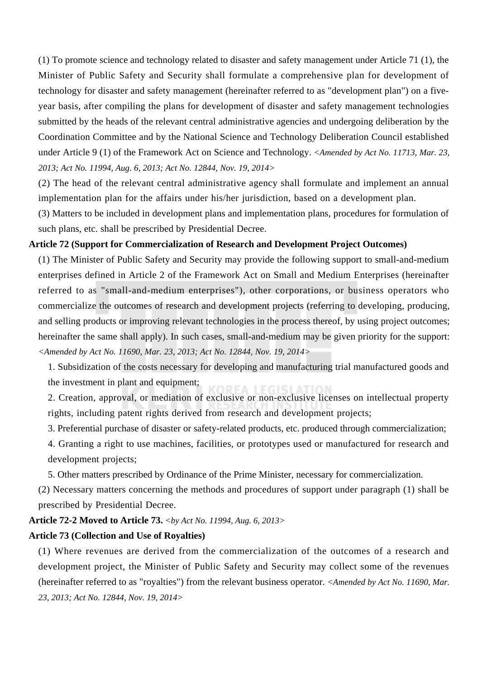(1) To promote science and technology related to disaster and safety management under Article 71 (1), the Minister of Public Safety and Security shall formulate a comprehensive plan for development of technology for disaster and safety management (hereinafter referred to as "development plan") on a fiveyear basis, after compiling the plans for development of disaster and safety management technologies submitted by the heads of the relevant central administrative agencies and undergoing deliberation by the Coordination Committee and by the National Science and Technology Deliberation Council established under Article 9 (1) of the Framework Act on Science and Technology. *<Amended by Act No. 11713, Mar. 23, 2013; Act No. 11994, Aug. 6, 2013; Act No. 12844, Nov. 19, 2014>*

(2) The head of the relevant central administrative agency shall formulate and implement an annual implementation plan for the affairs under his/her jurisdiction, based on a development plan.

(3) Matters to be included in development plans and implementation plans, procedures for formulation of such plans, etc. shall be prescribed by Presidential Decree.

# **Article 72 (Support for Commercialization of Research and Development Project Outcomes)**

(1) The Minister of Public Safety and Security may provide the following support to small-and-medium enterprises defined in Article 2 of the Framework Act on Small and Medium Enterprises (hereinafter referred to as "small-and-medium enterprises"), other corporations, or business operators who commercialize the outcomes of research and development projects (referring to developing, producing, and selling products or improving relevant technologies in the process thereof, by using project outcomes; hereinafter the same shall apply). In such cases, small-and-medium may be given priority for the support: *<Amended by Act No. 11690, Mar. 23, 2013; Act No. 12844, Nov. 19, 2014>*

1. Subsidization of the costs necessary for developing and manufacturing trial manufactured goods and the investment in plant and equipment;

2. Creation, approval, or mediation of exclusive or non-exclusive licenses on intellectual property rights, including patent rights derived from research and development projects;

3. Preferential purchase of disaster or safety-related products, etc. produced through commercialization;

4. Granting a right to use machines, facilities, or prototypes used or manufactured for research and development projects;

5. Other matters prescribed by Ordinance of the Prime Minister, necessary for commercialization.

(2) Necessary matters concerning the methods and procedures of support under paragraph (1) shall be prescribed by Presidential Decree.

# **Article 72-2 Moved to Article 73.** *<by Act No. 11994, Aug. 6, 2013>*

# **Article 73 (Collection and Use of Royalties)**

(1) Where revenues are derived from the commercialization of the outcomes of a research and development project, the Minister of Public Safety and Security may collect some of the revenues (hereinafter referred to as "royalties") from the relevant business operator. *<Amended by Act No. 11690, Mar. 23, 2013; Act No. 12844, Nov. 19, 2014>*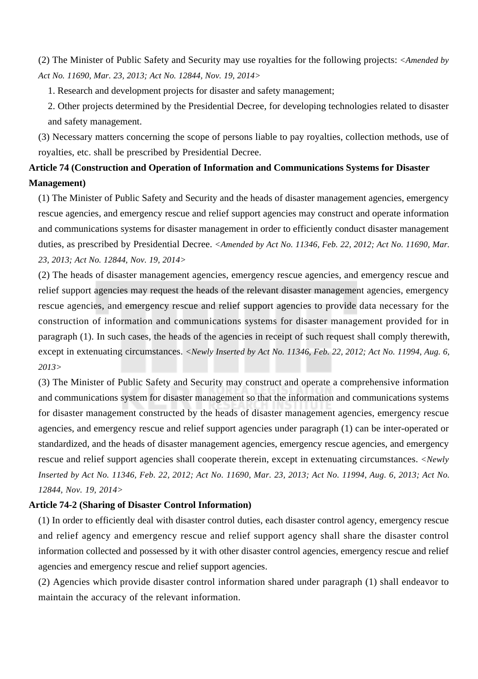(2) The Minister of Public Safety and Security may use royalties for the following projects: *<Amended by Act No. 11690, Mar. 23, 2013; Act No. 12844, Nov. 19, 2014>*

1. Research and development projects for disaster and safety management;

2. Other projects determined by the Presidential Decree, for developing technologies related to disaster and safety management.

(3) Necessary matters concerning the scope of persons liable to pay royalties, collection methods, use of royalties, etc. shall be prescribed by Presidential Decree.

# **Article 74 (Construction and Operation of Information and Communications Systems for Disaster Management)**

(1) The Minister of Public Safety and Security and the heads of disaster management agencies, emergency rescue agencies, and emergency rescue and relief support agencies may construct and operate information and communications systems for disaster management in order to efficiently conduct disaster management duties, as prescribed by Presidential Decree. *<Amended by Act No. 11346, Feb. 22, 2012; Act No. 11690, Mar. 23, 2013; Act No. 12844, Nov. 19, 2014>*

(2) The heads of disaster management agencies, emergency rescue agencies, and emergency rescue and relief support agencies may request the heads of the relevant disaster management agencies, emergency rescue agencies, and emergency rescue and relief support agencies to provide data necessary for the construction of information and communications systems for disaster management provided for in paragraph (1). In such cases, the heads of the agencies in receipt of such request shall comply therewith, except in extenuating circumstances. *<Newly Inserted by Act No. 11346, Feb. 22, 2012; Act No. 11994, Aug. 6, 2013>*

(3) The Minister of Public Safety and Security may construct and operate a comprehensive information and communications system for disaster management so that the information and communications systems for disaster management constructed by the heads of disaster management agencies, emergency rescue agencies, and emergency rescue and relief support agencies under paragraph (1) can be inter-operated or standardized, and the heads of disaster management agencies, emergency rescue agencies, and emergency rescue and relief support agencies shall cooperate therein, except in extenuating circumstances. *<Newly Inserted by Act No. 11346, Feb. 22, 2012; Act No. 11690, Mar. 23, 2013; Act No. 11994, Aug. 6, 2013; Act No. 12844, Nov. 19, 2014>*

# **Article 74-2 (Sharing of Disaster Control Information)**

(1) In order to efficiently deal with disaster control duties, each disaster control agency, emergency rescue and relief agency and emergency rescue and relief support agency shall share the disaster control information collected and possessed by it with other disaster control agencies, emergency rescue and relief agencies and emergency rescue and relief support agencies.

(2) Agencies which provide disaster control information shared under paragraph (1) shall endeavor to maintain the accuracy of the relevant information.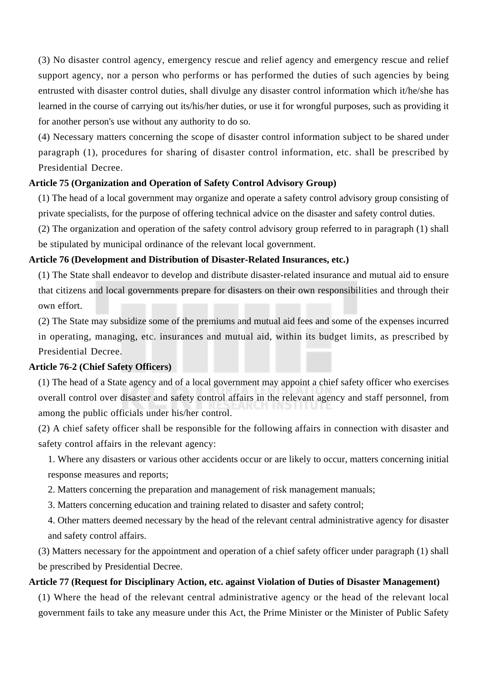(3) No disaster control agency, emergency rescue and relief agency and emergency rescue and relief support agency, nor a person who performs or has performed the duties of such agencies by being entrusted with disaster control duties, shall divulge any disaster control information which it/he/she has learned in the course of carrying out its/his/her duties, or use it for wrongful purposes, such as providing it for another person's use without any authority to do so.

(4) Necessary matters concerning the scope of disaster control information subject to be shared under paragraph (1), procedures for sharing of disaster control information, etc. shall be prescribed by Presidential Decree.

# **Article 75 (Organization and Operation of Safety Control Advisory Group)**

(1) The head of a local government may organize and operate a safety control advisory group consisting of private specialists, for the purpose of offering technical advice on the disaster and safety control duties.

(2) The organization and operation of the safety control advisory group referred to in paragraph (1) shall be stipulated by municipal ordinance of the relevant local government.

# **Article 76 (Development and Distribution of Disaster-Related Insurances, etc.)**

(1) The State shall endeavor to develop and distribute disaster-related insurance and mutual aid to ensure that citizens and local governments prepare for disasters on their own responsibilities and through their own effort.

(2) The State may subsidize some of the premiums and mutual aid fees and some of the expenses incurred in operating, managing, etc. insurances and mutual aid, within its budget limits, as prescribed by Presidential Decree.

#### **Article 76-2 (Chief Safety Officers)**

(1) The head of a State agency and of a local government may appoint a chief safety officer who exercises overall control over disaster and safety control affairs in the relevant agency and staff personnel, from among the public officials under his/her control.

(2) A chief safety officer shall be responsible for the following affairs in connection with disaster and safety control affairs in the relevant agency:

1. Where any disasters or various other accidents occur or are likely to occur, matters concerning initial response measures and reports;

2. Matters concerning the preparation and management of risk management manuals;

3. Matters concerning education and training related to disaster and safety control;

4. Other matters deemed necessary by the head of the relevant central administrative agency for disaster and safety control affairs.

(3) Matters necessary for the appointment and operation of a chief safety officer under paragraph (1) shall be prescribed by Presidential Decree.

# **Article 77 (Request for Disciplinary Action, etc. against Violation of Duties of Disaster Management)**

(1) Where the head of the relevant central administrative agency or the head of the relevant local government fails to take any measure under this Act, the Prime Minister or the Minister of Public Safety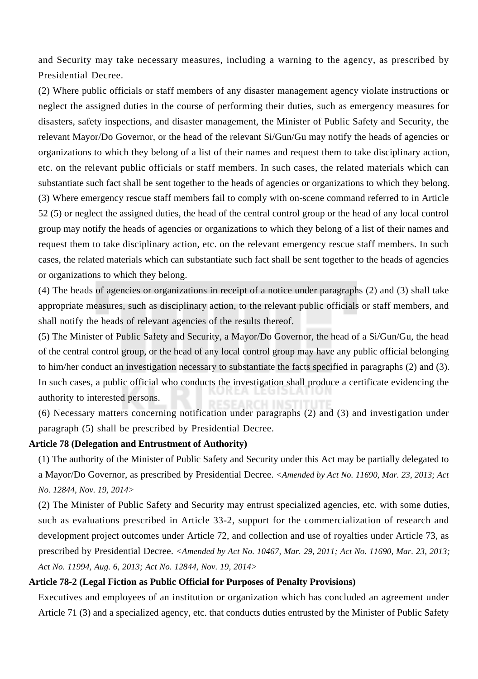and Security may take necessary measures, including a warning to the agency, as prescribed by Presidential Decree.

(2) Where public officials or staff members of any disaster management agency violate instructions or neglect the assigned duties in the course of performing their duties, such as emergency measures for disasters, safety inspections, and disaster management, the Minister of Public Safety and Security, the relevant Mayor/Do Governor, or the head of the relevant Si/Gun/Gu may notify the heads of agencies or organizations to which they belong of a list of their names and request them to take disciplinary action, etc. on the relevant public officials or staff members. In such cases, the related materials which can substantiate such fact shall be sent together to the heads of agencies or organizations to which they belong. (3) Where emergency rescue staff members fail to comply with on-scene command referred to in Article 52 (5) or neglect the assigned duties, the head of the central control group or the head of any local control group may notify the heads of agencies or organizations to which they belong of a list of their names and request them to take disciplinary action, etc. on the relevant emergency rescue staff members. In such cases, the related materials which can substantiate such fact shall be sent together to the heads of agencies or organizations to which they belong.

(4) The heads of agencies or organizations in receipt of a notice under paragraphs (2) and (3) shall take appropriate measures, such as disciplinary action, to the relevant public officials or staff members, and shall notify the heads of relevant agencies of the results thereof.

(5) The Minister of Public Safety and Security, a Mayor/Do Governor, the head of a Si/Gun/Gu, the head of the central control group, or the head of any local control group may have any public official belonging to him/her conduct an investigation necessary to substantiate the facts specified in paragraphs (2) and (3). In such cases, a public official who conducts the investigation shall produce a certificate evidencing the authority to interested persons.

(6) Necessary matters concerning notification under paragraphs (2) and (3) and investigation under paragraph (5) shall be prescribed by Presidential Decree.

#### **Article 78 (Delegation and Entrustment of Authority)**

(1) The authority of the Minister of Public Safety and Security under this Act may be partially delegated to a Mayor/Do Governor, as prescribed by Presidential Decree. *<Amended by Act No. 11690, Mar. 23, 2013; Act No. 12844, Nov. 19, 2014>*

(2) The Minister of Public Safety and Security may entrust specialized agencies, etc. with some duties, such as evaluations prescribed in Article 33-2, support for the commercialization of research and development project outcomes under Article 72, and collection and use of royalties under Article 73, as prescribed by Presidential Decree. *<Amended by Act No. 10467, Mar. 29, 2011; Act No. 11690, Mar. 23, 2013; Act No. 11994, Aug. 6, 2013; Act No. 12844, Nov. 19, 2014>*

## **Article 78-2 (Legal Fiction as Public Official for Purposes of Penalty Provisions)**

Executives and employees of an institution or organization which has concluded an agreement under Article 71 (3) and a specialized agency, etc. that conducts duties entrusted by the Minister of Public Safety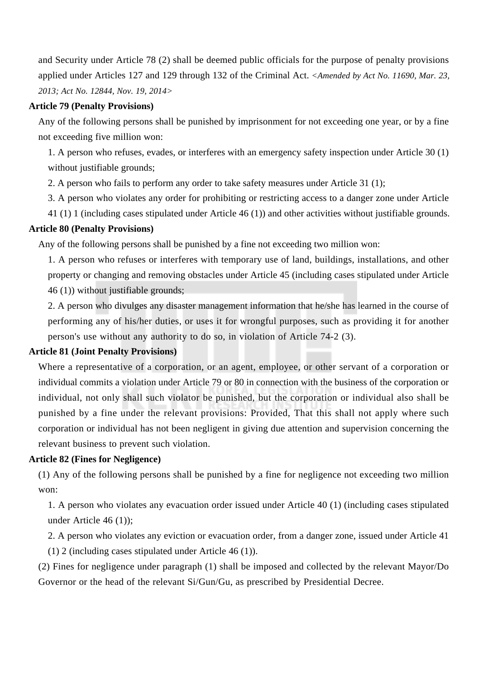and Security under Article 78 (2) shall be deemed public officials for the purpose of penalty provisions applied under Articles 127 and 129 through 132 of the Criminal Act. *<Amended by Act No. 11690, Mar. 23, 2013; Act No. 12844, Nov. 19, 2014>*

# **Article 79 (Penalty Provisions)**

Any of the following persons shall be punished by imprisonment for not exceeding one year, or by a fine not exceeding five million won:

1. A person who refuses, evades, or interferes with an emergency safety inspection under Article 30 (1) without justifiable grounds;

2. A person who fails to perform any order to take safety measures under Article 31 (1);

3. A person who violates any order for prohibiting or restricting access to a danger zone under Article

41 (1) 1 (including cases stipulated under Article 46 (1)) and other activities without justifiable grounds.

## **Article 80 (Penalty Provisions)**

Any of the following persons shall be punished by a fine not exceeding two million won:

1. A person who refuses or interferes with temporary use of land, buildings, installations, and other property or changing and removing obstacles under Article 45 (including cases stipulated under Article 46 (1)) without justifiable grounds;

2. A person who divulges any disaster management information that he/she has learned in the course of performing any of his/her duties, or uses it for wrongful purposes, such as providing it for another person's use without any authority to do so, in violation of Article 74-2 (3).

# **Article 81 (Joint Penalty Provisions)**

Where a representative of a corporation, or an agent, employee, or other servant of a corporation or individual commits a violation under Article 79 or 80 in connection with the business of the corporation or individual, not only shall such violator be punished, but the corporation or individual also shall be punished by a fine under the relevant provisions: Provided, That this shall not apply where such corporation or individual has not been negligent in giving due attention and supervision concerning the relevant business to prevent such violation.

#### **Article 82 (Fines for Negligence)**

(1) Any of the following persons shall be punished by a fine for negligence not exceeding two million won:

1. A person who violates any evacuation order issued under Article 40 (1) (including cases stipulated under Article 46 (1));

2. A person who violates any eviction or evacuation order, from a danger zone, issued under Article 41

(1) 2 (including cases stipulated under Article 46 (1)).

(2) Fines for negligence under paragraph (1) shall be imposed and collected by the relevant Mayor/Do Governor or the head of the relevant Si/Gun/Gu, as prescribed by Presidential Decree.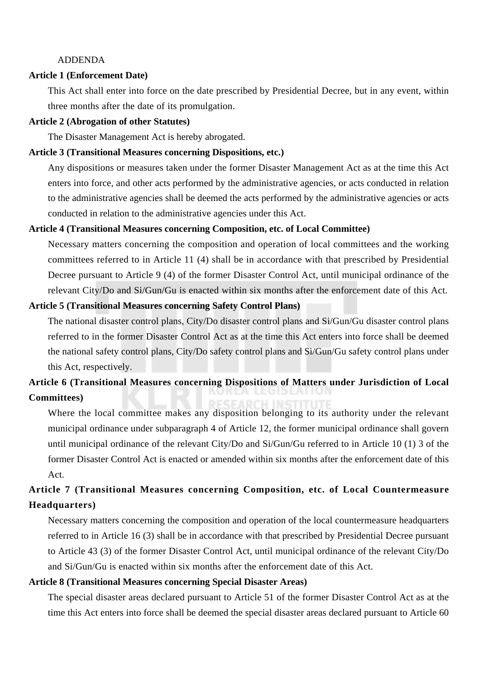# ADDENDA

# **Article 1 (Enforcement Date)**

This Act shall enter into force on the date prescribed by Presidential Decree, but in any event, within three months after the date of its promulgation.

#### **Article 2 (Abrogation of other Statutes)**

The Disaster Management Act is hereby abrogated.

#### **Article 3 (Transitional Measures concerning Dispositions, etc.)**

Any dispositions or measures taken under the former Disaster Management Act as at the time this Act enters into force, and other acts performed by the administrative agencies, or acts conducted in relation to the administrative agencies shall be deemed the acts performed by the administrative agencies or acts conducted in relation to the administrative agencies under this Act.

#### **Article 4 (Transitional Measures concerning Composition, etc. of Local Committee)**

Necessary matters concerning the composition and operation of local committees and the working committees referred to in Article 11 (4) shall be in accordance with that prescribed by Presidential Decree pursuant to Article 9 (4) of the former Disaster Control Act, until municipal ordinance of the relevant City/Do and Si/Gun/Gu is enacted within six months after the enforcement date of this Act.

#### **Article 5 (Transitional Measures concerning Safety Control Plans)**

The national disaster control plans, City/Do disaster control plans and Si/Gun/Gu disaster control plans referred to in the former Disaster Control Act as at the time this Act enters into force shall be deemed the national safety control plans, City/Do safety control plans and Si/Gun/Gu safety control plans under this Act, respectively.

# **Article 6 (Transitional Measures concerning Dispositions of Matters under Jurisdiction of Local Committees)**

Where the local committee makes any disposition belonging to its authority under the relevant municipal ordinance under subparagraph 4 of Article 12, the former municipal ordinance shall govern until municipal ordinance of the relevant City/Do and Si/Gun/Gu referred to in Article 10 (1) 3 of the former Disaster Control Act is enacted or amended within six months after the enforcement date of this Act.

# **Article 7 (Transitional Measures concerning Composition, etc. of Local Countermeasure Headquarters)**

Necessary matters concerning the composition and operation of the local countermeasure headquarters referred to in Article 16 (3) shall be in accordance with that prescribed by Presidential Decree pursuant to Article 43 (3) of the former Disaster Control Act, until municipal ordinance of the relevant City/Do and Si/Gun/Gu is enacted within six months after the enforcement date of this Act.

# **Article 8 (Transitional Measures concerning Special Disaster Areas)**

The special disaster areas declared pursuant to Article 51 of the former Disaster Control Act as at the time this Act enters into force shall be deemed the special disaster areas declared pursuant to Article 60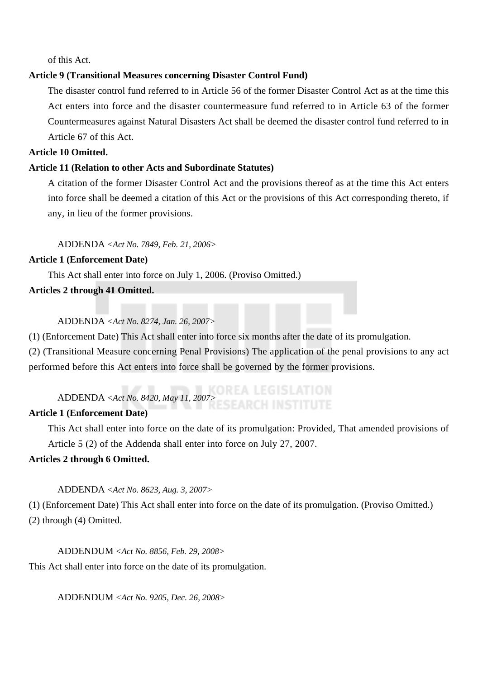of this Act.

# **Article 9 (Transitional Measures concerning Disaster Control Fund)**

The disaster control fund referred to in Article 56 of the former Disaster Control Act as at the time this Act enters into force and the disaster countermeasure fund referred to in Article 63 of the former Countermeasures against Natural Disasters Act shall be deemed the disaster control fund referred to in Article 67 of this Act.

# **Article 10 Omitted.**

# **Article 11 (Relation to other Acts and Subordinate Statutes)**

A citation of the former Disaster Control Act and the provisions thereof as at the time this Act enters into force shall be deemed a citation of this Act or the provisions of this Act corresponding thereto, if any, in lieu of the former provisions.

ADDENDA *<Act No. 7849, Feb. 21, 2006>*

# **Article 1 (Enforcement Date)**

This Act shall enter into force on July 1, 2006. (Proviso Omitted.)

# **Articles 2 through 41 Omitted.**

### ADDENDA *<Act No. 8274, Jan. 26, 2007>*

(1) (Enforcement Date) This Act shall enter into force six months after the date of its promulgation.

(2) (Transitional Measure concerning Penal Provisions) The application of the penal provisions to any act performed before this Act enters into force shall be governed by the former provisions.

# ADDENDA *<Act No. 8420, May 11, 2007>*

# **Article 1 (Enforcement Date)**

This Act shall enter into force on the date of its promulgation: Provided, That amended provisions of Article 5 (2) of the Addenda shall enter into force on July 27, 2007.

# **Articles 2 through 6 Omitted.**

# ADDENDA *<Act No. 8623, Aug. 3, 2007>*

(1) (Enforcement Date) This Act shall enter into force on the date of its promulgation. (Proviso Omitted.) (2) through (4) Omitted.

ADDENDUM *<Act No. 8856, Feb. 29, 2008>* This Act shall enter into force on the date of its promulgation.

ADDENDUM *<Act No. 9205, Dec. 26, 2008>*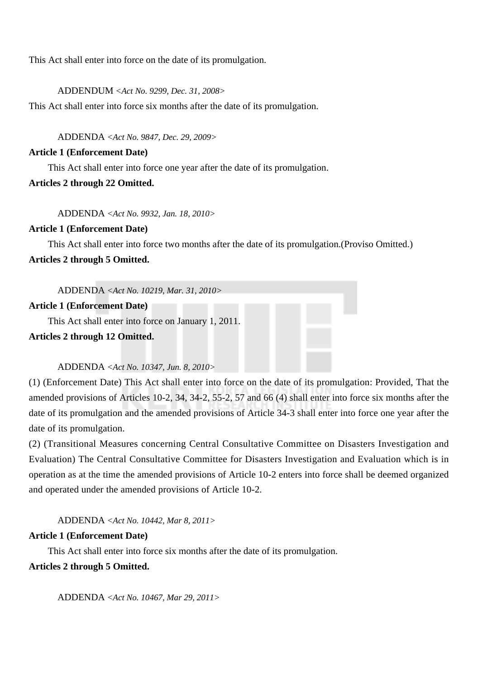This Act shall enter into force on the date of its promulgation.

ADDENDUM *<Act No. 9299, Dec. 31, 2008>*

This Act shall enter into force six months after the date of its promulgation.

ADDENDA *<Act No. 9847, Dec. 29, 2009>*

#### **Article 1 (Enforcement Date)**

This Act shall enter into force one year after the date of its promulgation.

# **Articles 2 through 22 Omitted.**

ADDENDA *<Act No. 9932, Jan. 18, 2010>*

# **Article 1 (Enforcement Date)**

This Act shall enter into force two months after the date of its promulgation.(Proviso Omitted.) **Articles 2 through 5 Omitted.**

ADDENDA *<Act No. 10219, Mar. 31, 2010>*

#### **Article 1 (Enforcement Date)**

This Act shall enter into force on January 1, 2011.

**Articles 2 through 12 Omitted.**

# ADDENDA *<Act No. 10347, Jun. 8, 2010>*

(1) (Enforcement Date) This Act shall enter into force on the date of its promulgation: Provided, That the amended provisions of Articles 10-2, 34, 34-2, 55-2, 57 and 66 (4) shall enter into force six months after the date of its promulgation and the amended provisions of Article 34-3 shall enter into force one year after the date of its promulgation.

(2) (Transitional Measures concerning Central Consultative Committee on Disasters Investigation and Evaluation) The Central Consultative Committee for Disasters Investigation and Evaluation which is in operation as at the time the amended provisions of Article 10-2 enters into force shall be deemed organized and operated under the amended provisions of Article 10-2.

ADDENDA *<Act No. 10442, Mar 8, 2011>*

# **Article 1 (Enforcement Date)**

This Act shall enter into force six months after the date of its promulgation.

# **Articles 2 through 5 Omitted.**

ADDENDA *<Act No. 10467, Mar 29, 2011>*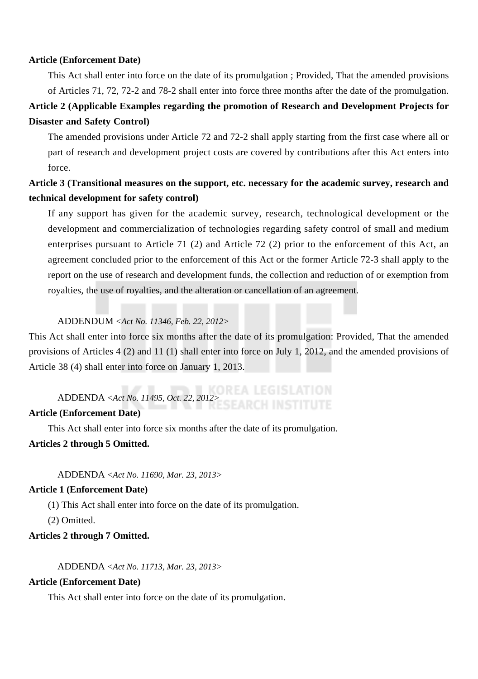# **Article (Enforcement Date)**

This Act shall enter into force on the date of its promulgation ; Provided, That the amended provisions of Articles 71, 72, 72-2 and 78-2 shall enter into force three months after the date of the promulgation.

# **Article 2 (Applicable Examples regarding the promotion of Research and Development Projects for Disaster and Safety Control)**

The amended provisions under Article 72 and 72-2 shall apply starting from the first case where all or part of research and development project costs are covered by contributions after this Act enters into force.

# **Article 3 (Transitional measures on the support, etc. necessary for the academic survey, research and technical development for safety control)**

If any support has given for the academic survey, research, technological development or the development and commercialization of technologies regarding safety control of small and medium enterprises pursuant to Article 71 (2) and Article 72 (2) prior to the enforcement of this Act, an agreement concluded prior to the enforcement of this Act or the former Article 72-3 shall apply to the report on the use of research and development funds, the collection and reduction of or exemption from royalties, the use of royalties, and the alteration or cancellation of an agreement.

# ADDENDUM *<Act No. 11346, Feb. 22, 2012>*

This Act shall enter into force six months after the date of its promulgation: Provided, That the amended provisions of Articles 4 (2) and 11 (1) shall enter into force on July 1, 2012, and the amended provisions of Article 38 (4) shall enter into force on January 1, 2013.

# ADDENDA *<Act No. 11495, Oct. 22, 2012>*

# **Article (Enforcement Date)**

This Act shall enter into force six months after the date of its promulgation.

#### **Articles 2 through 5 Omitted.**

ADDENDA *<Act No. 11690, Mar. 23, 2013>*

# **Article 1 (Enforcement Date)**

(1) This Act shall enter into force on the date of its promulgation.

(2) Omitted.

# **Articles 2 through 7 Omitted.**

ADDENDA *<Act No. 11713, Mar. 23, 2013>*

## **Article (Enforcement Date)**

This Act shall enter into force on the date of its promulgation.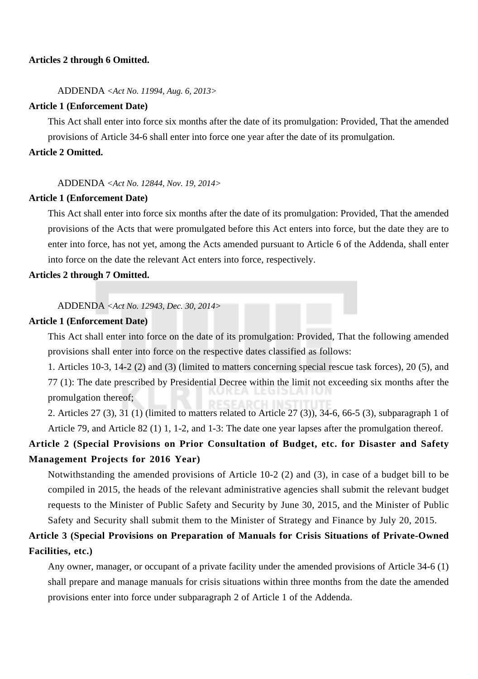# **Articles 2 through 6 Omitted.**

ADDENDA *<Act No. 11994, Aug. 6, 2013>*

#### **Article 1 (Enforcement Date)**

This Act shall enter into force six months after the date of its promulgation: Provided, That the amended provisions of Article 34-6 shall enter into force one year after the date of its promulgation.

# **Article 2 Omitted.**

#### ADDENDA *<Act No. 12844, Nov. 19, 2014>*

# **Article 1 (Enforcement Date)**

This Act shall enter into force six months after the date of its promulgation: Provided, That the amended provisions of the Acts that were promulgated before this Act enters into force, but the date they are to enter into force, has not yet, among the Acts amended pursuant to Article 6 of the Addenda, shall enter into force on the date the relevant Act enters into force, respectively.

# **Articles 2 through 7 Omitted.**

ADDENDA *<Act No. 12943, Dec. 30, 2014>*

#### **Article 1 (Enforcement Date)**

This Act shall enter into force on the date of its promulgation: Provided, That the following amended provisions shall enter into force on the respective dates classified as follows:

1. Articles 10-3, 14-2 (2) and (3) (limited to matters concerning special rescue task forces), 20 (5), and 77 (1): The date prescribed by Presidential Decree within the limit not exceeding six months after the promulgation thereof;

2. Articles 27 (3), 31 (1) (limited to matters related to Article 27 (3)), 34-6, 66-5 (3), subparagraph 1 of Article 79, and Article 82 (1) 1, 1-2, and 1-3: The date one year lapses after the promulgation thereof.

# **Article 2 (Special Provisions on Prior Consultation of Budget, etc. for Disaster and Safety Management Projects for 2016 Year)**

Notwithstanding the amended provisions of Article 10-2 (2) and (3), in case of a budget bill to be compiled in 2015, the heads of the relevant administrative agencies shall submit the relevant budget requests to the Minister of Public Safety and Security by June 30, 2015, and the Minister of Public Safety and Security shall submit them to the Minister of Strategy and Finance by July 20, 2015.

# **Article 3 (Special Provisions on Preparation of Manuals for Crisis Situations of Private-Owned Facilities, etc.)**

Any owner, manager, or occupant of a private facility under the amended provisions of Article 34-6 (1) shall prepare and manage manuals for crisis situations within three months from the date the amended provisions enter into force under subparagraph 2 of Article 1 of the Addenda.